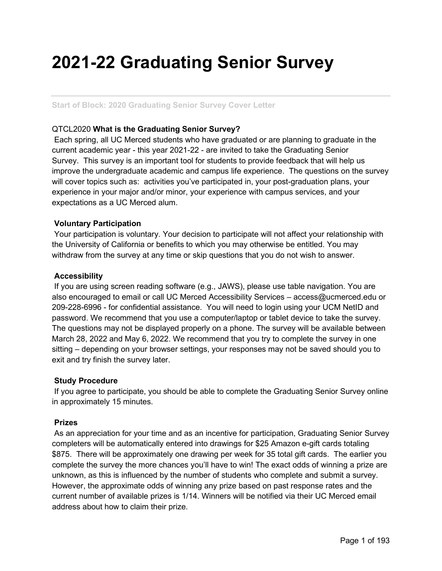# **2021-22 Graduating Senior Survey**

**Start of Block: 2020 Graduating Senior Survey Cover Letter**

## QTCL2020 **What is the Graduating Senior Survey?**

Each spring, all UC Merced students who have graduated or are planning to graduate in the current academic year - this year 2021-22 - are invited to take the Graduating Senior Survey. This survey is an important tool for students to provide feedback that will help us improve the undergraduate academic and campus life experience. The questions on the survey will cover topics such as: activities you've participated in, your post-graduation plans, your experience in your major and/or minor, your experience with campus services, and your expectations as a UC Merced alum.

## **Voluntary Participation**

Your participation is voluntary. Your decision to participate will not affect your relationship with the University of California or benefits to which you may otherwise be entitled. You may withdraw from the survey at any time or skip questions that you do not wish to answer.

## **Accessibility**

If you are using screen reading software (e.g., JAWS), please use table navigation. You are also encouraged to email or call UC Merced Accessibility Services – access@ucmerced.edu or 209-228-6996 - for confidential assistance. You will need to login using your UCM NetID and password. We recommend that you use a computer/laptop or tablet device to take the survey. The questions may not be displayed properly on a phone. The survey will be available between March 28, 2022 and May 6, 2022. We recommend that you try to complete the survey in one sitting – depending on your browser settings, your responses may not be saved should you to exit and try finish the survey later.

## **Study Procedure**

If you agree to participate, you should be able to complete the Graduating Senior Survey online in approximately 15 minutes.

## **Prizes**

As an appreciation for your time and as an incentive for participation, Graduating Senior Survey completers will be automatically entered into drawings for \$25 Amazon e-gift cards totaling \$875. There will be approximately one drawing per week for 35 total gift cards. The earlier you complete the survey the more chances you'll have to win! The exact odds of winning a prize are unknown, as this is influenced by the number of students who complete and submit a survey. However, the approximate odds of winning any prize based on past response rates and the current number of available prizes is 1/14. Winners will be notified via their UC Merced email address about how to claim their prize.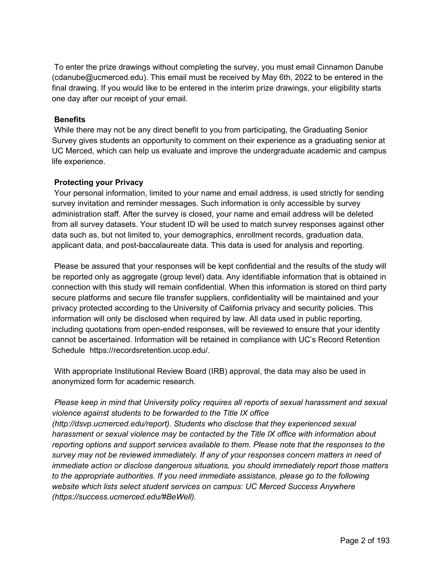To enter the prize drawings without completing the survey, you must email Cinnamon Danube (cdanube@ucmerced.edu). This email must be received by May 6th, 2022 to be entered in the final drawing. If you would like to be entered in the interim prize drawings, your eligibility starts one day after our receipt of your email.

# **Benefits**

While there may not be any direct benefit to you from participating, the Graduating Senior Survey gives students an opportunity to comment on their experience as a graduating senior at UC Merced, which can help us evaluate and improve the undergraduate academic and campus life experience.

## **Protecting your Privacy**

Your personal information, limited to your name and email address, is used strictly for sending survey invitation and reminder messages. Such information is only accessible by survey administration staff. After the survey is closed, your name and email address will be deleted from all survey datasets. Your student ID will be used to match survey responses against other data such as, but not limited to, your demographics, enrollment records, graduation data, applicant data, and post-baccalaureate data. This data is used for analysis and reporting.

Please be assured that your responses will be kept confidential and the results of the study will be reported only as aggregate (group level) data. Any identifiable information that is obtained in connection with this study will remain confidential. When this information is stored on third party secure platforms and secure file transfer suppliers, confidentiality will be maintained and your privacy protected according to the University of California privacy and security policies. This information will only be disclosed when required by law. All data used in public reporting, including quotations from open-ended responses, will be reviewed to ensure that your identity cannot be ascertained. Information will be retained in compliance with UC's Record Retention Schedule https://recordsretention.ucop.edu/.

With appropriate Institutional Review Board (IRB) approval, the data may also be used in anonymized form for academic research.

*Please keep in mind that University policy requires all reports of sexual harassment and sexual violence against students to be forwarded to the Title IX office (http://dsvp.ucmerced.edu/report). Students who disclose that they experienced sexual harassment or sexual violence may be contacted by the Title IX office with information about reporting options and support services available to them. Please note that the responses to the survey may not be reviewed immediately. If any of your responses concern matters in need of immediate action or disclose dangerous situations, you should immediately report those matters to the appropriate authorities. If you need immediate assistance, please go to the following website which lists select student services on campus: UC Merced Success Anywhere (https://success.ucmerced.edu/#BeWell).*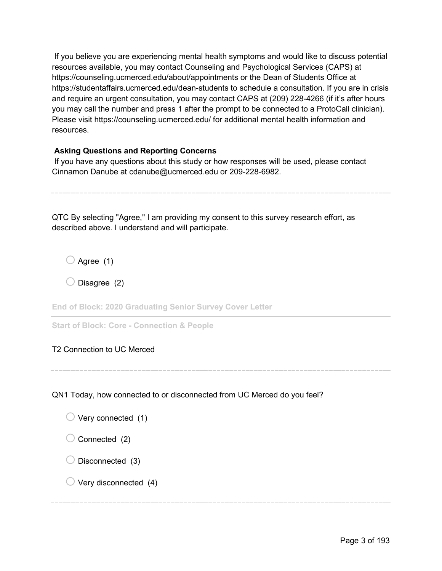If you believe you are experiencing mental health symptoms and would like to discuss potential resources available, you may contact Counseling and Psychological Services (CAPS) at https://counseling.ucmerced.edu/about/appointments or the Dean of Students Office at https://studentaffairs.ucmerced.edu/dean-students to schedule a consultation. If you are in crisis and require an urgent consultation, you may contact CAPS at (209) 228-4266 (if it's after hours you may call the number and press 1 after the prompt to be connected to a ProtoCall clinician). Please visit https://counseling.ucmerced.edu/ for additional mental health information and resources.

# **Asking Questions and Reporting Concerns**

If you have any questions about this study or how responses will be used, please contact Cinnamon Danube at cdanube@ucmerced.edu or 209-228-6982.

QTC By selecting "Agree," I am providing my consent to this survey research effort, as described above. I understand and will participate.

 $\bigcirc$  Agree (1)

 $\bigcirc$  Disagree (2)

**End of Block: 2020 Graduating Senior Survey Cover Letter**

**Start of Block: Core - Connection & People**

T2 Connection to UC Merced

QN1 Today, how connected to or disconnected from UC Merced do you feel?

 $\bigcirc$  Very connected (1)

 $\bigcirc$  Connected (2)

 $\bigcirc$  Disconnected (3)

 $\bigcirc$  Very disconnected (4)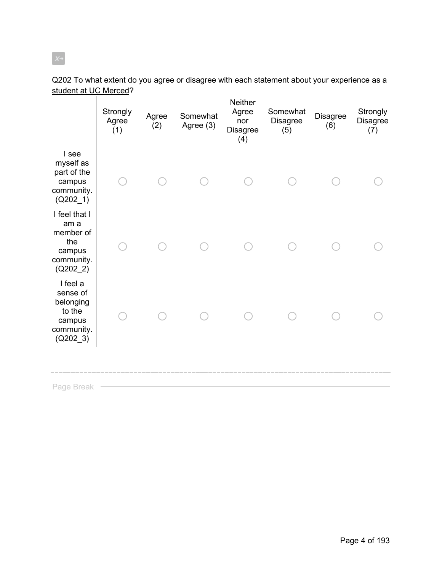Q202 To what extent do you agree or disagree with each statement about your experience as a student at UC Merced?

|                                                                                   | Strongly<br>Agree<br>(1) | Agree<br>(2) | Somewhat<br>Agree (3) | <b>Neither</b><br>Agree<br>nor<br><b>Disagree</b><br>(4) | Somewhat<br><b>Disagree</b><br>(5) | Disagree<br>(6) | Strongly<br>Disagree<br>(7) |
|-----------------------------------------------------------------------------------|--------------------------|--------------|-----------------------|----------------------------------------------------------|------------------------------------|-----------------|-----------------------------|
| I see<br>myself as<br>part of the<br>campus<br>community.<br>$(Q202_1)$           |                          |              |                       |                                                          |                                    |                 |                             |
| I feel that I<br>am a<br>member of<br>the<br>campus<br>community.<br>$(Q202_2)$   |                          |              |                       |                                                          |                                    |                 |                             |
| I feel a<br>sense of<br>belonging<br>to the<br>campus<br>community.<br>$(Q202-3)$ |                          |              |                       |                                                          |                                    |                 |                             |
| Page Break                                                                        |                          |              |                       |                                                          |                                    |                 |                             |

 $X \rightarrow$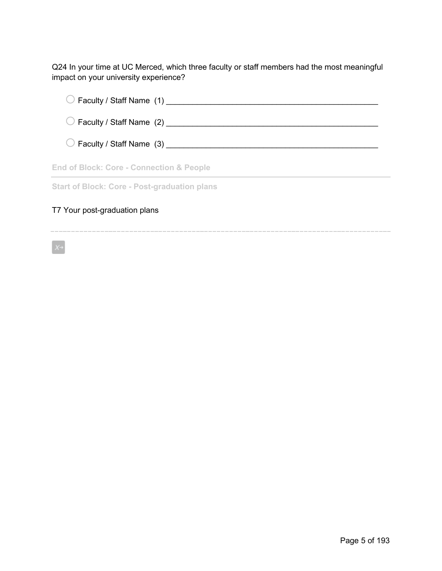Q24 In your time at UC Merced, which three faculty or staff members had the most meaningful impact on your university experience?

| <b>Start of Block: Core - Post-graduation plans</b> |  |
|-----------------------------------------------------|--|
| <b>End of Block: Core - Connection &amp; People</b> |  |
| $\bigcirc$ Faculty / Staff Name $(3)$               |  |
| $\bigcirc$ Faculty / Staff Name $(2)$               |  |
| $\bigcirc$ Faculty / Staff Name $(1)$               |  |

T7 Your post-graduation plans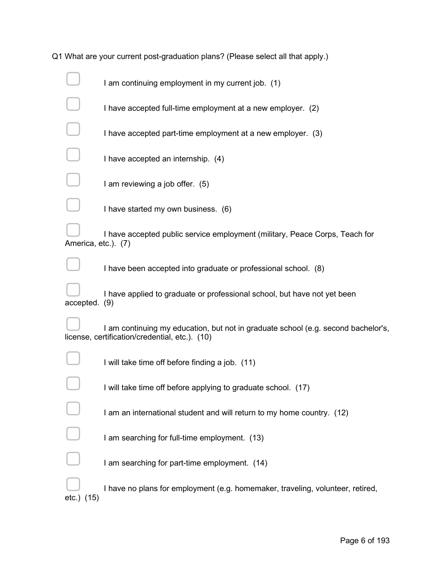|               | I am continuing employment in my current job. (1)                                                                                   |
|---------------|-------------------------------------------------------------------------------------------------------------------------------------|
|               | I have accepted full-time employment at a new employer. (2)                                                                         |
|               | I have accepted part-time employment at a new employer. (3)                                                                         |
|               | I have accepted an internship. (4)                                                                                                  |
|               | I am reviewing a job offer. (5)                                                                                                     |
|               | I have started my own business. (6)                                                                                                 |
|               | I have accepted public service employment (military, Peace Corps, Teach for<br>America, etc.). (7)                                  |
|               | I have been accepted into graduate or professional school. (8)                                                                      |
| accelted. (9) | I have applied to graduate or professional school, but have not yet been                                                            |
|               | I am continuing my education, but not in graduate school (e.g. second bachelor's,<br>license, certification/credential, etc.). (10) |
|               | I will take time off before finding a job. (11)                                                                                     |
|               | I will take time off before applying to graduate school. (17)                                                                       |
|               | I am an international student and will return to my home country. (12)                                                              |
|               | I am searching for full-time employment. (13)                                                                                       |
|               | I am searching for part-time employment. (14)                                                                                       |
| etc.) (15)    | I have no plans for employment (e.g. homemaker, traveling, volunteer, retired,                                                      |

Q1 What are your current post-graduation plans? (Please select all that apply.)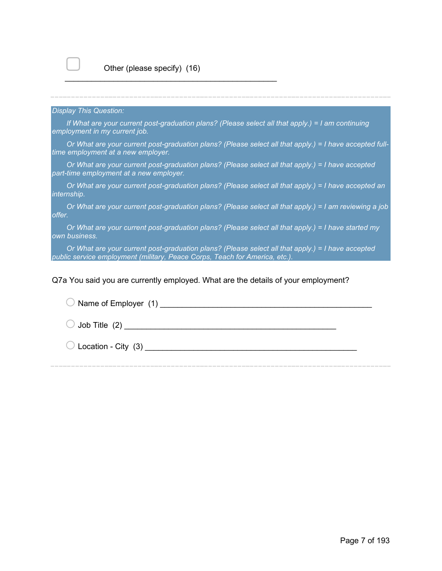Other (please specify) (16)

 $\mathcal{L}_\text{max}$  , and the contract of the contract of the contract of the contract of the contract of the contract of the contract of the contract of the contract of the contract of the contract of the contract of the contr

#### *Display This Question:*

*If What are your current post-graduation plans? (Please select all that apply.) = I am continuing employment in my current job.*

*Or What are your current post-graduation plans? (Please select all that apply.) = I have accepted fulltime employment at a new employer.*

*Or What are your current post-graduation plans? (Please select all that apply.) = I have accepted part-time employment at a new employer.*

*Or What are your current post-graduation plans? (Please select all that apply.) = I have accepted an internship.*

*Or What are your current post-graduation plans? (Please select all that apply.) = I am reviewing a job offer.*

*Or What are your current post-graduation plans? (Please select all that apply.) = I have started my own business.*

*Or What are your current post-graduation plans? (Please select all that apply.) = I have accepted public service employment (military, Peace Corps, Teach for America, etc.).*

#### Q7a You said you are currently employed. What are the details of your employment?

| $\bigcirc$ Name of Employer (1) ______ |  |
|----------------------------------------|--|
| $\bigcirc$ Job Title (2)               |  |
| $\bigcirc$ Location - City (3)         |  |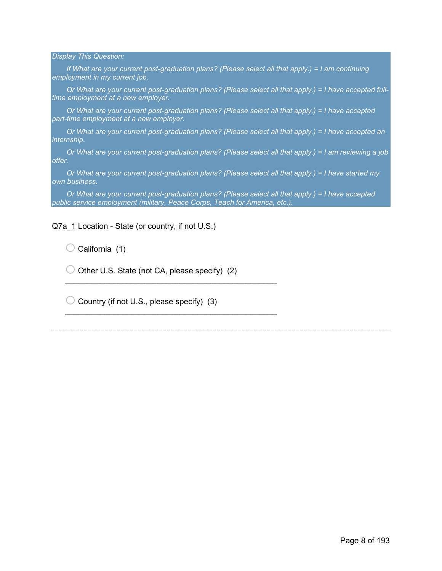*Display This Question:*

*If What are your current post-graduation plans? (Please select all that apply.) = I am continuing employment in my current job.*

*Or What are your current post-graduation plans? (Please select all that apply.) = I have accepted fulltime employment at a new employer.*

*Or What are your current post-graduation plans? (Please select all that apply.) = I have accepted part-time employment at a new employer.*

*Or What are your current post-graduation plans? (Please select all that apply.) = I have accepted an internship.*

*Or What are your current post-graduation plans? (Please select all that apply.) = I am reviewing a job offer.*

*Or What are your current post-graduation plans? (Please select all that apply.) = I have started my own business.*

*Or What are your current post-graduation plans? (Please select all that apply.) = I have accepted public service employment (military, Peace Corps, Teach for America, etc.).*

Q7a 1 Location - State (or country, if not U.S.)

 $\bigcirc$  California (1)

 $\bigcirc$  Other U.S. State (not CA, please specify) (2)

 $\mathcal{L}_\text{max}$  , and the contract of the contract of the contract of the contract of the contract of the contract of the contract of the contract of the contract of the contract of the contract of the contract of the contr

 $\mathcal{L}_\text{max}$  , and the contract of the contract of the contract of the contract of the contract of the contract of the contract of the contract of the contract of the contract of the contract of the contract of the contr

 $\bigcirc$  Country (if not U.S., please specify) (3)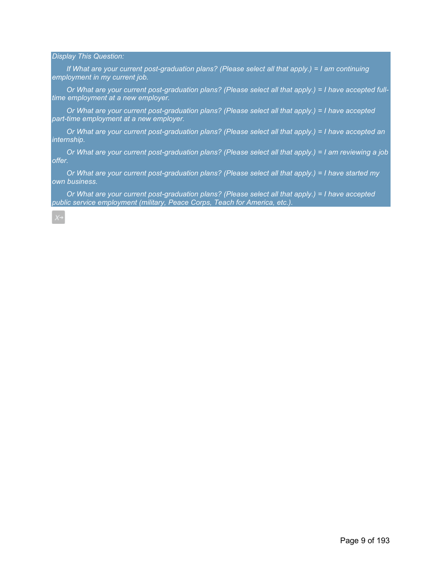*Display This Question:*

*If What are your current post-graduation plans? (Please select all that apply.) = I am continuing employment in my current job.*

*Or What are your current post-graduation plans? (Please select all that apply.) = I have accepted fulltime employment at a new employer.*

*Or What are your current post-graduation plans? (Please select all that apply.) = I have accepted part-time employment at a new employer.*

*Or What are your current post-graduation plans? (Please select all that apply.) = I have accepted an internship.*

*Or What are your current post-graduation plans? (Please select all that apply.) = I am reviewing a job offer.*

*Or What are your current post-graduation plans? (Please select all that apply.) = I have started my own business.*

*Or What are your current post-graduation plans? (Please select all that apply.) = I have accepted public service employment (military, Peace Corps, Teach for America, etc.).*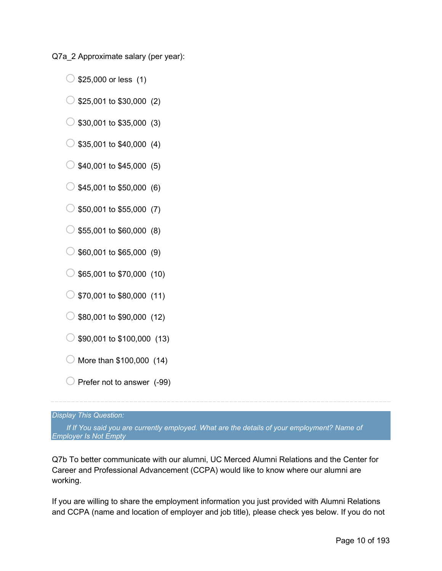Q7a\_2 Approximate salary (per year):

- $\circ$  \$25,000 or less (1)
- $\bigcirc$  \$25,001 to \$30,000 (2)
- $\bigcirc$  \$30,001 to \$35,000 (3)
- $\circ$  \$35,001 to \$40,000 (4)
- $\bigcirc$  \$40,001 to \$45,000 (5)
- $\circ$  \$45,001 to \$50,000 (6)
- $\circ$  \$50,001 to \$55,000 (7)
- $\bigcirc$  \$55,001 to \$60,000 (8)
- $\circ$  \$60,001 to \$65,000 (9)
- $\circ$  \$65,001 to \$70,000 (10)
- $\circ$  \$70,001 to \$80,000 (11)
- $\circ$  \$80,001 to \$90,000 (12)
- $\bigcirc$  \$90,001 to \$100,000 (13)
- $\bigcirc$  More than \$100,000 (14)
- $\bigcirc$  Prefer not to answer (-99)

#### *Display This Question:*

*If If You said you are currently employed. What are the details of your employment? Name of Employer Is Not Empty*

Q7b To better communicate with our alumni, UC Merced Alumni Relations and the Center for Career and Professional Advancement (CCPA) would like to know where our alumni are working.

If you are willing to share the employment information you just provided with Alumni Relations and CCPA (name and location of employer and job title), please check yes below. If you do not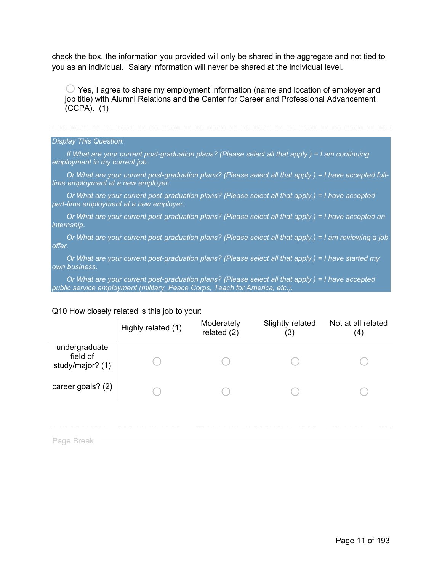check the box, the information you provided will only be shared in the aggregate and not tied to you as an individual. Salary information will never be shared at the individual level.

 $\bigcirc$  Yes, I agree to share my employment information (name and location of employer and job title) with Alumni Relations and the Center for Career and Professional Advancement (CCPA). (1)

#### *Display This Question:*

*If What are your current post-graduation plans? (Please select all that apply.) = I am continuing employment in my current job.*

*Or What are your current post-graduation plans? (Please select all that apply.) = I have accepted fulltime employment at a new employer.*

*Or What are your current post-graduation plans? (Please select all that apply.) = I have accepted part-time employment at a new employer.*

*Or What are your current post-graduation plans? (Please select all that apply.) = I have accepted an internship.*

*Or What are your current post-graduation plans? (Please select all that apply.) = I am reviewing a job offer.*

*Or What are your current post-graduation plans? (Please select all that apply.) = I have started my own business.*

*Or What are your current post-graduation plans? (Please select all that apply.) = I have accepted public service employment (military, Peace Corps, Teach for America, etc.).*

## Q10 How closely related is this job to your:

|                                               | Highly related (1) | Moderately<br>related (2) | Slightly related<br>(3) | Not at all related<br>$\left( 4\right)$ |
|-----------------------------------------------|--------------------|---------------------------|-------------------------|-----------------------------------------|
| undergraduate<br>field of<br>study/major? (1) |                    |                           |                         |                                         |
| career goals? (2)                             |                    |                           |                         |                                         |
|                                               |                    |                           |                         |                                         |
| Page Break                                    |                    |                           |                         |                                         |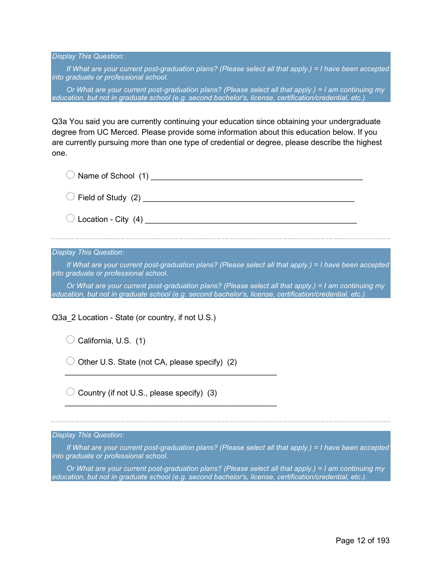*Display This Question:*

*If What are your current post-graduation plans? (Please select all that apply.) = I have been accepted into graduate or professional school.*

*Or What are your current post-graduation plans? (Please select all that apply.) = I am continuing my education, but not in graduate school (e.g. second bachelor's, license, certification/credential, etc.).*

Q3a You said you are currently continuing your education since obtaining your undergraduate degree from UC Merced. Please provide some information about this education below. If you are currently pursuing more than one type of credential or degree, please describe the highest one.

| $\bigcup$ Name of School $(1)$                                                                                                                  |  |
|-------------------------------------------------------------------------------------------------------------------------------------------------|--|
| $\bigcirc$ Field of Study (2) ______                                                                                                            |  |
| $\blacksquare$ Location - City $(4)$                                                                                                            |  |
|                                                                                                                                                 |  |
| <b>Display This Question:</b>                                                                                                                   |  |
| If What are your current post-graduation plans? (Please select all that apply.) = I have been accepted<br>into graduate or professional school. |  |

*Or What are your current post-graduation plans? (Please select all that apply.) = I am continuing my education, but not in graduate school (e.g. second bachelor's, license, certification/credential, etc.).*

Q3a\_2 Location - State (or country, if not U.S.)

 $\bigcirc$  California, U.S. (1)

 $\bigcirc$  Other U.S. State (not CA, please specify) (2)

 $\mathcal{L}_\text{max}$  , and the contract of the contract of the contract of the contract of the contract of the contract of the contract of the contract of the contract of the contract of the contract of the contract of the contr

 $\frac{1}{2}$  , and the set of the set of the set of the set of the set of the set of the set of the set of the set of the set of the set of the set of the set of the set of the set of the set of the set of the set of the set

 $\bigcirc$  Country (if not U.S., please specify) (3)

*Display This Question:*

*If What are your current post-graduation plans? (Please select all that apply.) = I have been accepted into graduate or professional school.*

*Or What are your current post-graduation plans? (Please select all that apply.) = I am continuing my education, but not in graduate school (e.g. second bachelor's, license, certification/credential, etc.).*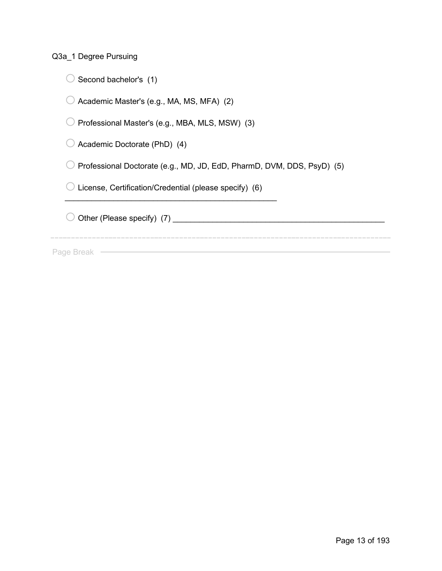Q3a\_1 Degree Pursuing

| $\bigcirc$ Second bachelor's (1) |  |
|----------------------------------|--|
|----------------------------------|--|

 $\bigcirc$  Academic Master's (e.g., MA, MS, MFA) (2)

 $\bigcirc$  Professional Master's (e.g., MBA, MLS, MSW) (3)

 $\bigcirc$  Academic Doctorate (PhD) (4)

o Professional Doctorate (e.g., MD, JD, EdD, PharmD, DVM, DDS, PsyD) (5)

 $\bigcirc$  License, Certification/Credential (please specify) (6)  $\mathcal{L}_\text{max}$  , and the contract of the contract of the contract of the contract of the contract of the contract of the contract of the contract of the contract of the contract of the contract of the contract of the contr

 $\bigcirc$  Other (Please specify) (7)

Page Break -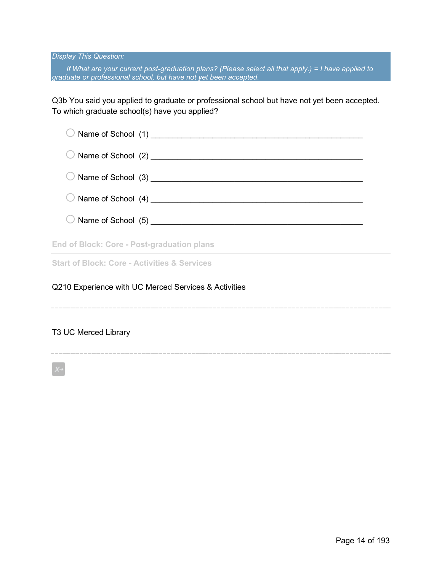*Display This Question:*

*If What are your current post-graduation plans? (Please select all that apply.) = I have applied to graduate or professional school, but have not yet been accepted.*

Q3b You said you applied to graduate or professional school but have not yet been accepted. To which graduate school(s) have you applied?

| <b>End of Block: Core - Post-graduation plans</b> |  |
|---------------------------------------------------|--|

**Start of Block: Core - Activities & Services**

Q210 Experience with UC Merced Services & Activities

T3 UC Merced Library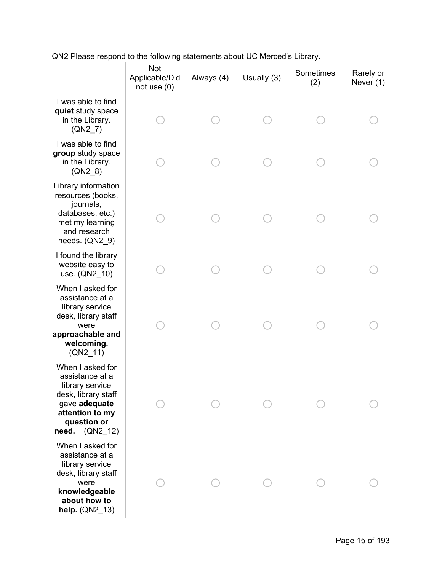|                                                                                                                                                         | <b>Not</b><br>Applicable/Did<br>not use $(0)$ | Always (4) | Usually (3) | Sometimes<br>(2) | Rarely or<br>Never (1) |
|---------------------------------------------------------------------------------------------------------------------------------------------------------|-----------------------------------------------|------------|-------------|------------------|------------------------|
| I was able to find<br>quiet study space<br>in the Library.<br>$(QN2-7)$                                                                                 |                                               |            |             |                  |                        |
| I was able to find<br>group study space<br>in the Library.<br>$(ON2_8)$                                                                                 |                                               |            |             |                  |                        |
| Library information<br>resources (books,<br>journals,<br>databases, etc.)<br>met my learning<br>and research<br>needs. (QN2_9)                          |                                               |            |             |                  |                        |
| I found the library<br>website easy to<br>use. (QN2_10)                                                                                                 |                                               |            |             |                  |                        |
| When I asked for<br>assistance at a<br>library service<br>desk, library staff<br>were<br>approachable and<br>welcoming.<br>(QN2 11)                     |                                               |            |             |                  |                        |
| When I asked for<br>assistance at a<br>library service<br>desk, library staff<br>gave adequate<br>attention to my<br>question or<br>need.<br>$(QN2_12)$ |                                               |            |             |                  |                        |
| When I asked for<br>assistance at a<br>library service<br>desk, library staff<br>were<br>knowledgeable<br>about how to<br>help. (QN2_13)                |                                               |            |             |                  |                        |

QN2 Please respond to the following statements about UC Merced's Library.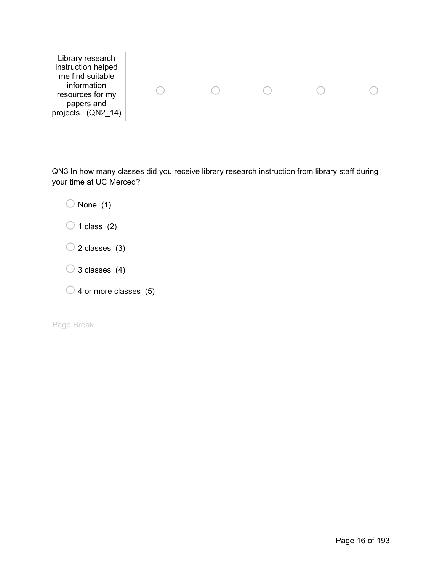| Library research<br>instruction helped<br>me find suitable<br>information<br>resources for my<br>papers and<br>projects. (QN2 14) |  |  |  |
|-----------------------------------------------------------------------------------------------------------------------------------|--|--|--|
|                                                                                                                                   |  |  |  |

QN3 In how many classes did you receive library research instruction from library staff during your time at UC Merced?

 $\bigcirc$  None (1)  $\bigcirc$  1 class (2)  $\bigcirc$  2 classes (3)  $\bigcirc$  3 classes (4)  $\bigcirc$  4 or more classes (5) Page Break –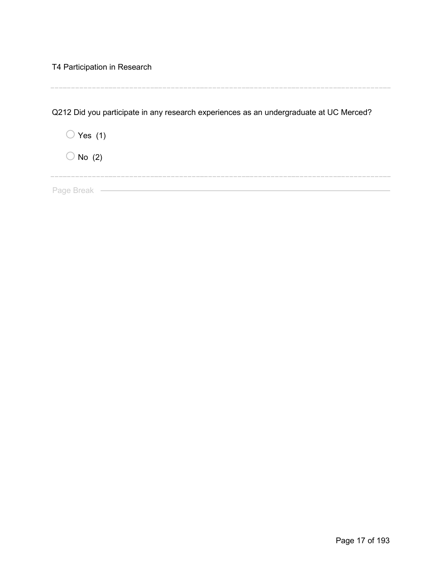T4 Participation in Research

Q212 Did you participate in any research experiences as an undergraduate at UC Merced?  $\bigcirc$  Yes (1)  $\bigcirc$  No (2) Page Break ––––––––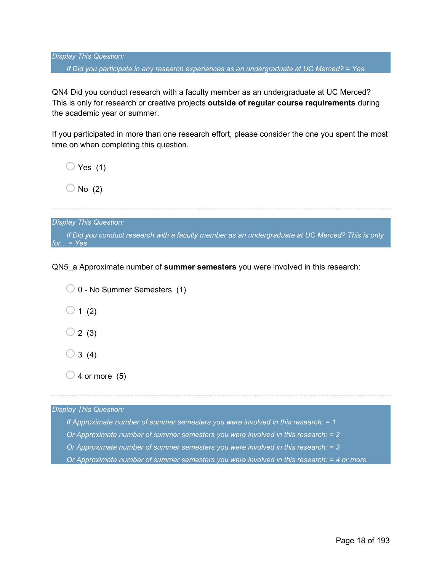*Display This Question:*

*If Did you participate in any research experiences as an undergraduate at UC Merced? = Yes*

QN4 Did you conduct research with a faculty member as an undergraduate at UC Merced? This is only for research or creative projects **outside of regular course requirements** during the academic year or summer.

If you participated in more than one research effort, please consider the one you spent the most time on when completing this question.

|                  | ◯ Yes (1) |
|------------------|-----------|
| $\bigcup$ No (2) |           |

| Display This Question:                                                                           |
|--------------------------------------------------------------------------------------------------|
|                                                                                                  |
| If Did you conduct research with a faculty member as an undergraduate at UC Merced? This is only |
| $for = Yes$                                                                                      |

QN5\_a Approximate number of **summer semesters** you were involved in this research:

| $\bigcirc$ 0 - No Summer Semesters (1) |
|----------------------------------------|
| $\bigcirc$ 1 (2)                       |
| $\bigcirc$ 2 (3)                       |
| $\bigcirc$ 3 (4)                       |
| $\bigcirc$ 4 or more (5)               |

*Display This Question:*

- *If Approximate number of summer semesters you were involved in this research: = 1*
- *Or Approximate number of summer semesters you were involved in this research: = 2*
- *Or Approximate number of summer semesters you were involved in this research: = 3*
- *Or Approximate number of summer semesters you were involved in this research: = 4 or more*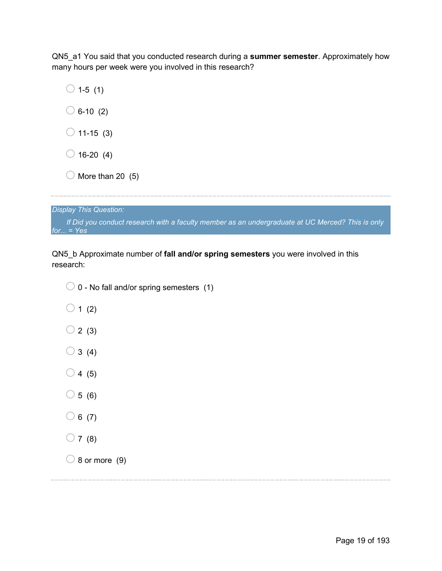QN5\_a1 You said that you conducted research during a **summer semester**. Approximately how many hours per week were you involved in this research?

 $\bigcirc$  1-5 (1)  $\bigcirc$  6-10 (2)  $\bigcirc$  11-15 (3)  $\bigcirc$  16-20 (4)  $\bigcirc$  More than 20 (5)

| <b>Display This Question:</b>                                                                    |
|--------------------------------------------------------------------------------------------------|
|                                                                                                  |
| If Did you conduct research with a faculty member as an undergraduate at UC Merced? This is only |
| $for = Yes$                                                                                      |
|                                                                                                  |

QN5\_b Approximate number of **fall and/or spring semesters** you were involved in this research:

| $\bigcirc$ 0 - No fall and/or spring semesters (1) |
|----------------------------------------------------|
| $\bigcirc$ 1 (2)                                   |
| $\bigcirc$ 2 (3)                                   |
| $\bigcirc$ 3 (4)                                   |
| $\bigcirc$ 4 (5)                                   |
| $\bigcirc$ 5 (6)                                   |
| $\bigcirc$ 6 (7)                                   |
| 7(8)                                               |

 $\bigcirc$  8 or more (9)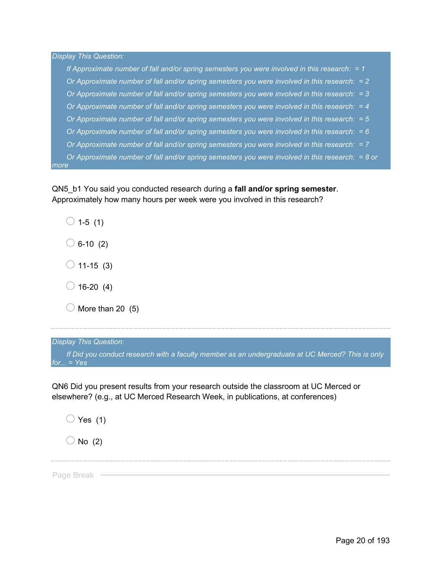| <b>Display This Question:</b>                                                                              |
|------------------------------------------------------------------------------------------------------------|
| If Approximate number of fall and/or spring semesters you were involved in this research: = 1              |
| Or Approximate number of fall and/or spring semesters you were involved in this research: = 2              |
| Or Approximate number of fall and/or spring semesters you were involved in this research: $=$ 3            |
| Or Approximate number of fall and/or spring semesters you were involved in this research: $=$ 4            |
| Or Approximate number of fall and/or spring semesters you were involved in this research: = 5              |
| Or Approximate number of fall and/or spring semesters you were involved in this research: $= 6$            |
| Or Approximate number of fall and/or spring semesters you were involved in this research: = 7              |
| Or Approximate number of fall and/or spring semesters you were involved in this research: $= 8$ or<br>more |

QN5\_b1 You said you conducted research during a **fall and/or spring semester**. Approximately how many hours per week were you involved in this research?

- $\bigcirc$  1-5 (1)  $\circ$  6-10 (2)
- $\bigcirc$  11-15 (3)
- $\bigcirc$  16-20 (4)
- $\bigcirc$  More than 20 (5)

| <b>Display This Question:</b>                                                                                   |
|-----------------------------------------------------------------------------------------------------------------|
| If Did you conduct research with a faculty member as an undergraduate at UC Merced? This is only<br>$for = Yes$ |
|                                                                                                                 |

QN6 Did you present results from your research outside the classroom at UC Merced or elsewhere? (e.g., at UC Merced Research Week, in publications, at conferences)

| $\bigcirc$ Yes (1) |  |  |  |
|--------------------|--|--|--|
| $\bigcirc$ No (2)  |  |  |  |
|                    |  |  |  |
| Page Break -       |  |  |  |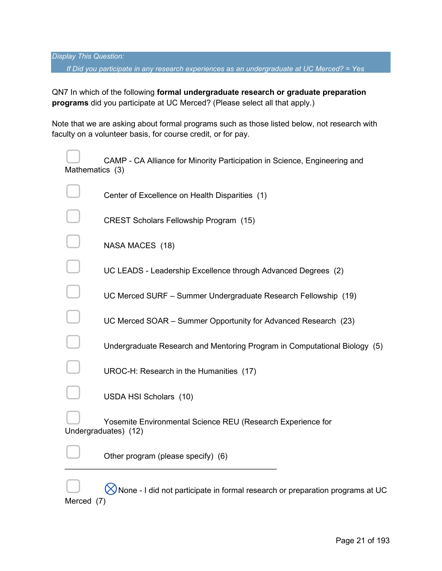*Display This Question:*

*If Did you participate in any research experiences as an undergraduate at UC Merced? = Yes*

QN7 In which of the following **formal undergraduate research or graduate preparation programs** did you participate at UC Merced? (Please select all that apply.)

Note that we are asking about formal programs such as those listed below, not research with faculty on a volunteer basis, for course credit, or for pay.

| Mathematics (3) | CAMP - CA Alliance for Minority Participation in Science, Engineering and           |
|-----------------|-------------------------------------------------------------------------------------|
|                 | Center of Excellence on Health Disparities (1)                                      |
|                 | <b>CREST Scholars Fellowship Program (15)</b>                                       |
|                 | NASA MACES (18)                                                                     |
|                 | UC LEADS - Leadership Excellence through Advanced Degrees (2)                       |
|                 | UC Merced SURF - Summer Undergraduate Research Fellowship (19)                      |
|                 | UC Merced SOAR - Summer Opportunity for Advanced Research (23)                      |
|                 | Undergraduate Research and Mentoring Program in Computational Biology (5)           |
|                 | UROC-H: Research in the Humanities (17)                                             |
|                 | USDA HSI Scholars (10)                                                              |
|                 | Yosemite Environmental Science REU (Research Experience for<br>Undergraduates) (12) |
|                 | Other program (please specify) (6)                                                  |
| Merced (7)      | None - I did not participate in formal research or preparation programs at UC       |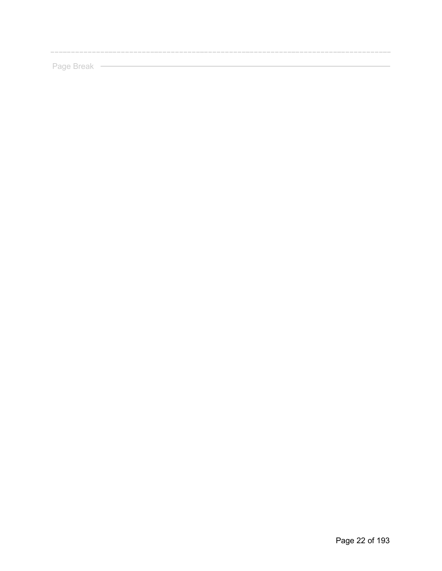Page Break –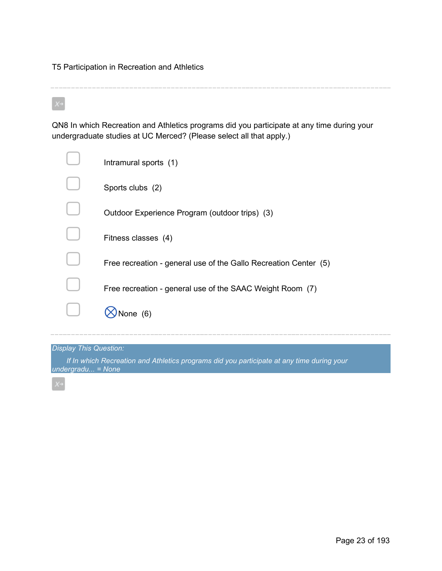T5 Participation in Recreation and Athletics

QN8 In which Recreation and Athletics programs did you participate at any time during your undergraduate studies at UC Merced? (Please select all that apply.)

| Intramural sports (1)                                            |
|------------------------------------------------------------------|
| Sports clubs (2)                                                 |
| Outdoor Experience Program (outdoor trips) (3)                   |
| Fitness classes (4)                                              |
| Free recreation - general use of the Gallo Recreation Center (5) |
| Free recreation - general use of the SAAC Weight Room (7)        |
| one (6)                                                          |

### *Display This Question:*

*If In which Recreation and Athletics programs did you participate at any time during your undergradu... = None*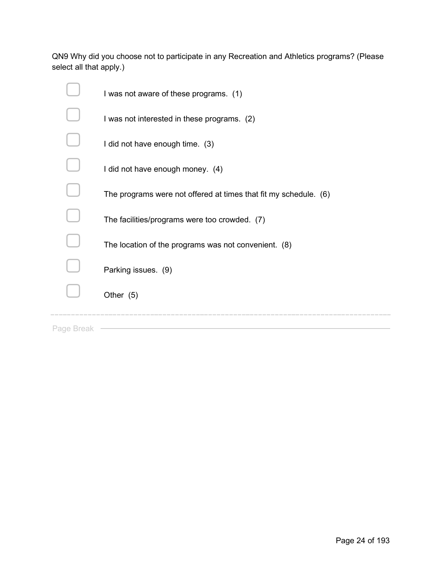QN9 Why did you choose not to participate in any Recreation and Athletics programs? (Please select all that apply.)

|            | I was not aware of these programs. (1)                           |
|------------|------------------------------------------------------------------|
|            | I was not interested in these programs. (2)                      |
|            | I did not have enough time. (3)                                  |
|            | I did not have enough money. (4)                                 |
|            | The programs were not offered at times that fit my schedule. (6) |
|            | The facilities/programs were too crowded. (7)                    |
|            | The location of the programs was not convenient. (8)             |
|            | Parking issues. (9)                                              |
|            | Other (5)                                                        |
| Page Break |                                                                  |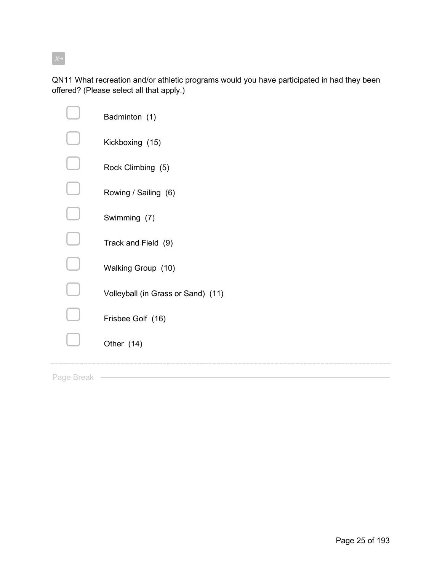

QN11 What recreation and/or athletic programs would you have participated in had they been offered? (Please select all that apply.)

|            | Badminton (1)                      |
|------------|------------------------------------|
|            | Kickboxing (15)                    |
|            | Rock Climbing (5)                  |
|            | Rowing / Sailing (6)               |
|            | Swimming (7)                       |
|            | Track and Field (9)                |
|            | Walking Group (10)                 |
|            | Volleyball (in Grass or Sand) (11) |
|            | Frisbee Golf (16)                  |
|            | Other (14)                         |
|            |                                    |
| Page Break |                                    |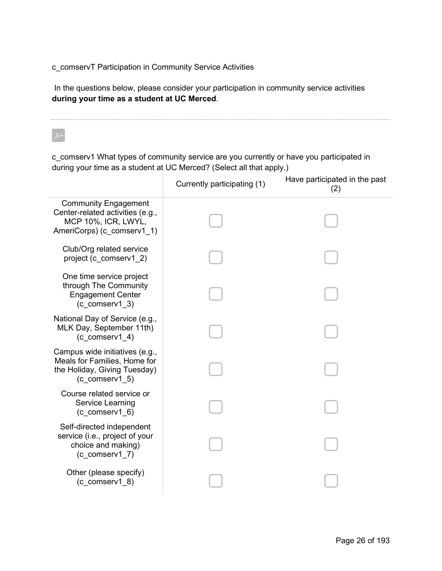c\_comservT Participation in Community Service Activities

In the questions below, please consider your participation in community service activities **during your time as a student at UC Merced**.

 $X \rightarrow$ 

c\_comserv1 What types of community service are you currently or have you participated in during your time as a student at UC Merced? (Select all that apply.)

|                                                                                                                             | Currently participating (1) | Have participated in the past<br>(2) |
|-----------------------------------------------------------------------------------------------------------------------------|-----------------------------|--------------------------------------|
| <b>Community Engagement</b><br>Center-related activities (e.g.,<br>MCP 10%, ICR, LWYL,<br>AmeriCorps) (c comserv1 1)        |                             |                                      |
| Club/Org related service<br>project (c comserv1 2)                                                                          |                             |                                      |
| One time service project<br>through The Community<br><b>Engagement Center</b><br>$(c \text{ conserv1 } 3)$                  |                             |                                      |
| National Day of Service (e.g.,<br>MLK Day, September 11th)<br>$(c \text{ conserv1 } 4)$                                     |                             |                                      |
| Campus wide initiatives (e.g.,<br>Meals for Families, Home for<br>the Holiday, Giving Tuesday)<br>$(c \text{ conserv1 } 5)$ |                             |                                      |
| Course related service or<br>Service Learning<br>$(c \text{ conserv1 } 6)$                                                  |                             |                                      |
| Self-directed independent<br>service (i.e., project of your<br>choice and making)<br>$(c \text{ conserv1 } 7)$              |                             |                                      |
| Other (please specify)<br>(c comserv1 8)                                                                                    |                             |                                      |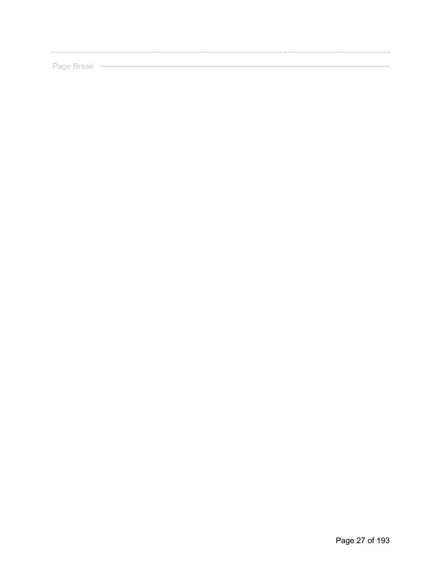Page Break –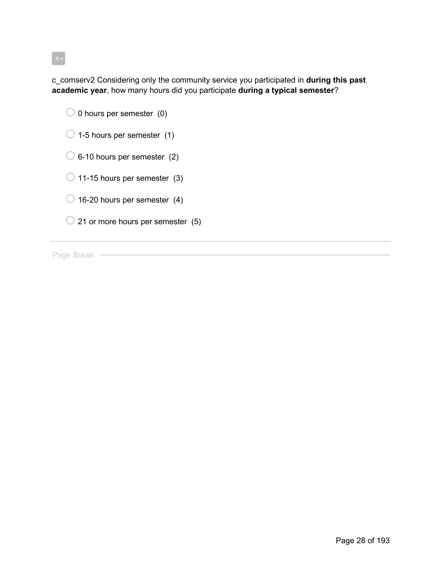$X\rightarrow$ 

c\_comserv2 Considering only the community service you participated in **during this past academic year**, how many hours did you participate **during a typical semester**?

 $\bigcirc$  0 hours per semester (0)  $\bigcirc$  1-5 hours per semester (1)  $\bigcirc$  6-10 hours per semester (2)  $\bigcirc$  11-15 hours per semester (3)  $\bigcirc$  16-20 hours per semester (4)  $\bigcirc$  21 or more hours per semester (5)

Page Break ——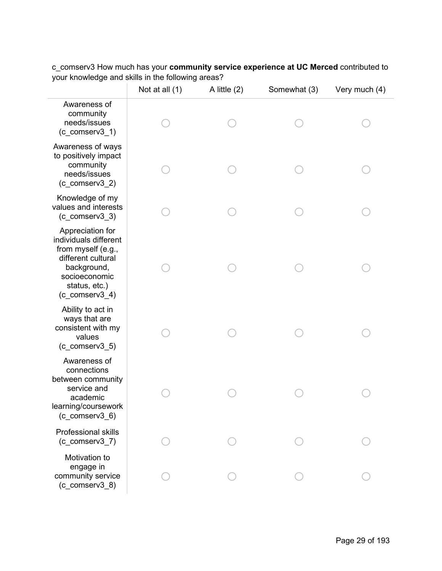|                                                                                                                                                                     | Not at all $(1)$ | A little $(2)$ | Somewhat (3) | Very much (4) |
|---------------------------------------------------------------------------------------------------------------------------------------------------------------------|------------------|----------------|--------------|---------------|
| Awareness of<br>community<br>needs/issues<br>$(c_{convserv3_1})$                                                                                                    |                  |                |              |               |
| Awareness of ways<br>to positively impact<br>community<br>needs/issues<br>$(c_{\text{conserv3}_2})$                                                                 |                  |                |              |               |
| Knowledge of my<br>values and interests<br>$(c_{convserv3_3)$                                                                                                       |                  |                |              |               |
| Appreciation for<br>individuals different<br>from myself (e.g.,<br>different cultural<br>background,<br>socioeconomic<br>status, etc.)<br>$(c_{\text{conserv3}_4})$ |                  |                |              |               |
| Ability to act in<br>ways that are<br>consistent with my<br>values<br>$(c_{\text{conserv3_5}})$                                                                     |                  |                |              |               |
| Awareness of<br>connections<br>between community<br>service and<br>academic<br>learning/coursework<br>$(c \ncomserv3 6)$                                            |                  |                |              |               |
| <b>Professional skills</b><br>$(c \ncomserv3 7)$                                                                                                                    |                  |                |              |               |
| Motivation to<br>engage in<br>community service<br>$(c_{conserv3_8})$                                                                                               |                  |                |              |               |

c\_comserv3 How much has your **community service experience at UC Merced** contributed to your knowledge and skills in the following areas?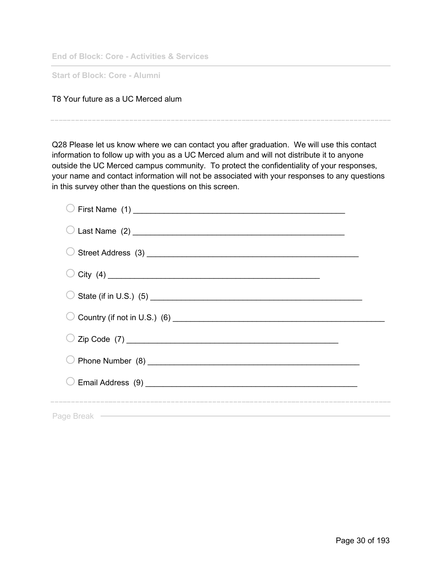**End of Block: Core - Activities & Services**

**Start of Block: Core - Alumni**

# T8 Your future as a UC Merced alum

Q28 Please let us know where we can contact you after graduation. We will use this contact information to follow up with you as a UC Merced alum and will not distribute it to anyone outside the UC Merced campus community. To protect the confidentiality of your responses, your name and contact information will not be associated with your responses to any questions in this survey other than the questions on this screen.

| City (4)                           |  |
|------------------------------------|--|
|                                    |  |
|                                    |  |
|                                    |  |
|                                    |  |
|                                    |  |
|                                    |  |
| Page Break ——————————————————————— |  |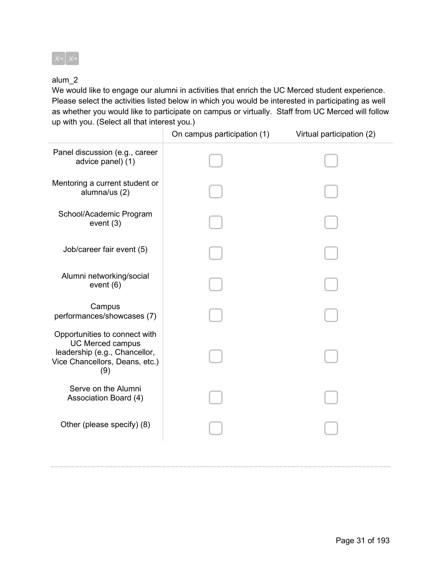

alum\_2

We would like to engage our alumni in activities that enrich the UC Merced student experience. Please select the activities listed below in which you would be interested in participating as well as whether you would like to participate on campus or virtually. Staff from UC Merced will follow up with you. (Select all that interest you.)

|                                                                                                                                    | On campus participation (1) | Virtual participation (2) |
|------------------------------------------------------------------------------------------------------------------------------------|-----------------------------|---------------------------|
| Panel discussion (e.g., career<br>advice panel) (1)                                                                                |                             |                           |
| Mentoring a current student or<br>alumna/us (2)                                                                                    |                             |                           |
| School/Academic Program<br>event $(3)$                                                                                             |                             |                           |
| Job/career fair event (5)                                                                                                          |                             |                           |
| Alumni networking/social<br>event $(6)$                                                                                            |                             |                           |
| Campus<br>performances/showcases (7)                                                                                               |                             |                           |
| Opportunities to connect with<br><b>UC Merced campus</b><br>leadership (e.g., Chancellor,<br>Vice Chancellors, Deans, etc.)<br>(9) |                             |                           |
| Serve on the Alumni<br>Association Board (4)                                                                                       |                             |                           |
| Other (please specify) (8)                                                                                                         |                             |                           |
|                                                                                                                                    |                             |                           |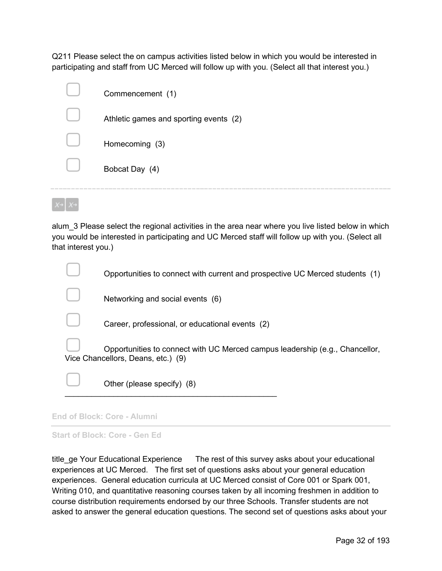Q211 Please select the on campus activities listed below in which you would be interested in participating and staff from UC Merced will follow up with you. (Select all that interest you.)

|  | Commencement (1)                       |
|--|----------------------------------------|
|  | Athletic games and sporting events (2) |
|  | Homecoming (3)                         |
|  | Bobcat Day (4)                         |
|  |                                        |

alum 3 Please select the regional activities in the area near where you live listed below in which you would be interested in participating and UC Merced staff will follow up with you. (Select all that interest you.)

| Opportunities to connect with current and prospective UC Merced students (1)                                       |
|--------------------------------------------------------------------------------------------------------------------|
| Networking and social events (6)                                                                                   |
| Career, professional, or educational events (2)                                                                    |
| Opportunities to connect with UC Merced campus leadership (e.g., Chancellor,<br>Vice Chancellors, Deans, etc.) (9) |
| Other (please specify) (8)                                                                                         |

# **End of Block: Core - Alumni**

#### **Start of Block: Core - Gen Ed**

title\_ge Your Educational Experience The rest of this survey asks about your educational experiences at UC Merced. The first set of questions asks about your general education experiences. General education curricula at UC Merced consist of Core 001 or Spark 001, Writing 010, and quantitative reasoning courses taken by all incoming freshmen in addition to course distribution requirements endorsed by our three Schools. Transfer students are not asked to answer the general education questions. The second set of questions asks about your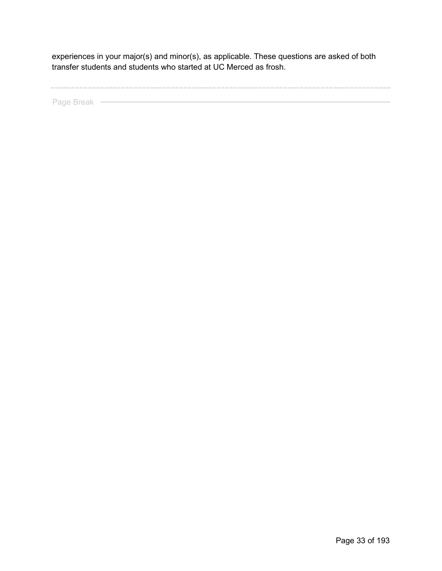experiences in your major(s) and minor(s), as applicable. These questions are asked of both transfer students and students who started at UC Merced as frosh.

Page Break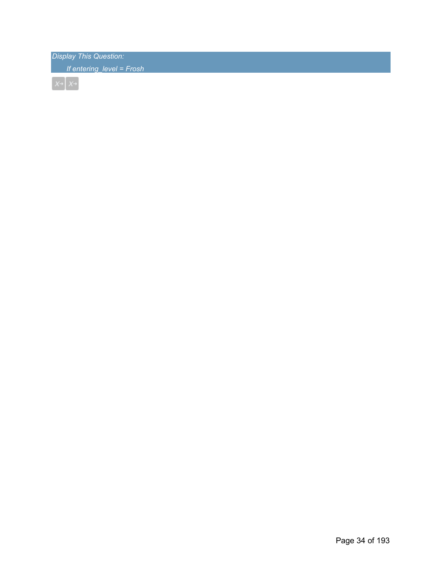*Display This Question:*

*If entering\_level = Frosh*

 $X \rightarrow X \rightarrow$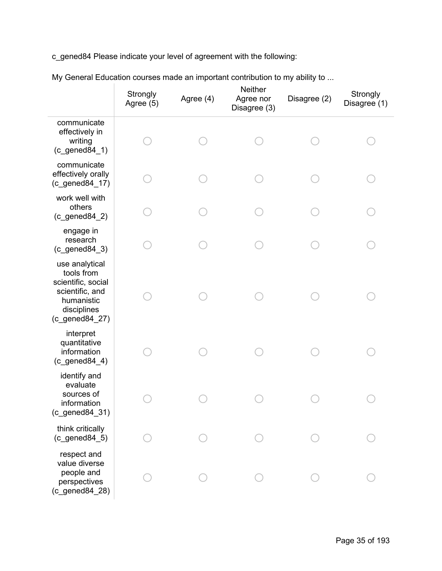c\_gened84 Please indicate your level of agreement with the following:

|                                                                                                                      | Strongly<br>Agree (5) | Agree (4) | Neither<br>Agree nor<br>Disagree (3) | Disagree (2) | Strongly<br>Disagree (1) |
|----------------------------------------------------------------------------------------------------------------------|-----------------------|-----------|--------------------------------------|--------------|--------------------------|
| communicate<br>effectively in<br>writing<br>$(c$ _gened $84$ _1)                                                     |                       |           |                                      |              |                          |
| communicate<br>effectively orally<br>$(c$ _gened $84$ _17)                                                           |                       |           |                                      |              |                          |
| work well with<br>others<br>$(c$ _gened $84$ <sup><math>2)</math></sup>                                              |                       |           |                                      |              |                          |
| engage in<br>research<br>$(c$ _gened $84$ _3)                                                                        |                       |           |                                      |              |                          |
| use analytical<br>tools from<br>scientific, social<br>scientific, and<br>humanistic<br>disciplines<br>(c_gened84_27) |                       |           |                                      |              |                          |
| interpret<br>quantitative<br>information<br>$(c$ _gened $84$ $_4)$                                                   |                       |           |                                      |              |                          |
| identify and<br>evaluate<br>sources of<br>information<br>$(c$ _gened $84$ _31)                                       |                       |           |                                      |              |                          |
| think critically<br>$(c$ _gened $84$ $_5)$                                                                           |                       |           |                                      |              |                          |
| respect and<br>value diverse<br>people and<br>perspectives<br>(c_gened84_28)                                         |                       |           |                                      |              |                          |

My General Education courses made an important contribution to my ability to ...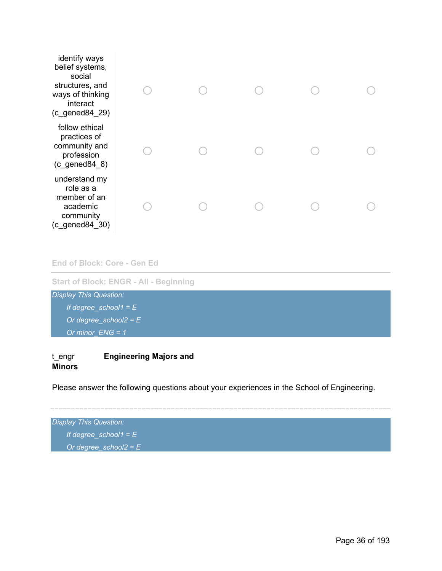| identify ways<br>belief systems,<br>social<br>structures, and<br>ways of thinking<br>interact<br>(c gened 84 29) |  |  |  |
|------------------------------------------------------------------------------------------------------------------|--|--|--|
| follow ethical<br>practices of<br>community and<br>profession<br>$(c$ _gened84 8)                                |  |  |  |
| understand my<br>role as a<br>member of an<br>academic<br>community<br>$(c$ gened 84 30)                         |  |  |  |

**End of Block: Core - Gen Ed**

**Start of Block: ENGR - All - Beginning**

*Display This Question: If degree\_school1 = E Or degree\_school2 = E Or minor\_ENG = 1*

# t\_engr **Engineering Majors and Minors**

Please answer the following questions about your experiences in the School of Engineering.

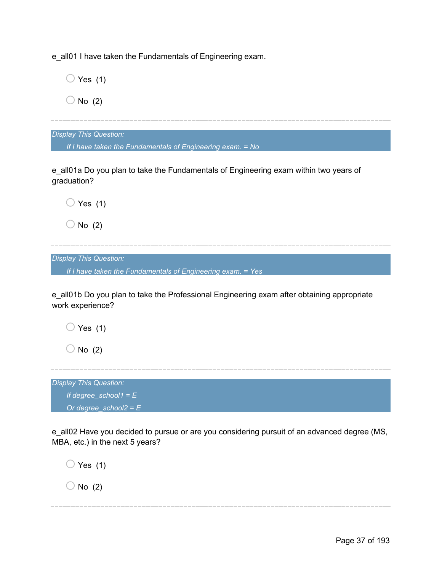e all01 I have taken the Fundamentals of Engineering exam.

 $\bigcirc$  Yes (1)  $\bigcirc$  No (2)

| <b>Display This Question:</b>                              |  |
|------------------------------------------------------------|--|
|                                                            |  |
| If I have taken the Fundamentals of Engineering exam. = No |  |

e all01a Do you plan to take the Fundamentals of Engineering exam within two years of graduation?

 $\bigcirc$  Yes (1)

 $\bigcirc$  No (2)

*Display This Question:*

*If I have taken the Fundamentals of Engineering exam. = Yes*

e all01b Do you plan to take the Professional Engineering exam after obtaining appropriate work experience?

 $\bigcirc$  Yes (1)  $\bigcirc$  No (2)



e\_all02 Have you decided to pursue or are you considering pursuit of an advanced degree (MS, MBA, etc.) in the next 5 years?

 $\bigcirc$  Yes (1)  $\bigcirc$  No (2)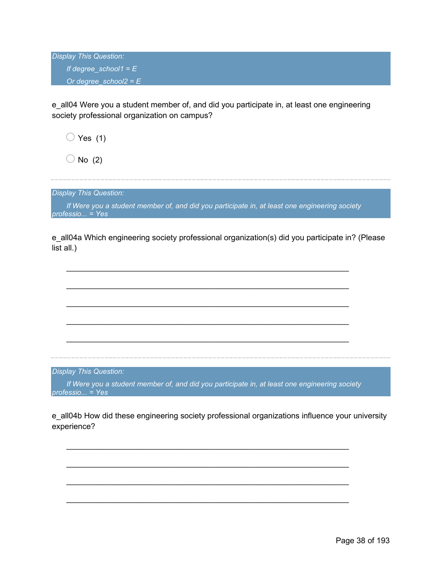```
Display This Question:
If degree_school1 = E
Or degree_school2 = E
```
e\_all04 Were you a student member of, and did you participate in, at least one engineering society professional organization on campus?

| Display This Question: |
|------------------------|
|                        |
| $\bigcirc$ No (2)      |
| $\bigcirc$ Yes (1)     |

*If Were you a student member of, and did you participate in, at least one engineering society professio... = Yes*

\_\_\_\_\_\_\_\_\_\_\_\_\_\_\_\_\_\_\_\_\_\_\_\_\_\_\_\_\_\_\_\_\_\_\_\_\_\_\_\_\_\_\_\_\_\_\_\_\_\_\_\_\_\_\_\_\_\_\_\_\_\_\_\_

\_\_\_\_\_\_\_\_\_\_\_\_\_\_\_\_\_\_\_\_\_\_\_\_\_\_\_\_\_\_\_\_\_\_\_\_\_\_\_\_\_\_\_\_\_\_\_\_\_\_\_\_\_\_\_\_\_\_\_\_\_\_\_\_

\_\_\_\_\_\_\_\_\_\_\_\_\_\_\_\_\_\_\_\_\_\_\_\_\_\_\_\_\_\_\_\_\_\_\_\_\_\_\_\_\_\_\_\_\_\_\_\_\_\_\_\_\_\_\_\_\_\_\_\_\_\_\_\_

\_\_\_\_\_\_\_\_\_\_\_\_\_\_\_\_\_\_\_\_\_\_\_\_\_\_\_\_\_\_\_\_\_\_\_\_\_\_\_\_\_\_\_\_\_\_\_\_\_\_\_\_\_\_\_\_\_\_\_\_\_\_\_\_

\_\_\_\_\_\_\_\_\_\_\_\_\_\_\_\_\_\_\_\_\_\_\_\_\_\_\_\_\_\_\_\_\_\_\_\_\_\_\_\_\_\_\_\_\_\_\_\_\_\_\_\_\_\_\_\_\_\_\_\_\_\_\_\_

e all04a Which engineering society professional organization(s) did you participate in? (Please list all.)

*Display This Question:*

*If Were you a student member of, and did you participate in, at least one engineering society professio... = Yes*

\_\_\_\_\_\_\_\_\_\_\_\_\_\_\_\_\_\_\_\_\_\_\_\_\_\_\_\_\_\_\_\_\_\_\_\_\_\_\_\_\_\_\_\_\_\_\_\_\_\_\_\_\_\_\_\_\_\_\_\_\_\_\_\_

\_\_\_\_\_\_\_\_\_\_\_\_\_\_\_\_\_\_\_\_\_\_\_\_\_\_\_\_\_\_\_\_\_\_\_\_\_\_\_\_\_\_\_\_\_\_\_\_\_\_\_\_\_\_\_\_\_\_\_\_\_\_\_\_

\_\_\_\_\_\_\_\_\_\_\_\_\_\_\_\_\_\_\_\_\_\_\_\_\_\_\_\_\_\_\_\_\_\_\_\_\_\_\_\_\_\_\_\_\_\_\_\_\_\_\_\_\_\_\_\_\_\_\_\_\_\_\_\_

\_\_\_\_\_\_\_\_\_\_\_\_\_\_\_\_\_\_\_\_\_\_\_\_\_\_\_\_\_\_\_\_\_\_\_\_\_\_\_\_\_\_\_\_\_\_\_\_\_\_\_\_\_\_\_\_\_\_\_\_\_\_\_\_

e all04b How did these engineering society professional organizations influence your university experience?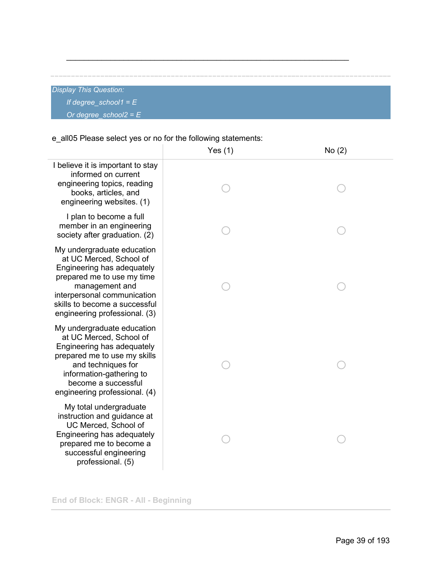*Display This Question: If degree\_school1 = E Or degree\_school2 = E*

#### e all05 Please select yes or no for the following statements:

|                                                                                                                                                                                                                                      | Yes $(1)$ | No(2) |
|--------------------------------------------------------------------------------------------------------------------------------------------------------------------------------------------------------------------------------------|-----------|-------|
| I believe it is important to stay<br>informed on current<br>engineering topics, reading<br>books, articles, and<br>engineering websites. (1)                                                                                         |           |       |
| I plan to become a full<br>member in an engineering<br>society after graduation. (2)                                                                                                                                                 |           |       |
| My undergraduate education<br>at UC Merced, School of<br>Engineering has adequately<br>prepared me to use my time<br>management and<br>interpersonal communication<br>skills to become a successful<br>engineering professional. (3) |           |       |
| My undergraduate education<br>at UC Merced, School of<br>Engineering has adequately<br>prepared me to use my skills<br>and techniques for<br>information-gathering to<br>become a successful<br>engineering professional. (4)        |           |       |
| My total undergraduate<br>instruction and guidance at<br>UC Merced, School of<br>Engineering has adequately<br>prepared me to become a<br>successful engineering<br>professional. (5)                                                |           |       |

\_\_\_\_\_\_\_\_\_\_\_\_\_\_\_\_\_\_\_\_\_\_\_\_\_\_\_\_\_\_\_\_\_\_\_\_\_\_\_\_\_\_\_\_\_\_\_\_\_\_\_\_\_\_\_\_\_\_\_\_\_\_\_\_

**End of Block: ENGR - All - Beginning**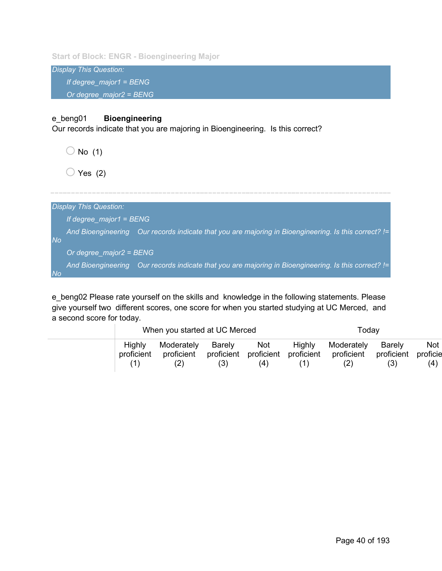**Start of Block: ENGR - Bioengineering Major**

*Display This Question: If degree\_major1 = BENG Or degree\_major2 = BENG*

# e\_beng01 **Bioengineering**

Our records indicate that you are majoring in Bioengineering. Is this correct?

|    | No $(1)$                      |                                                                                                      |
|----|-------------------------------|------------------------------------------------------------------------------------------------------|
|    | Yes $(2)$                     |                                                                                                      |
|    |                               |                                                                                                      |
|    | <b>Display This Question:</b> |                                                                                                      |
|    | If degree major1 = BENG       |                                                                                                      |
| No |                               | And Bioengineering Our records indicate that you are majoring in Bioengineering. Is this correct? != |
|    | Or degree $major2 = BENG$     |                                                                                                      |
| No |                               | And Bioengineering Our records indicate that you are majoring in Bioengineering. Is this correct? != |

e\_beng02 Please rate yourself on the skills and knowledge in the following statements. Please give yourself two different scores, one score for when you started studying at UC Merced, and a second score for today.

| When you started at UC Merced |                          |               |            | Todav  |                                                                      |                      |                          |
|-------------------------------|--------------------------|---------------|------------|--------|----------------------------------------------------------------------|----------------------|--------------------------|
| Highly<br>proficient          | Moderately<br>proficient | Barely<br>(3) | Not<br>(4) | Highly | Moderately<br>proficient proficient proficient proficient proficient | <b>Barely</b><br>(3) | Not  <br>proficie<br>(4) |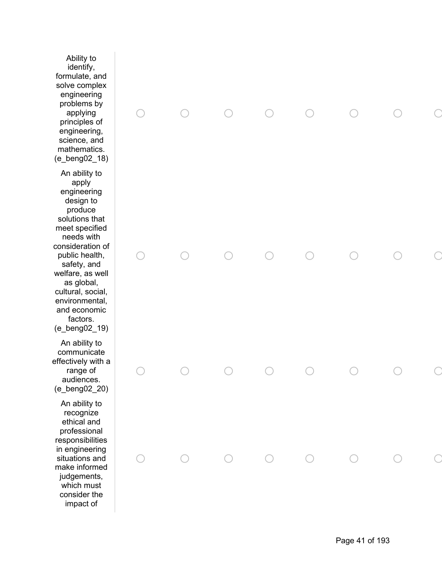Ability to identify, formulate, and solve complex engineering problems by applying principles of engineering, science, and mathematics. (e\_beng02\_18) An ability to apply

engineering design to produce solutions that meet specified needs with consideration of public health, safety, and welfare, as well as global, cultural, social, environmental, and economic factors. (e\_beng02\_19)

An ability to communicate effectively with a range of audiences. (e\_beng02\_20)

An ability to recognize ethical and professional responsibilities in engineering situations and make informed judgements, which must consider the impact of

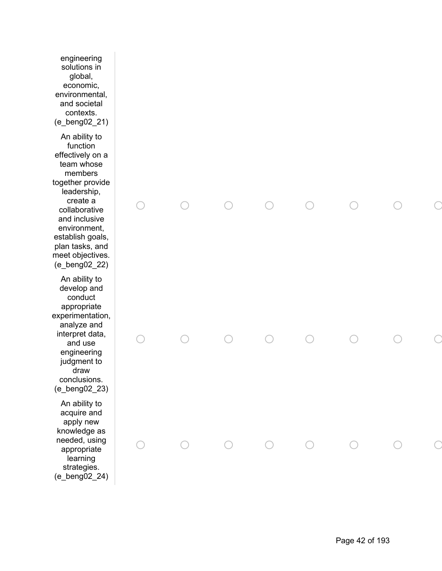engineering solutions in global, economic, environmental, and societal contexts. (e\_beng02\_21) An ability to function effectively on a team whose members together provide leadership, create a collaborative and inclusive environment, establish goals, plan tasks, and meet objectives.

An ability to develop and conduct appropriate experimentation, analyze and interpret data, and use engineering judgment to draw conclusions. (e\_beng02\_23)

(e\_beng02\_22)

An ability to acquire and apply new knowledge as needed, using appropriate learning strategies. (e\_beng02\_24)

| $\begin{matrix} \circ & \circ & \circ & \circ & \circ & \circ & \circ \end{matrix} \qquad \begin{matrix} \circ & \circ & \circ & \circ & \circ & \circ \end{matrix}$ |  |  |  |
|----------------------------------------------------------------------------------------------------------------------------------------------------------------------|--|--|--|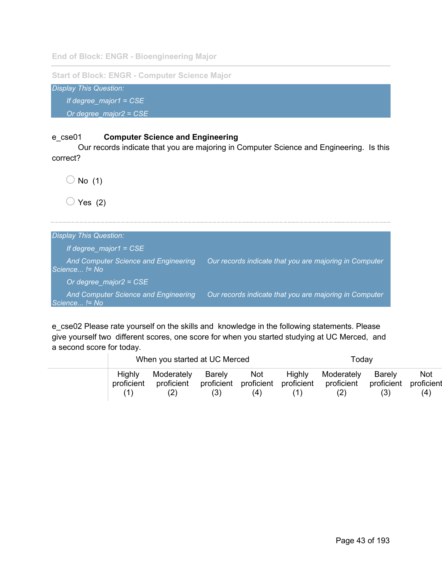**End of Block: ENGR - Bioengineering Major**

**Start of Block: ENGR - Computer Science Major**

*Display This Question: If degree\_major1 = CSE*

*Or degree\_major2 = CSE*

### e\_cse01 **Computer Science and Engineering**

 Our records indicate that you are majoring in Computer Science and Engineering. Is this correct?

 $\bigcirc$  No (1)

 $\bigcirc$  Yes (2)

| <b>Display This Question:</b>                                  |                                                        |
|----------------------------------------------------------------|--------------------------------------------------------|
| If degree_major1 = CSE                                         |                                                        |
| <b>And Computer Science and Engineering</b><br>  Science != No | Our records indicate that you are majoring in Computer |
| Or degree $major2 = CSE$                                       |                                                        |
| <b>And Computer Science and Engineering</b><br>Science! = No   | Our records indicate that you are majoring in Computer |

e\_cse02 Please rate yourself on the skills and knowledge in the following statements. Please give yourself two different scores, one score for when you started studying at UC Merced, and a second score for today.

| When you started at UC Merced |                                 |     |            | Todav  |                                                                  |                                        |                   |
|-------------------------------|---------------------------------|-----|------------|--------|------------------------------------------------------------------|----------------------------------------|-------------------|
| Highly<br>proficient          | Moderately Barely<br>proficient | (3) | Not<br>(4) | Highly | Moderately<br>proficient proficient proficient proficient<br>(2) | Barely<br>proficient proficient<br>(3) | <b>Not</b><br>(4) |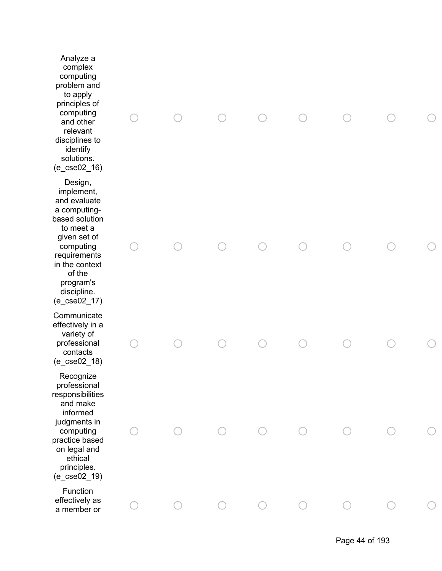Analyze a complex computing problem and to apply principles of computing and other relevant disciplines to identify solutions. (e\_cse02\_16) Design, implement, and evaluate a computing based solution to meet a given set of computing<br>requirements in the context of the program's discipline. (e\_cse02\_17) **Communicate** effectively in a variety of professional contacts (e\_cse02\_18) **Recognize** professional responsibilities and make informed judgments in computing practice based on legal and ethical principles. (e\_cse02\_19)

Function effectively as a member or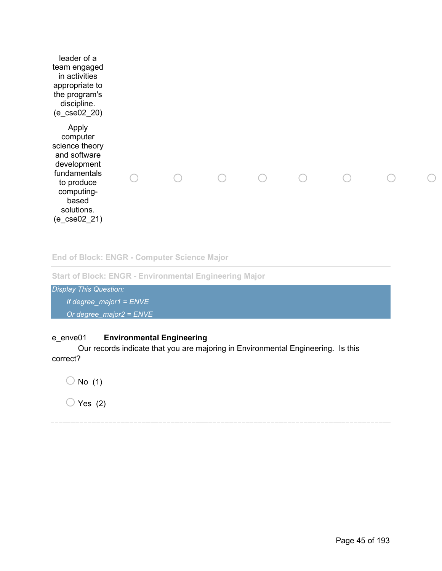

**End of Block: ENGR - Computer Science Major**

**Start of Block: ENGR - Environmental Engineering Major**

*Display This Question: If degree\_major1 = ENVE Or degree\_major2 = ENVE*

### e\_enve01 **Environmental Engineering**

 Our records indicate that you are majoring in Environmental Engineering. Is this correct?

 $\bigcirc$  No (1)

 $\bigcirc$  Yes (2)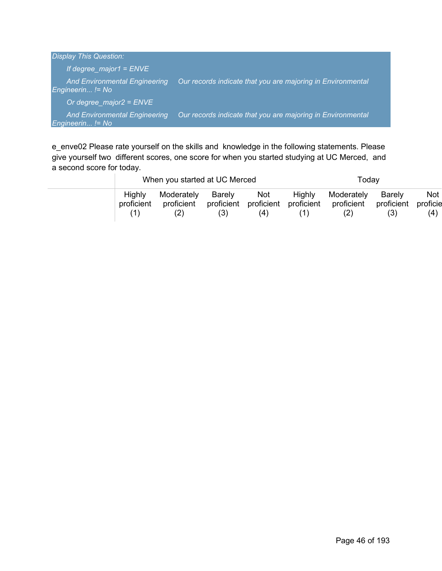| <b>Display This Question:</b>                            |                                                             |
|----------------------------------------------------------|-------------------------------------------------------------|
| If degree_major1 = ENVE                                  |                                                             |
| <b>And Environmental Engineering</b><br>Engineerin != No | Our records indicate that you are majoring in Environmental |
| Or degree $major2 = ENVE$                                |                                                             |
| <b>And Environmental Engineering</b><br>Engineerin != No | Our records indicate that you are majoring in Environmental |

e\_enve02 Please rate yourself on the skills and knowledge in the following statements. Please give yourself two different scores, one score for when you started studying at UC Merced, and a second score for today.

| When you started at UC Merced |                                 |               |            | Todav  |                                                           |                             |                        |
|-------------------------------|---------------------------------|---------------|------------|--------|-----------------------------------------------------------|-----------------------------|------------------------|
| Highly<br>proficient          | Moderately<br>proficient<br>(2) | Barely<br>(3) | Not<br>(4) | Highly | Moderately<br>proficient proficient proficient proficient | <b>Barely</b><br>proficient | Not<br>proficie<br>(4) |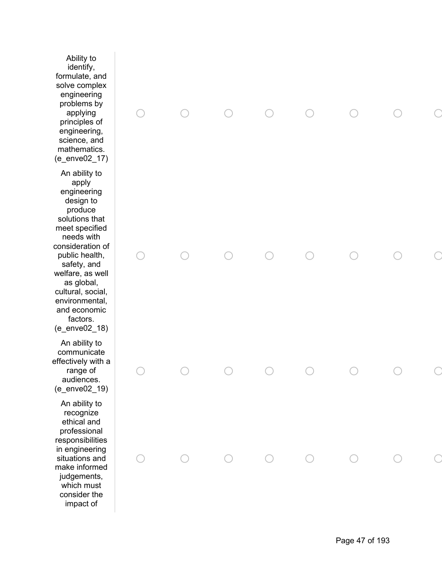Ability to identify, formulate, and solve complex engineering problems by applying principles of engineering, science, and mathematics. (e\_enve02\_17) An ability to apply engineering design to produce solutions that meet specified needs with consideration of public health,

safety, and welfare, as well as global, cultural, social, environmental, and economic factors. (e\_enve02\_18) An ability to

communicate effectively with a range of audiences. (e\_enve02\_19)

An ability to recognize ethical and professional responsibilities in engineering situations and make informed judgements, which must consider the impact of

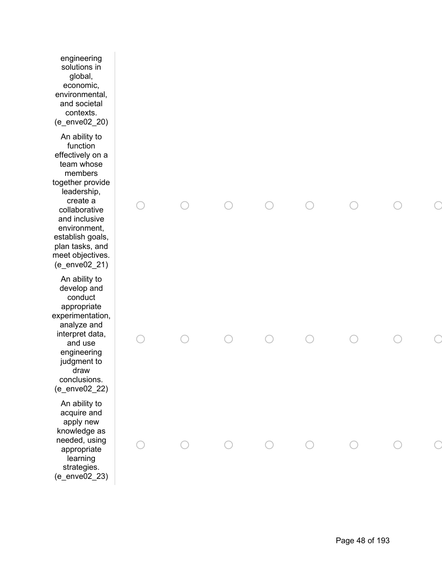engineering solutions in global, economic, environmental, and societal contexts. (e\_enve02\_20) An ability to function effectively on a team whose members together provide leadership, create a collaborative and inclusive environment, establish goals, plan tasks, and meet objectives.

An ability to develop and conduct appropriate experimentation, analyze and interpret data, and use engineering judgment to draw conclusions. (e\_enve02\_22)

(e\_enve02\_21)

An ability to acquire and apply new knowledge as needed, using appropriate learning strategies. (e\_enve02\_23)

| $\begin{matrix} \circ & \circ & \circ & \circ & \circ & \circ & \circ \end{matrix} \qquad \begin{matrix} \circ & \circ & \circ & \circ & \circ & \circ \end{matrix}$ |  |  |  |
|----------------------------------------------------------------------------------------------------------------------------------------------------------------------|--|--|--|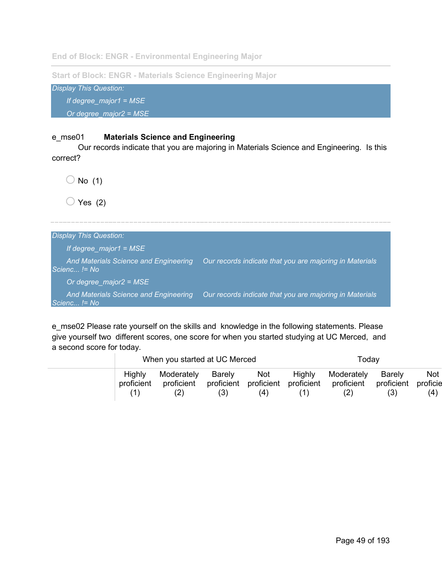**End of Block: ENGR - Environmental Engineering Major**

**Start of Block: ENGR - Materials Science Engineering Major**

*Display This Question: If degree\_major1 = MSE Or degree\_major2 = MSE*

### e\_mse01 **Materials Science and Engineering**

 Our records indicate that you are majoring in Materials Science and Engineering. Is this correct?

 $\bigcirc$  No (1)

 $\bigcirc$  Yes (2)

| <b>Display This Question:</b>                         |                                                         |
|-------------------------------------------------------|---------------------------------------------------------|
| If degree $major1 = MSE$                              |                                                         |
| And Materials Science and Engineering<br>Scienc!= No  | Our records indicate that you are majoring in Materials |
| Or degree $major2 = MSE$                              |                                                         |
| And Materials Science and Engineering<br>Scienc! = No | Our records indicate that you are majoring in Materials |

e\_mse02 Please rate yourself on the skills and knowledge in the following statements. Please give yourself two different scores, one score for when you started studying at UC Merced, and a second score for today.

|                      | When you started at UC Merced |                             |                                 |                      | Todav                    |                                    |                        |
|----------------------|-------------------------------|-----------------------------|---------------------------------|----------------------|--------------------------|------------------------------------|------------------------|
| Highly<br>proficient | Moderately<br>proficient      | Barely<br>proficient<br>(3) | <b>Not</b><br>proficient<br>(4) | Highly<br>proficient | Moderately<br>proficient | <b>Barely</b><br>proficient<br>(3) | Not<br>proficie<br>(4) |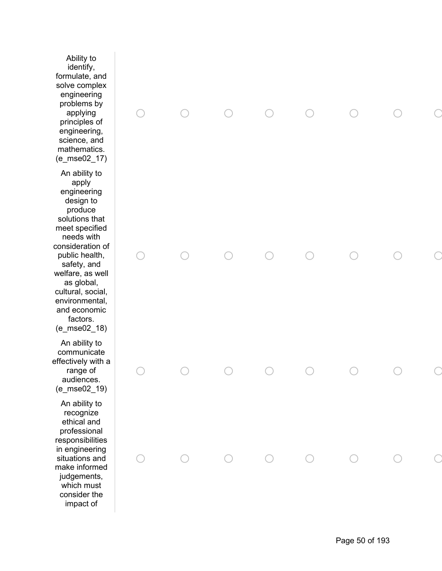Ability to identify, formulate, and solve complex engineering problems by applying principles of engineering, science, and mathematics. (e\_mse02\_17) An ability to apply engineering design to produce solutions that meet specified needs with consideration of public health, safety, and welfare, as well as global, cultural, social, environmental, and economic factors. (e\_mse02\_18)

An ability to communicate effectively with a range of audiences. (e\_mse02\_19)

An ability to recognize ethical and professional responsibilities in engineering situations and make informed judgements, which must consider the impact of

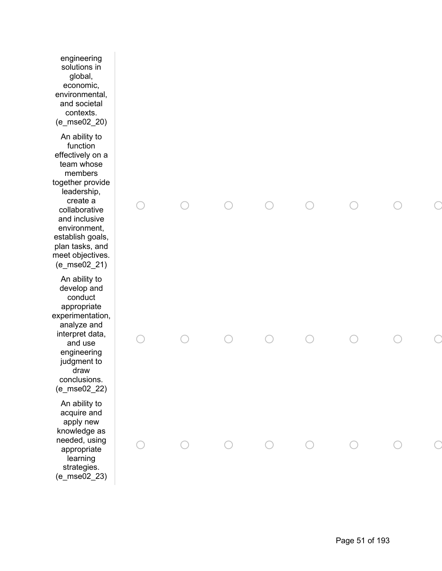engineering solutions in global, economic, environmental, and societal contexts. (e\_mse02\_20) An ability to function effectively on a team whose members together provide leadership, create a collaborative and inclusive environment, establish goals, plan tasks, and meet objectives.

An ability to develop and conduct appropriate experimentation, analyze and interpret data, and use engineering judgment to draw conclusions. (e\_mse02\_22)

(e\_mse02\_21)

An ability to acquire and apply new knowledge as needed, using appropriate learning strategies. (e\_mse02\_23)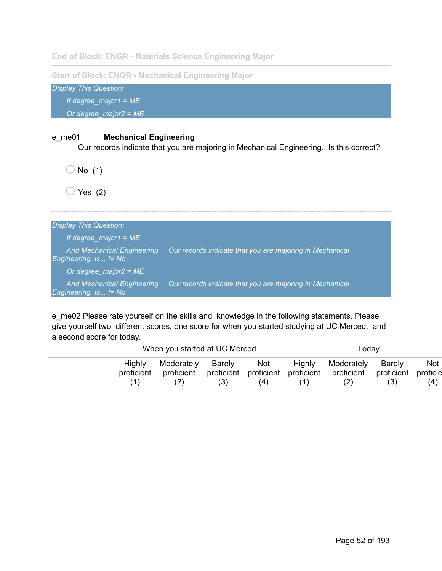**End of Block: ENGR - Materials Science Engineering Major**

**Start of Block: ENGR - Mechanical Engineering Major**

*Display This Question: If degree\_major1 = ME Or degree\_major2 = ME*

### e\_me01 **Mechanical Engineering**

Our records indicate that you are majoring in Mechanical Engineering. Is this correct?

 $\bigcirc$  No (1)

 $\bigcirc$  Yes (2)

| <b>Display This Question:</b>                              |                                                          |
|------------------------------------------------------------|----------------------------------------------------------|
| If degree major1 = $ME$                                    |                                                          |
| <b>And Mechanical Engineering</b><br>Engineering. Is != No | Our records indicate that you are majoring in Mechanical |
| Or degree $major2 = ME$                                    |                                                          |
| <b>And Mechanical Engineering</b><br>Engineering. Is != No | Our records indicate that you are majoring in Mechanical |

e\_me02 Please rate yourself on the skills and knowledge in the following statements. Please give yourself two different scores, one score for when you started studying at UC Merced, and a second score for today.

| When you started at UC Merced |                          |                             |                   | Today  |                                                                  |                      |                        |
|-------------------------------|--------------------------|-----------------------------|-------------------|--------|------------------------------------------------------------------|----------------------|------------------------|
| <b>Highly</b><br>proficient   | Moderately<br>proficient | Barely<br>proficient<br>(3) | <b>Not</b><br>(4) | Highly | Moderately<br>proficient proficient proficient proficient<br>(2) | <b>Barely</b><br>(3) | Not<br>proficie<br>(4) |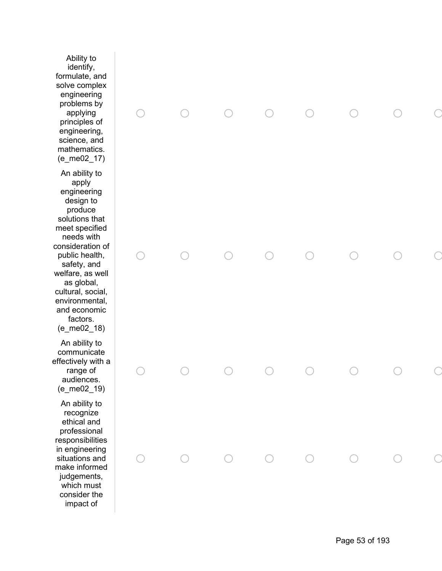Ability to identify, formulate, and solve complex engineering problems by applying principles of engineering, science, and mathematics. (e\_me02\_17) An ability to apply engineering design to produce solutions that meet specified needs with consideration of public health, safety, and welfare, as well as global, cultural, social, environmental, and economic factors. (e\_me02\_18)

An ability to communicate effectively with a range of audiences. (e\_me02\_19)

An ability to recognize ethical and professional responsibilities in engineering situations and make informed judgements, which must consider the impact of

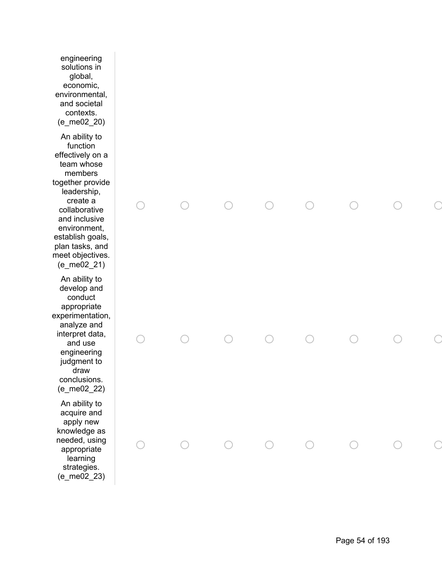global, economic, environmental, and societal contexts. (e\_me02\_20) An ability to function effectively on a team whose members together provide leadership, create a collaborative and inclusive environment, establish goals, plan tasks, and meet objectives. (e\_me02\_21)

engineering solutions in

An ability to develop and conduct appropriate experimentation, analyze and interpret data, and use engineering judgment to draw conclusions. (e\_me02\_22)

An ability to acquire and apply new knowledge as needed, using appropriate learning strategies. (e\_me02\_23)

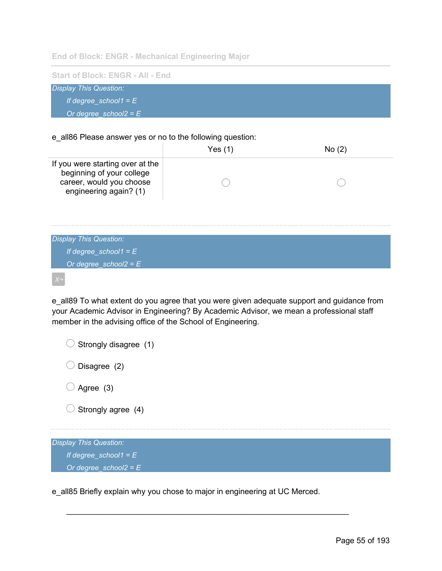**End of Block: ENGR - Mechanical Engineering Major**

**Start of Block: ENGR - All - End**

*Display This Question: If degree\_school1 = E*

*Or degree\_school2 = E*

#### e\_all86 Please answer yes or no to the following question:

|                                                                                                                     | Yes(1) | No(2) |  |
|---------------------------------------------------------------------------------------------------------------------|--------|-------|--|
| If you were starting over at the<br>beginning of your college<br>career, would you choose<br>engineering again? (1) |        |       |  |

| <b>Display This Question:</b> |  |  |
|-------------------------------|--|--|
| If degree_school1 = $E$       |  |  |
| Or degree $school2 = E$       |  |  |
|                               |  |  |

e\_all89 To what extent do you agree that you were given adequate support and guidance from your Academic Advisor in Engineering? By Academic Advisor, we mean a professional staff member in the advising office of the School of Engineering.

| Strongly disagree (1)         |  |
|-------------------------------|--|
| Disagree (2)                  |  |
| Agree (3)                     |  |
| Strongly agree (4)            |  |
|                               |  |
| <b>Display This Question:</b> |  |
| If degree_school1 = $E$       |  |
| Or degree $school2 = E$       |  |

e\_all85 Briefly explain why you chose to major in engineering at UC Merced.

\_\_\_\_\_\_\_\_\_\_\_\_\_\_\_\_\_\_\_\_\_\_\_\_\_\_\_\_\_\_\_\_\_\_\_\_\_\_\_\_\_\_\_\_\_\_\_\_\_\_\_\_\_\_\_\_\_\_\_\_\_\_\_\_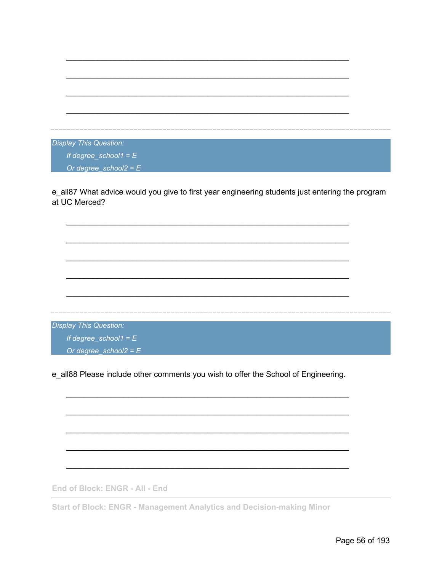| Display This Question:                                       |  |
|--------------------------------------------------------------|--|
| If degree_school1 = $E$                                      |  |
| and the state of the state of the<br>Or degree $school2 = E$ |  |

e\_all87 What advice would you give to first year engineering students just entering the program at UC Merced?

**Display This Question:** If degree\_school1 =  $E$ Or degree\_school2 =  $E$ 

e all88 Please include other comments you wish to offer the School of Engineering.

End of Block: ENGR - All - End

**Start of Block: ENGR - Management Analytics and Decision-making Minor**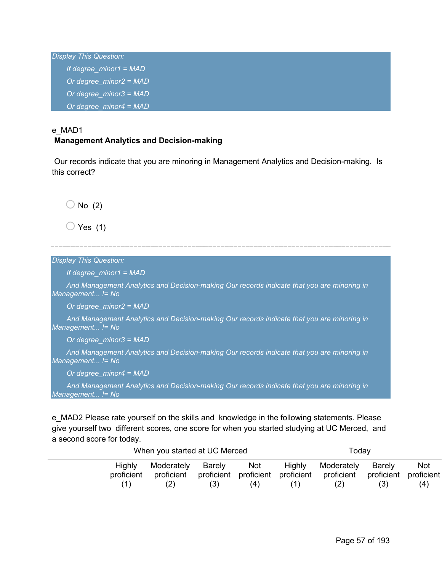*Display This Question: If degree\_minor1 = MAD Or degree\_minor2 = MAD Or degree\_minor3 = MAD Or degree\_minor4 = MAD*

#### e\_MAD1 **Management Analytics and Decision-making**

Our records indicate that you are minoring in Management Analytics and Decision-making. Is this correct?

 $\bigcirc$  No (2)

 $\bigcirc$  Yes (1)

*Display This Question:*

*If degree\_minor1 = MAD*

*And Management Analytics and Decision-making Our records indicate that you are minoring in Management... != No*

*Or degree\_minor2 = MAD*

*And Management Analytics and Decision-making Our records indicate that you are minoring in Management... != No*

*Or degree\_minor3 = MAD*

*And Management Analytics and Decision-making Our records indicate that you are minoring in Management... != No*

*Or degree\_minor4 = MAD*

*And Management Analytics and Decision-making Our records indicate that you are minoring in Management... != No*

e\_MAD2 Please rate yourself on the skills and knowledge in the following statements. Please give yourself two different scores, one score for when you started studying at UC Merced, and a second score for today.

| When you started at UC Merced |                                 |               |            | Todav  |                                                                  |                                        |                   |
|-------------------------------|---------------------------------|---------------|------------|--------|------------------------------------------------------------------|----------------------------------------|-------------------|
| <b>Highly</b><br>proficient   | Moderately<br>proficient<br>(2) | Barely<br>(3) | Not<br>(4) | Highly | Moderately<br>proficient proficient proficient proficient<br>(2) | Barely<br>proficient proficient<br>(3) | <b>Not</b><br>(4) |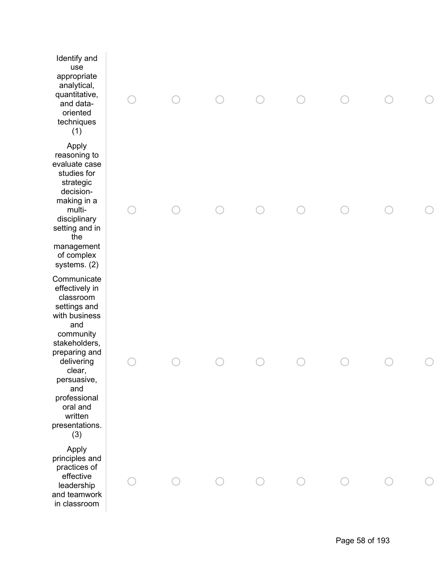Identify and use appropriate analytical, quantitative, and data oriented techniques (1) Apply reasoning to evaluate case studies for strategic decision making in a multi disciplinary setting and in the management of complex systems. (2) o **Communicate** effectively in classroom settings and with business and community stakeholders, preparing and delivering clear, persuasive, and professional oral and written presentations. (3)  $\bigcap$ Apply principles and practices of effective leadership and teamwork in classroom  $\left( \begin{array}{c} \end{array} \right)$ 



Page 58 of 193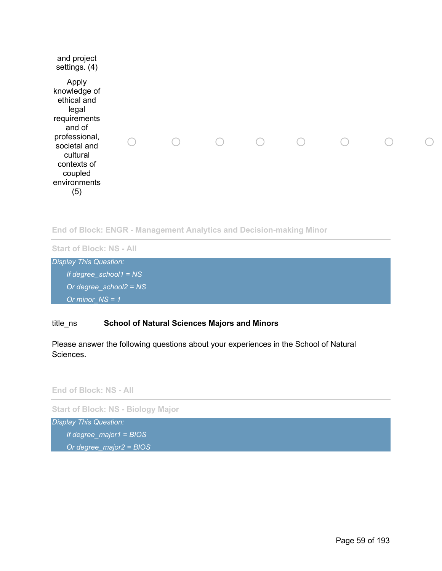

**End of Block: ENGR - Management Analytics and Decision-making Minor**



#### title\_ns **School of Natural Sciences Majors and Minors**

Please answer the following questions about your experiences in the School of Natural Sciences.

**End of Block: NS - All**

**Start of Block: NS - Biology Major**

*Display This Question: If degree\_major1 = BIOS*

*Or degree\_major2 = BIOS*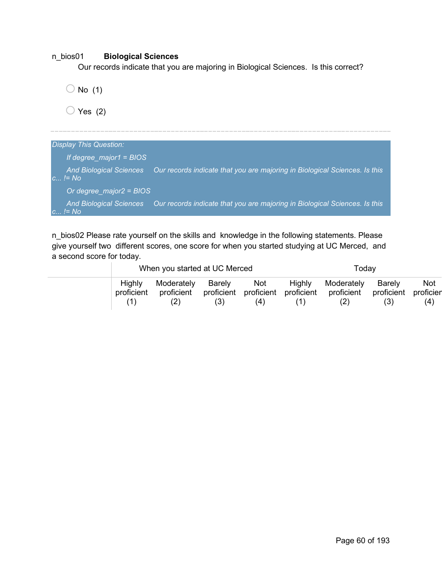# n\_bios01 **Biological Sciences**

Our records indicate that you are majoring in Biological Sciences. Is this correct?

o No (1) o Yes (2) *Display This Question: If degree\_major1 = BIOS And Biological Sciences Our records indicate that you are majoring in Biological Sciences. Is this c... != No Or degree\_major2 = BIOS And Biological Sciences Our records indicate that you are majoring in Biological Sciences. Is this c... != No*

n\_bios02 Please rate yourself on the skills and knowledge in the following statements. Please give yourself two different scores, one score for when you started studying at UC Merced, and a second score for today.

|                      | When you started at UC Merced |               |            |                                            | Гоdav                           |                                    |                                |
|----------------------|-------------------------------|---------------|------------|--------------------------------------------|---------------------------------|------------------------------------|--------------------------------|
| Highly<br>proficient | Moderately<br>proficient      | Barelv<br>(3) | Not<br>(4) | Highly<br>proficient proficient proficient | Moderately<br>proficient<br>(2) | <b>Barely</b><br>proficient<br>(3) | <b>Not</b><br>proficier<br>(4) |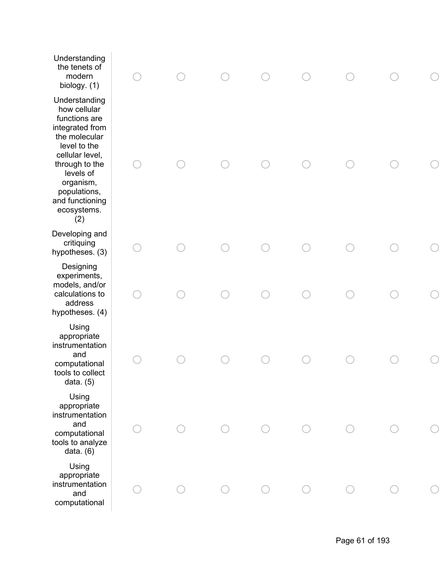| Understanding<br>the tenets of<br>modern<br>biology. (1)                                                                                                                                                                   |  |  |  |  |
|----------------------------------------------------------------------------------------------------------------------------------------------------------------------------------------------------------------------------|--|--|--|--|
| Understanding<br>how cellular<br>functions are<br>integrated from<br>the molecular<br>level to the<br>cellular level,<br>through to the<br>levels of<br>organism,<br>populations,<br>and functioning<br>ecosystems.<br>(2) |  |  |  |  |
| Developing and<br>critiquing<br>hypotheses. (3)                                                                                                                                                                            |  |  |  |  |
| Designing<br>experiments,<br>models, and/or<br>calculations to<br>address<br>hypotheses. (4)                                                                                                                               |  |  |  |  |
| Using<br>appropriate<br>instrumentation<br>and<br>computational<br>tools to collect<br>data. $(5)$                                                                                                                         |  |  |  |  |
| Using<br>appropriate<br>instrumentation<br>and<br>computational<br>tools to analyze<br>data. $(6)$                                                                                                                         |  |  |  |  |
| Using<br>appropriate<br>instrumentation<br>and<br>computational                                                                                                                                                            |  |  |  |  |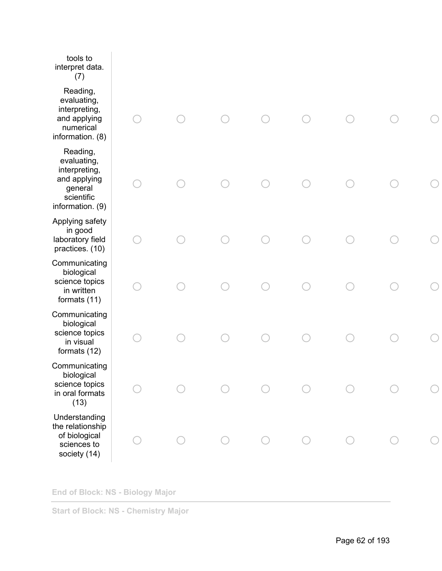| tools to<br>interpret data.<br>(7)                                                                    |  |  |  |  |
|-------------------------------------------------------------------------------------------------------|--|--|--|--|
| Reading,<br>evaluating,<br>interpreting,<br>and applying<br>numerical<br>information. (8)             |  |  |  |  |
| Reading,<br>evaluating,<br>interpreting,<br>and applying<br>general<br>scientific<br>information. (9) |  |  |  |  |
| Applying safety<br>in good<br>laboratory field<br>practices. (10)                                     |  |  |  |  |
| Communicating<br>biological<br>science topics<br>in written<br>formats (11)                           |  |  |  |  |
| Communicating<br>biological<br>science topics<br>in visual<br>formats (12)                            |  |  |  |  |
| Communicating<br>biological<br>science topics<br>in oral formats<br>(13)                              |  |  |  |  |
| Understanding<br>the relationship<br>of biological<br>sciences to<br>society (14)                     |  |  |  |  |

**End of Block: NS - Biology Major**

**Start of Block: NS - Chemistry Major**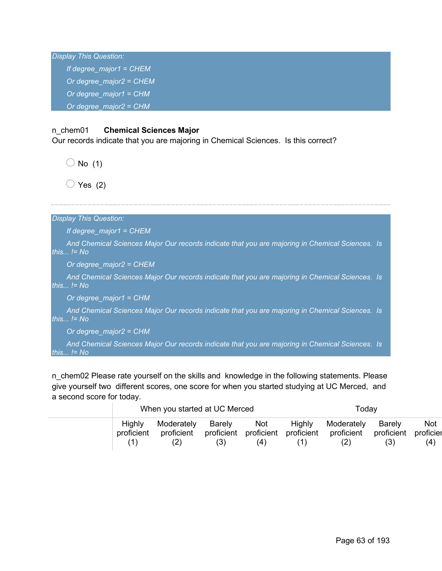| <b>Display This Question:</b> |                         |
|-------------------------------|-------------------------|
| If degree_major1 = CHEM       |                         |
|                               | Or degree major2 = CHEM |
| Or degree major1 = CHM        |                         |
| Or degree major2 = CHM        |                         |

## n\_chem01 **Chemical Sciences Major**

Our records indicate that you are majoring in Chemical Sciences. Is this correct?

 $\bigcirc$  No (1)

 $\bigcirc$  Yes (2)

| <b>Display This Question:</b>                                                                                    |
|------------------------------------------------------------------------------------------------------------------|
| If degree_major1 = CHEM                                                                                          |
| And Chemical Sciences Major Our records indicate that you are majoring in Chemical Sciences. Is<br>this $!=$ No  |
| Or degree $major2 = CHEM$                                                                                        |
| And Chemical Sciences Major Our records indicate that you are majoring in Chemical Sciences. Is<br>this $!=$ No  |
| Or degree $major1 = CHM$                                                                                         |
| And Chemical Sciences Major Our records indicate that you are majoring in Chemical Sciences. Is<br>this $I = No$ |
| Or degree $major2 = CHM$                                                                                         |
| And Chemical Sciences Major Our records indicate that you are majoring in Chemical Sciences. Is<br>this $!=$ No  |

n\_chem02 Please rate yourself on the skills and knowledge in the following statements. Please give yourself two different scores, one score for when you started studying at UC Merced, and a second score for today.

|                      | When you started at UC Merced |                             |            | Todav                           |                                 |                      |                                |
|----------------------|-------------------------------|-----------------------------|------------|---------------------------------|---------------------------------|----------------------|--------------------------------|
| Highly<br>proficient | Moderately<br>proficient      | Barelv<br>proficient<br>(3) | Not<br>(4) | Highly<br>proficient proficient | Moderately<br>proficient<br>(2) | Barely<br>proficient | <b>Not</b><br>proficier<br>(4) |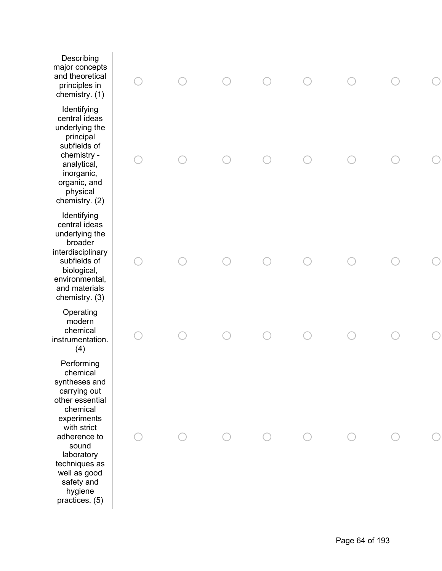Describing major concepts and theoretical principles in chemistry. (1)

Identifying central ideas underlying the principal subfields of chemistry analytical, inorganic, organic, and physical chemistry. (2)

Identifying central ideas underlying the broader interdisciplinary subfields of biological, environmental, and materials chemistry. (3)

**Operating** modern chemical instrumentation. (4)

Performing chemical syntheses and carrying out other essential chemical experiments with strict adherence to sound laboratory techniques as well as good safety and hygiene practices. (5)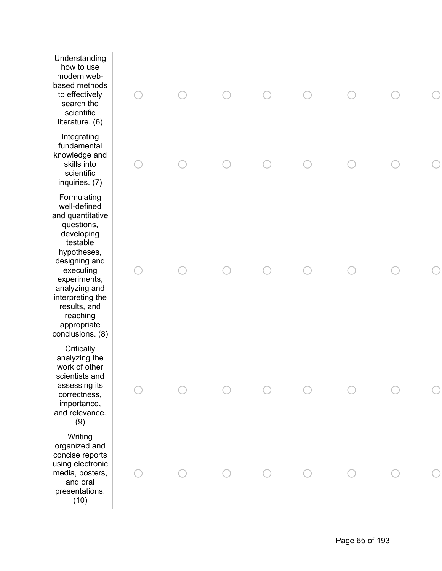Understanding how to use modern web based methods to effectively search the scientific literature. (6)

Integrating fundamental knowledge and skills into scientific inquiries. (7)

Formulating well -defined and quantitative questions, developing testable hypotheses, designing and executing experiments, analyzing and interpreting the results, and reaching appropriate conclusions. (8)

**Critically** analyzing the work of other scientists and assessing its correctness, importance, and relevance. (9)

**Writing** organized and concise reports using electronic media, posters, and oral presentations. (10)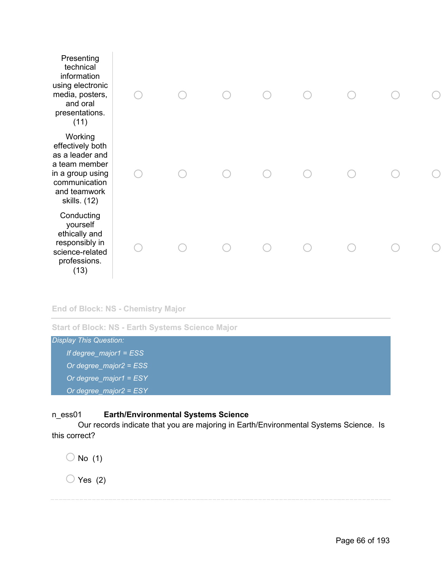| Presenting<br>technical<br>information<br>using electronic<br>media, posters,<br>and oral<br>presentations.<br>(11)                  |  |  |  |  |
|--------------------------------------------------------------------------------------------------------------------------------------|--|--|--|--|
| Working<br>effectively both<br>as a leader and<br>a team member<br>in a group using<br>communication<br>and teamwork<br>skills. (12) |  |  |  |  |
| Conducting<br>yourself<br>ethically and<br>responsibly in<br>science-related<br>professions.<br>(13)                                 |  |  |  |  |

#### **End of Block: NS - Chemistry Major**

**Start of Block: NS - Earth Systems Science Major** *Display This Question: If degree\_major1 = ESS Or degree\_major2 = ESS Or degree\_major1 = ESY Or degree\_major2 = ESY*

# n\_ess01 **Earth/Environmental Systems Science**

 Our records indicate that you are majoring in Earth/Environmental Systems Science. Is this correct?

 $\bigcirc$  No (1)  $\bigcirc$  Yes (2)

Page 66 of 193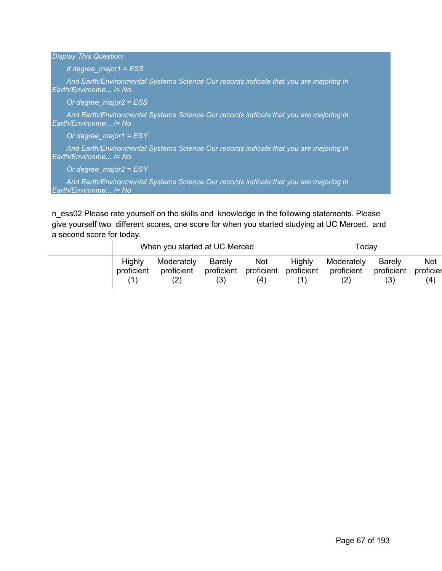*Display This Question:*

*If degree\_major1 = ESS*

*And Earth/Environmental Systems Science Our records indicate that you are majoring in Earth/Environme... != No*

*Or degree\_major2 = ESS*

*And Earth/Environmental Systems Science Our records indicate that you are majoring in Earth/Environme... != No*

*Or degree\_major1 = ESY*

*And Earth/Environmental Systems Science Our records indicate that you are majoring in Earth/Environme... != No*

*Or degree\_major2 = ESY*

*And Earth/Environmental Systems Science Our records indicate that you are majoring in Earth/Environme... != No*

n\_ess02 Please rate yourself on the skills and knowledge in the following statements. Please give yourself two different scores, one score for when you started studying at UC Merced, and a second score for today.

|                      | When you started at UC Merced |               | Todav      |                                                   |                                 |                             |                                |
|----------------------|-------------------------------|---------------|------------|---------------------------------------------------|---------------------------------|-----------------------------|--------------------------------|
| Highly<br>proficient | Moderately<br>proficient      | Barelv<br>(3) | Not<br>(4) | <b>Highly</b><br>proficient proficient proficient | Moderately<br>proficient<br>(2) | Barely<br>proficient<br>(3) | <b>Not</b><br>proficier<br>(4) |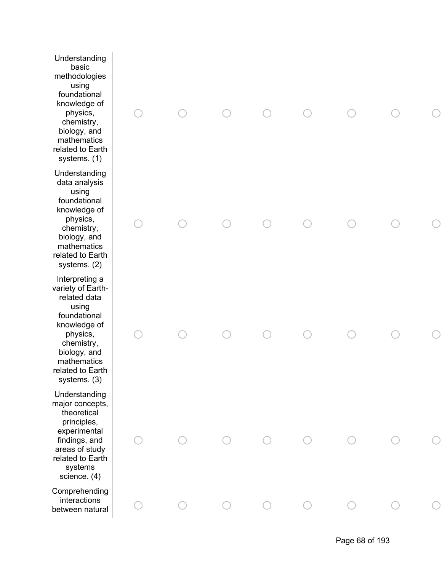Understanding basic methodologies using foundational knowledge of physics, chemistry, biology, and mathematics related to Earth systems. (1) Understanding data analysis using foundational knowledge of

physics, chemistry, biology, and mathematics related to Earth systems. (2)

Interpreting a variety of Earth related data using foundational knowledge of physics, chemistry, biology, and mathematics related to Earth systems. (3)

Understanding major concepts, theoretical principles, experimental findings, and areas of study related to Earth systems science. (4)

Comprehending interactions between natural

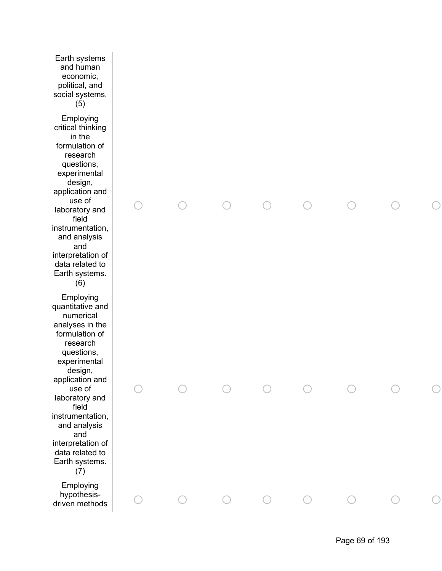Earth systems and human economic, political, and social systems.  $(5)$ Employing critical thinking in the formulation of research questions, experimental design, application and use of laboratory and field instrumentation, and analysis and interpretation of data related to Earth systems. (6) Employing quantitative and numerical analyses in the formulation of research questions, experimental design, application and use of laboratory and field instrumentation, and analysis and interpretation of data related to Earth systems. (7) Employing hypothesis -

driven methods

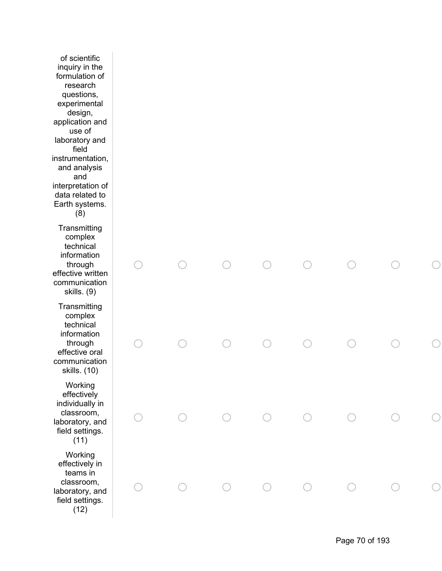of scientific inquiry in the formulation of research questions, experimental design, application and use of laboratory and field instrumentation, and analysis and interpretation of data related to Earth systems. (8) **Transmitting** complex technical information through effective written communication skills. (9) **Transmitting** complex technical information through effective oral communication skills. (10) Working effectively individually in classroom, laboratory, and field settings. (11) Working effectively in teams in classroom, laboratory, and field settings. (12)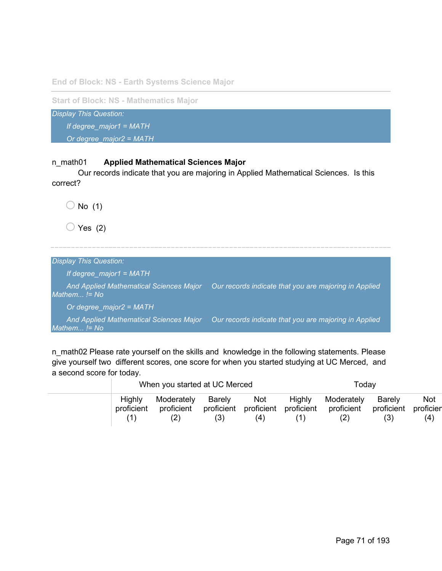**End of Block: NS - Earth Systems Science Major**

**Start of Block: NS - Mathematics Major**

*Display This Question:*

*If degree\_major1 = MATH*

*Or degree\_major2 = MATH*

#### n\_math01 **Applied Mathematical Sciences Major**

 Our records indicate that you are majoring in Applied Mathematical Sciences. Is this correct?

 $\bigcirc$  No (1)

 $\bigcirc$  Yes (2)

*Display This Question:*

*If degree\_major1 = MATH*

*And Applied Mathematical Sciences Major Our records indicate that you are majoring in Applied Mathem... != No*

*Or degree\_major2 = MATH*

*And Applied Mathematical Sciences Major Our records indicate that you are majoring in Applied Mathem... != No*

n\_math02 Please rate yourself on the skills and knowledge in the following statements. Please give yourself two different scores, one score for when you started studying at UC Merced, and a second score for today.

|                             | When you started at UC Merced |               |            | Todav  |                                                                  |                              |                                |
|-----------------------------|-------------------------------|---------------|------------|--------|------------------------------------------------------------------|------------------------------|--------------------------------|
| <b>Highly</b><br>proficient | Moderately<br>proficient      | Barelv<br>(3) | Not<br>(4) | Highly | Moderately<br>proficient proficient proficient proficient<br>(2) | Barely<br>proficient.<br>(3) | <b>Not</b><br>proficier<br>(4) |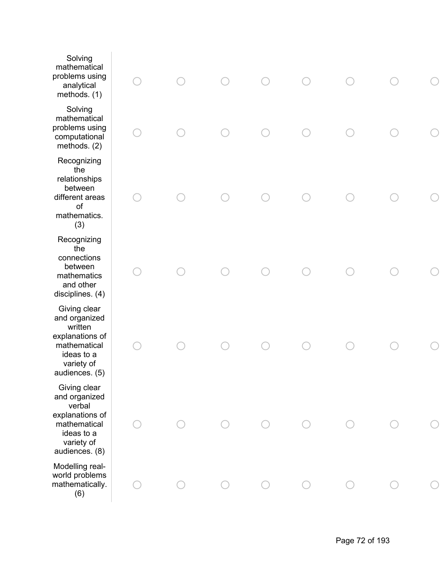Solving mathematical problems using analytical methods. (1) o  $\bigcirc$ o o o o o o Solving mathematical problems using computational methods. (2) o o  $\bigcap$ o  $\bigcap$ o o  $\bigcirc$ **Recognizing** the relationships between different areas of mathematics. (3) o o o o  $\bigcirc$ o o o Recognizing the connections between mathematics and other disciplines. (4)  $\bigcirc$ o o o  $\bigcap$ o o o Giving clear and organized written explanations of mathematical ideas to a variety of audiences. (5) o  $\bigcap$ o o  $\bigcirc$  $\bigcirc$ o  $\bigcap$ Giving clear and organized verbal explanations of mathematical ideas to a variety of audiences. (8) o o o o  $\bigcap$ o o o Modelling real world problems mathematically. (6) o o o o  $\bigcap$ o o o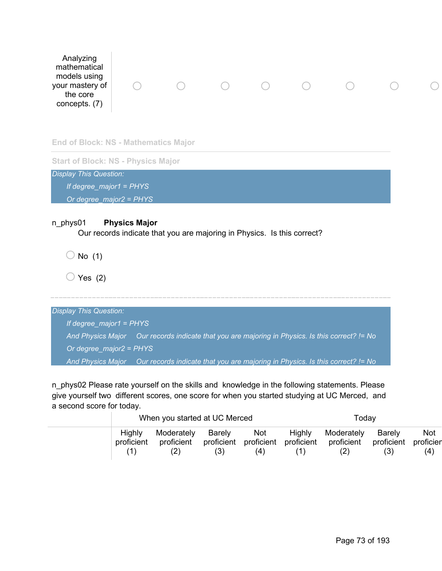| concepts. (7) |
|---------------|
|---------------|

**End of Block: NS - Mathematics Major**

**Start of Block: NS - Physics Major**

*Display This Question: If degree\_major1 = PHYS Or degree\_major2 = PHYS*

## n\_phys01 **Physics Major**

Our records indicate that you are majoring in Physics. Is this correct?

 $\bigcirc$  No (1)

 $\bigcirc$  Yes (2)

| <b>Display This Question:</b> |                                                                               |
|-------------------------------|-------------------------------------------------------------------------------|
| If degree $major1 = PHYS$     |                                                                               |
| <b>And Physics Major</b>      | Our records indicate that you are majoring in Physics. Is this correct? != No |
| Or degree $major2 = PHYS$     |                                                                               |
| <b>And Physics Major</b>      | Our records indicate that you are majoring in Physics. Is this correct? != No |

n phys02 Please rate yourself on the skills and knowledge in the following statements. Please give yourself two different scores, one score for when you started studying at UC Merced, and a second score for today.

| When you started at UC Merced |                          |                             |                          | Γodav                |                                 |                             |                                |
|-------------------------------|--------------------------|-----------------------------|--------------------------|----------------------|---------------------------------|-----------------------------|--------------------------------|
| <b>Highly</b><br>proficient   | Moderately<br>proficient | Barely<br>proficient<br>(3) | Not<br>proficient<br>(4) | Highly<br>proficient | Moderately<br>proficient<br>(2) | Barely<br>proficient<br>(3) | <b>Not</b><br>proficier<br>(4) |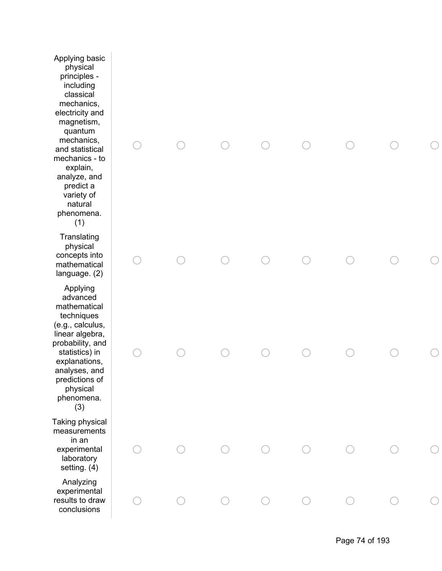Applying basic physical principles including classical mechanics, electricity and magnetism, quantum mechanics, and statistical mechanics - to explain, analyze, and predict a variety of natural phenomena. (1) **Translating** physical concepts into mathematical language. (2) Applying advanced mathematical techniques (e.g., calculus, linear algebra, probability, and statistics) in explanations, analyses, and predictions of physical phenomena. (3) Taking physical

measurements in an experimental laboratory setting. (4)

Analyzing experimental results to draw conclusions

| $\begin{matrix} \circ & \circ & \circ & \circ & \circ & \circ & \circ \end{matrix} \qquad \begin{matrix} \circ & \circ & \circ & \circ & \circ & \circ \end{matrix}$                                                                                                                                                                                                                                                                                                                                                                    |  |  | $\bigcirc$ |
|-----------------------------------------------------------------------------------------------------------------------------------------------------------------------------------------------------------------------------------------------------------------------------------------------------------------------------------------------------------------------------------------------------------------------------------------------------------------------------------------------------------------------------------------|--|--|------------|
| $\begin{matrix} \circledcirc \hspace{-.2cm} \circledcirc \hspace{-.2cm} \circledcirc \hspace{-.2cm} \circledcirc \hspace{-.2cm} \circledcirc \hspace{-.2cm} \circledcirc \hspace{-.2cm} \circledcirc \hspace{-.2cm} \circledcirc \hspace{-.2cm} \circledcirc \hspace{-.2cm} \circledcirc \hspace{-.2cm} \circledcirc \hspace{-.2cm} \circledcirc \hspace{-.2cm} \circledcirc \hspace{-.2cm} \circledcirc \hspace{-.2cm} \circledcirc \hspace{-.2cm} \circledcirc \hspace{-.2cm} \circledcirc \hspace{-.2cm} \circledcirc \hspace{-.2cm$ |  |  |            |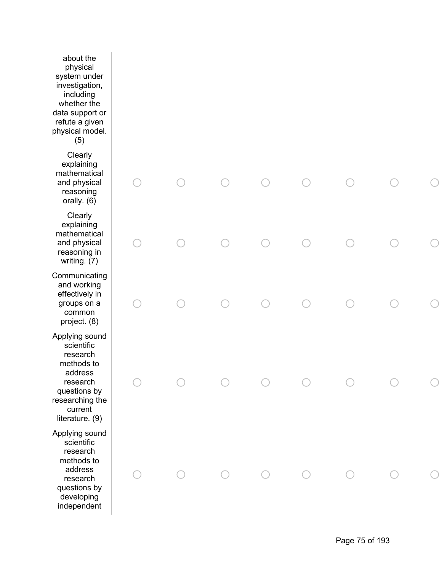about the physical system under investigation, including whether the data support or refute a given physical model. (5)

**Clearly** explaining mathematical and physical reasoning orally. (6)

**Clearly** explaining mathematical and physical reasoning in writing. (7)

**Communicating** and working effectively in groups on a common project. (8)

Applying sound scientific research methods to address research questions by researching the current literature. (9) Applying sound scientific research

methods to address research questions by developing independent

| $\begin{matrix} 0 & 0 & 0 & 0 & 0 & 0 \end{matrix}$ |  |  |  |
|-----------------------------------------------------|--|--|--|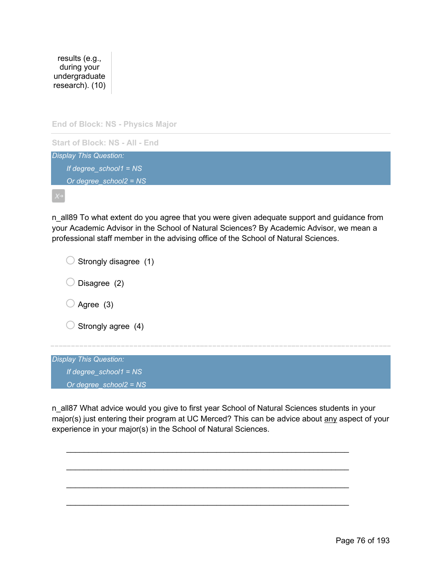results (e.g., during your undergraduate research). (10)

```
End of Block: NS - Physics Major
```

```
Start of Block: NS - All - End
Display This Question:
    If degree_school1 = NS
    Or degree_school2 = NS
```
n all89 To what extent do you agree that you were given adequate support and guidance from your Academic Advisor in the School of Natural Sciences? By Academic Advisor, we mean a professional staff member in the advising office of the School of Natural Sciences.

```
\bigcirc Strongly disagree (1)
     \bigcirc Disagree (2)
     \bigcirc Agree (3)
     \bigcirc Strongly agree (4)
Display This Question:
```
*If degree\_school1 = NS Or degree\_school2 = NS*

n all87 What advice would you give to first year School of Natural Sciences students in your major(s) just entering their program at UC Merced? This can be advice about any aspect of your experience in your major(s) in the School of Natural Sciences.

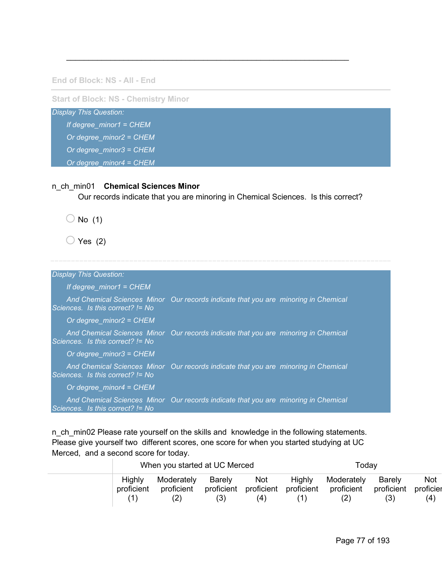**End of Block: NS - All - End**

**Start of Block: NS - Chemistry Minor**

*Display This Question: If degree\_minor1 = CHEM Or degree\_minor2 = CHEM Or degree\_minor3 = CHEM Or degree\_minor4 = CHEM*

#### n\_ch\_min01 **Chemical Sciences Minor**

Our records indicate that you are minoring in Chemical Sciences. Is this correct?

\_\_\_\_\_\_\_\_\_\_\_\_\_\_\_\_\_\_\_\_\_\_\_\_\_\_\_\_\_\_\_\_\_\_\_\_\_\_\_\_\_\_\_\_\_\_\_\_\_\_\_\_\_\_\_\_\_\_\_\_\_\_\_\_

 $\bigcirc$  No (1)

 $\bigcirc$  Yes (2)

#### *Display This Question:*

| If degree $minor1 = CHEM$        |                                                                                    |  |
|----------------------------------|------------------------------------------------------------------------------------|--|
| Sciences. Is this correct? != No | And Chemical Sciences Minor Our records indicate that you are minoring in Chemical |  |
| Or degree $minor2 = CHEM$        |                                                                                    |  |
| Sciences. Is this correct? != No | And Chemical Sciences Minor Our records indicate that you are minoring in Chemical |  |
| Or degree $minor3 = CHEM$        |                                                                                    |  |
| Sciences. Is this correct? != No | And Chemical Sciences Minor Our records indicate that you are minoring in Chemical |  |
| Or degree minor4 = CHEM          |                                                                                    |  |
| Sciences. Is this correct? != No | And Chemical Sciences Minor Our records indicate that you are minoring in Chemical |  |

n ch min02 Please rate yourself on the skills and knowledge in the following statements. Please give yourself two different scores, one score for when you started studying at UC Merced, and a second score for today.

|                             | When you started at UC Merced |                                    |                   |                                       | Todav                    |                             |                                |
|-----------------------------|-------------------------------|------------------------------------|-------------------|---------------------------------------|--------------------------|-----------------------------|--------------------------------|
| <b>Highly</b><br>proficient | Moderately<br>proficient      | <b>Barely</b><br>proficient<br>(3) | <b>Not</b><br>(4) | Highly<br>proficient proficient<br>(1 | Moderately<br>proficient | Barely<br>proficient<br>(3) | <b>Not</b><br>proficier<br>(4) |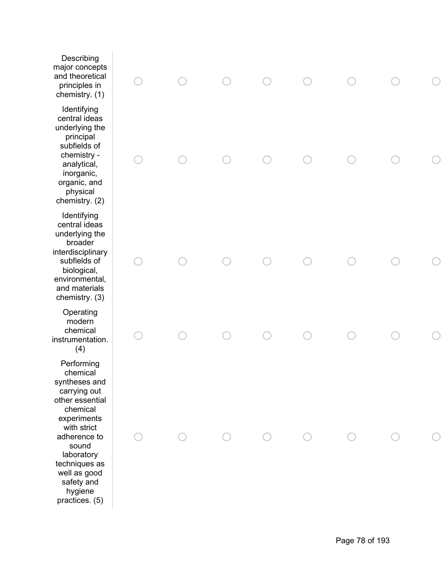Describing major concepts and theoretical principles in chemistry. (1)

Identifying central ideas underlying the principal subfields of chemistry analytical, inorganic, organic, and physical chemistry. (2)

Identifying central ideas underlying the broader interdisciplinary subfields of biological, environmental, and materials chemistry. (3)

**Operating** modern chemical instrumentation. (4)

Performing chemical syntheses and carrying out other essential chemical experiments with strict adherence to sound laboratory techniques as well as good safety and hygiene practices. (5)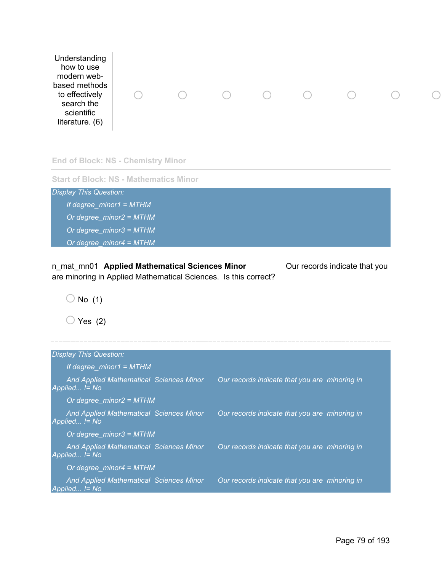Understanding how to use modern webbased methods to effectively search the scientific literature. (6)

# **End of Block: NS - Chemistry Minor**

| <b>Start of Block: NS - Mathematics Minor</b> |  |
|-----------------------------------------------|--|
| <b>Display This Question:</b>                 |  |
| If degree $minor1 = MTHM$                     |  |
| Or degree $minor2 = MTHM$                     |  |
| Or degree_minor3 = MTHM                       |  |
| Or degree $minor4 = MTHM$                     |  |

o o o o o o o o

n\_mat\_mn01 **Applied Mathematical Sciences Minor** Our records indicate that you are minoring in Applied Mathematical Sciences. Is this correct?

 $\bigcirc$  No (1)

 $\bigcirc$  Yes (2)

| <b>Display This Question:</b>                                   |                                               |
|-----------------------------------------------------------------|-----------------------------------------------|
| If degree $minor1 = MTHM$                                       |                                               |
| And Applied Mathematical Sciences Minor<br>Applied! = No        | Our records indicate that you are minoring in |
| Or degree $minor2 = MTHM$                                       |                                               |
| And Applied Mathematical Sciences Minor<br>Applied!= No         | Our records indicate that you are minoring in |
| Or degree $minor3 = MTHM$                                       |                                               |
| And Applied Mathematical Sciences Minor<br>Applied! = No        | Our records indicate that you are minoring in |
| Or degree $minor4 = MTHM$                                       |                                               |
| <b>And Applied Mathematical Sciences Minor</b><br>Applied! = No | Our records indicate that you are minoring in |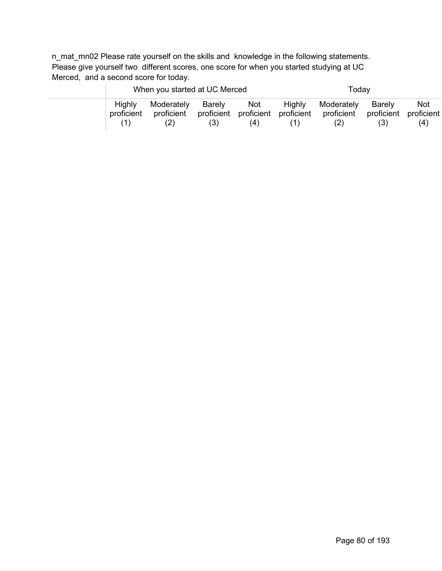n\_mat\_mn02 Please rate yourself on the skills and knowledge in the following statements. Please give yourself two different scores, one score for when you started studying at UC Merced, and a second score for today.

| When you started at UC Merced |                          |               |            | Todav |                                                                         |                                        |            |
|-------------------------------|--------------------------|---------------|------------|-------|-------------------------------------------------------------------------|----------------------------------------|------------|
| Hiahlv<br>proficient          | Moderately<br>proficient | Barely<br>(3) | Not<br>(4) |       | Highly Moderately<br>proficient proficient proficient proficient<br>(2) | Barely<br>proficient proficient<br>(3) | Not<br>(4) |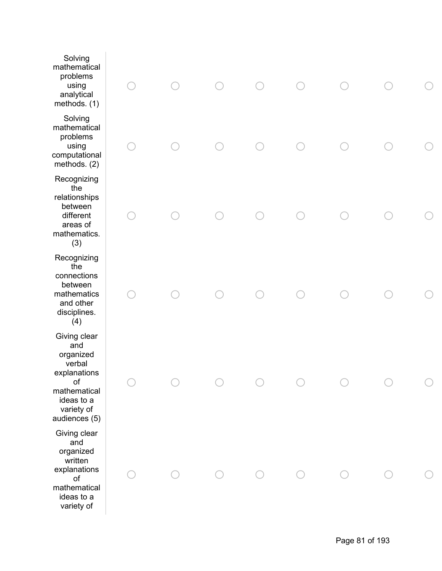| Solving<br>mathematical<br>problems<br>using<br>analytical<br>methods. (1)                                                    |  |  |  |  |
|-------------------------------------------------------------------------------------------------------------------------------|--|--|--|--|
| Solving<br>mathematical<br>problems<br>using<br>computational<br>methods. (2)                                                 |  |  |  |  |
| Recognizing<br>the<br>relationships<br>between<br>different<br>areas of<br>mathematics.<br>(3)                                |  |  |  |  |
| Recognizing<br>the<br>connections<br>between<br>mathematics<br>and other<br>disciplines.<br>(4)                               |  |  |  |  |
| Giving clear<br>and<br>organized<br>verbal<br>explanations<br>of<br>mathematical<br>ideas to a<br>variety of<br>audiences (5) |  |  |  |  |
| Giving clear<br>and<br>organized<br>written<br>explanations<br>of<br>mathematical<br>ideas to a<br>variety of                 |  |  |  |  |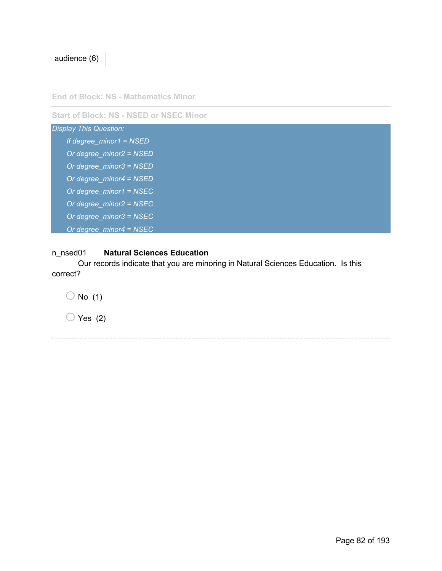audience (6)

**End of Block: NS - Mathematics Minor**

**Start of Block: NS - NSED or NSEC Minor**



# n\_nsed01 **Natural Sciences Education**

 Our records indicate that you are minoring in Natural Sciences Education. Is this correct?

 $\bigcirc$  No (1)

 $\bigcirc$  Yes (2)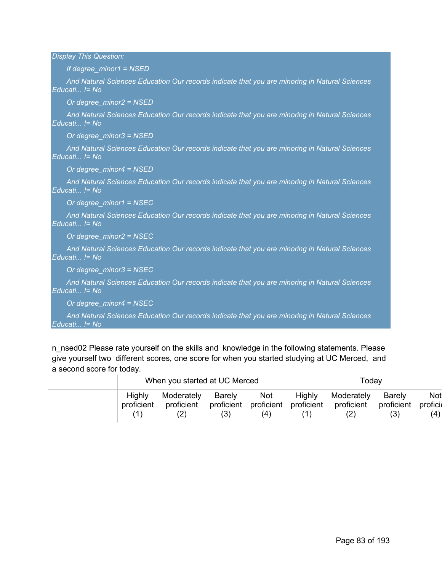*Display This Question:*

*If degree\_minor1 = NSED*

*And Natural Sciences Education Our records indicate that you are minoring in Natural Sciences Educati... != No*

*Or degree\_minor2 = NSED*

*And Natural Sciences Education Our records indicate that you are minoring in Natural Sciences Educati... != No*

*Or degree\_minor3 = NSED*

*And Natural Sciences Education Our records indicate that you are minoring in Natural Sciences Educati... != No*

*Or degree\_minor4 = NSED*

*And Natural Sciences Education Our records indicate that you are minoring in Natural Sciences Educati... != No*

*Or degree\_minor1 = NSEC*

*And Natural Sciences Education Our records indicate that you are minoring in Natural Sciences Educati... != No*

*Or degree\_minor2 = NSEC*

*And Natural Sciences Education Our records indicate that you are minoring in Natural Sciences Educati... != No*

*Or degree\_minor3 = NSEC*

*And Natural Sciences Education Our records indicate that you are minoring in Natural Sciences Educati... != No*

*Or degree\_minor4 = NSEC*

*And Natural Sciences Education Our records indicate that you are minoring in Natural Sciences Educati... != No*

n nsed02 Please rate yourself on the skills and knowledge in the following statements. Please give yourself two different scores, one score for when you started studying at UC Merced, and a second score for today.

| When you started at UC Merced |                          |                             |                                 | Гоdav                |                          |                      |                              |
|-------------------------------|--------------------------|-----------------------------|---------------------------------|----------------------|--------------------------|----------------------|------------------------------|
| Highly<br>proficient          | Moderately<br>proficient | Barely<br>proficient<br>(3) | <b>Not</b><br>proficient<br>(4) | Highly<br>proficient | Moderately<br>proficient | Barely<br>proficient | <b>Not</b><br>profici<br>(4) |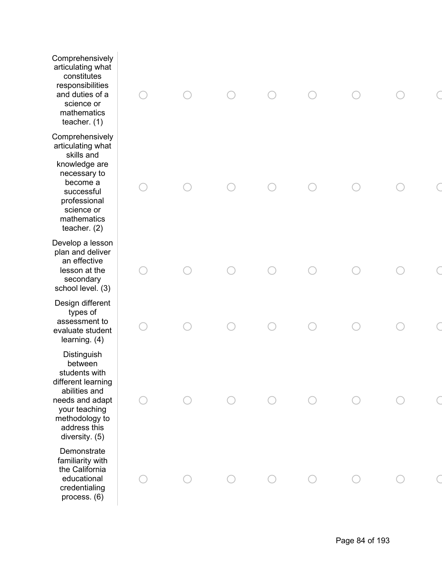**Comprehensively** articulating what constitutes responsibilities and duties of a science or mathematics teacher. (1) **Comprehensively** articulating what skills and knowledge are necessary to become a successful professional science or mathematics teacher. (2) Develop a lesson plan and deliver an effective lesson at the secondary school level. (3) Design different types of assessment to evaluate student learning. (4) **Distinguish** between students with different learning abilities and needs and adapt your teaching methodology to address this diversity. (5) **Demonstrate** familiarity with the California educational credentialing

process. (6)

|  |         |         |         | $\begin{array}{ccccccccccccccccc} \circ & \circ & \circ & \circ & \circ & \circ & \circ \end{array}$ |  |
|--|---------|---------|---------|------------------------------------------------------------------------------------------------------|--|
|  | $\circ$ | $\circ$ | $\circ$ |                                                                                                      |  |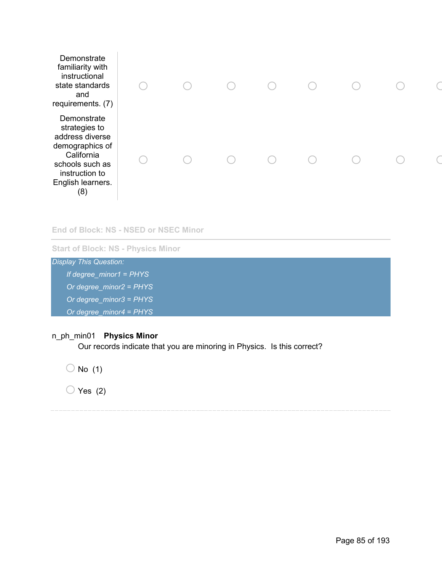| Demonstrate<br>familiarity with<br>instructional<br>state standards<br>and<br>requirements. (7)                                                   |  |  |  |  |
|---------------------------------------------------------------------------------------------------------------------------------------------------|--|--|--|--|
| Demonstrate<br>strategies to<br>address diverse<br>demographics of<br>California<br>schools such as<br>instruction to<br>English learners.<br>(8) |  |  |  |  |

**End of Block: NS - NSED or NSEC Minor**

**Start of Block: NS - Physics Minor**

*Display This Question: If degree\_minor1 = PHYS Or degree\_minor2 = PHYS Or degree\_minor3 = PHYS Or degree\_minor4 = PHYS*

# n\_ph\_min01 **Physics Minor**

Our records indicate that you are minoring in Physics. Is this correct?

 $\bigcirc$  No (1)

 $\bigcirc$  Yes (2)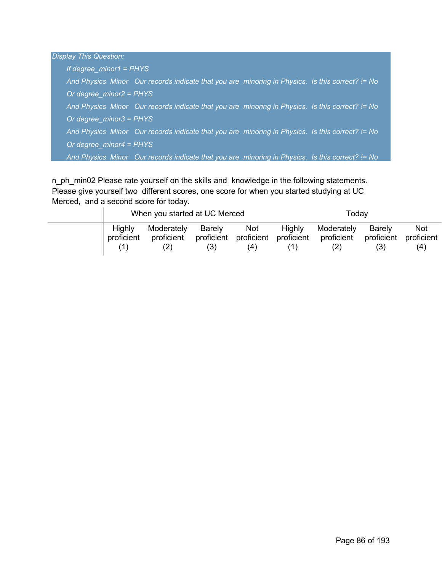*Display This Question:*

*If degree\_minor1 = PHYS And Physics Minor Our records indicate that you are minoring in Physics. Is this correct? != No Or degree\_minor2 = PHYS And Physics Minor Our records indicate that you are minoring in Physics. Is this correct? != No Or degree\_minor3 = PHYS And Physics Minor Our records indicate that you are minoring in Physics. Is this correct? != No Or degree\_minor4 = PHYS And Physics Minor Our records indicate that you are minoring in Physics. Is this correct? != No*

n ph\_min02 Please rate yourself on the skills and knowledge in the following statements. Please give yourself two different scores, one score for when you started studying at UC Merced, and a second score for today.

| When you started at UC Merced |                          |        |            | Todav  |                                                           |                                        |            |
|-------------------------------|--------------------------|--------|------------|--------|-----------------------------------------------------------|----------------------------------------|------------|
| Highly<br>proficient          | Moderately<br>proficient | Barely | Not<br>(4) | Highly | Moderately<br>proficient proficient proficient proficient | Barelv<br>proficient proficient<br>(3) | Not<br>(4) |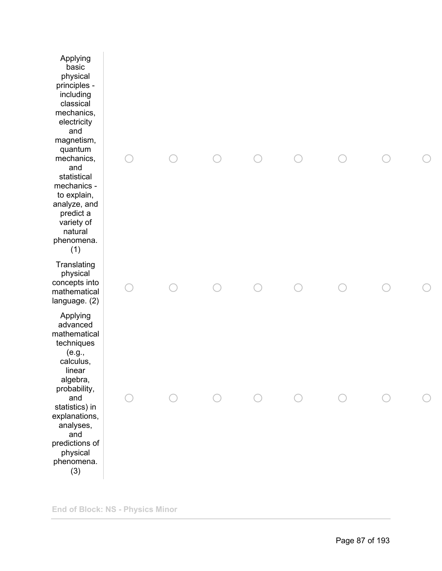Applying basic physical principles including classical mechanics, electricity and magnetism, quantum mechanics, and statistical mechanics to explain, analyze, and predict a variety of natural phenomena. (1) **Translating** physical concepts into mathematical language. (2) Applying advanced mathematical techniques (e.g., calculus, linear algebra, probability, and statistics) in explanations, analyses, and predictions of physical phenomena.

(3)

| $\begin{bmatrix} 0 \\ 1 \\ 0 \\ 1 \end{bmatrix}$ |  |  |  |  |
|--------------------------------------------------|--|--|--|--|
| $\mathbf{L}$                                     |  |  |  |  |
|                                                  |  |  |  |  |

**End of Block: NS - Physics Minor**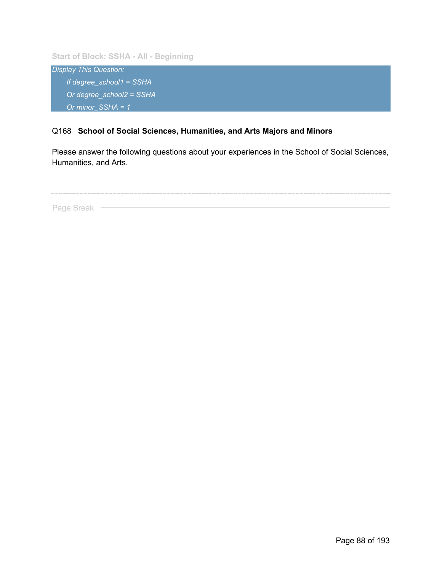```
Start of Block: SSHA - All - Beginning
```
*Display This Question: If degree\_school1 = SSHA Or degree\_school2 = SSHA Or minor\_SSHA = 1*

# Q168 **School of Social Sciences, Humanities, and Arts Majors and Minors**

Please answer the following questions about your experiences in the School of Social Sciences, Humanities, and Arts.

Page Break —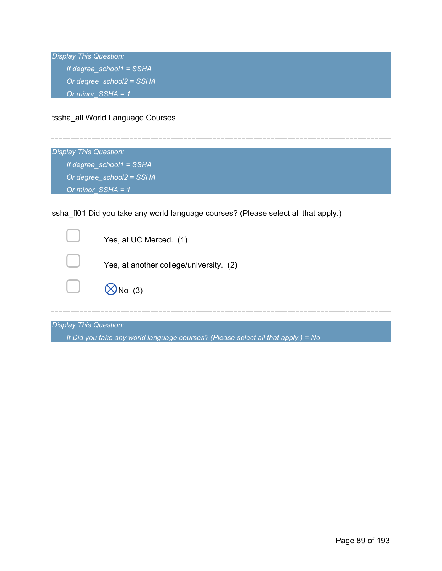*Display This Question: If degree\_school1 = SSHA Or degree\_school2 = SSHA Or minor\_SSHA = 1*

tssha\_all World Language Courses

| <b>Display This Question:</b> |  |
|-------------------------------|--|
| If degree_school1 = SSHA      |  |
| Or degree_school2 = SSHA      |  |
| Or minor $SSHA = 1$           |  |

ssha\_fl01 Did you take any world language courses? (Please select all that apply.)

|                               | Yes, at UC Merced. (1)                  |
|-------------------------------|-----------------------------------------|
|                               | Yes, at another college/university. (2) |
|                               | (3)                                     |
|                               |                                         |
| <b>Display This Question:</b> |                                         |

*If Did you take any world language courses? (Please select all that apply.) = No*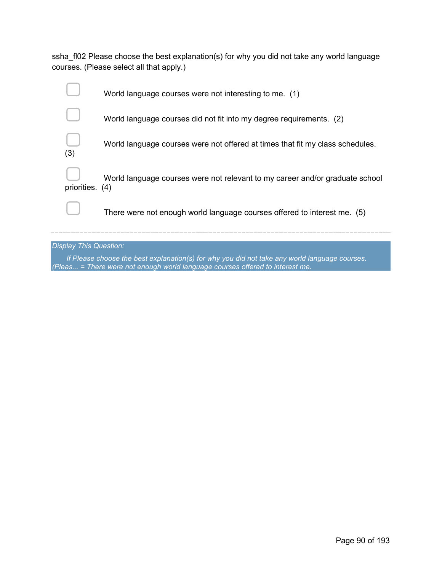ssha\_fl02 Please choose the best explanation(s) for why you did not take any world language courses. (Please select all that apply.)

|                 | World language courses were not interesting to me. (1)                        |
|-----------------|-------------------------------------------------------------------------------|
|                 | World language courses did not fit into my degree requirements. (2)           |
| (3)             | World language courses were not offered at times that fit my class schedules. |
| priorities. (4) | World language courses were not relevant to my career and/or graduate school  |
|                 | There were not enough world language courses offered to interest me. (5)      |
|                 |                                                                               |

*Display This Question:*

*If Please choose the best explanation(s) for why you did not take any world language courses. (Pleas... = There were not enough world language courses offered to interest me.*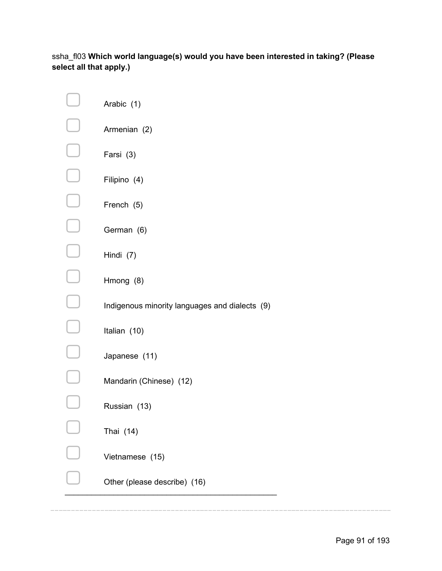# ssha\_fl03 **Which world language(s) would you have been interested in taking? (Please select all that apply.)**

| Arabic (1)                                     |
|------------------------------------------------|
| Armenian (2)                                   |
| Farsi (3)                                      |
| Filipino (4)                                   |
| French (5)                                     |
| German (6)                                     |
| Hindi (7)                                      |
| Hmong (8)                                      |
| Indigenous minority languages and dialects (9) |
| Italian (10)                                   |
| Japanese (11)                                  |
| Mandarin (Chinese) (12)                        |
| Russian (13)                                   |
| Thai (14)                                      |
| Vietnamese (15)                                |
| Other (please describe) (16)                   |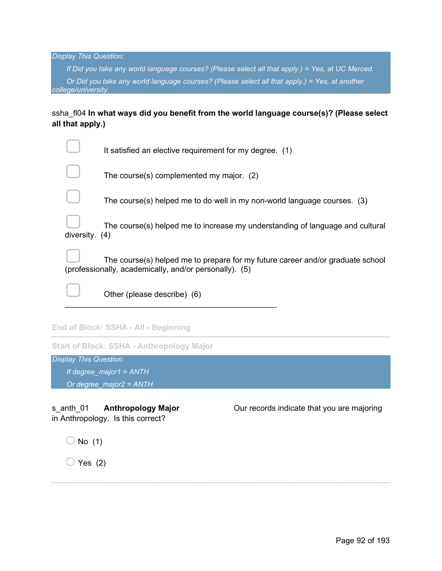*Display This Question:*

*If Did you take any world language courses? (Please select all that apply.) = Yes, at UC Merced.*

*Or Did you take any world language courses? (Please select all that apply.) = Yes, at another* 

*college/university.*

# ssha\_fl04 **In what ways did you benefit from the world language course(s)? (Please select all that apply.)**

|                | It satisfied an elective requirement for my degree. (1)                                                                                  |
|----------------|------------------------------------------------------------------------------------------------------------------------------------------|
|                | The course(s) complemented my major. $(2)$                                                                                               |
|                | The course(s) helped me to do well in my non-world language courses. (3)                                                                 |
| diversity. (4) | The course(s) helped me to increase my understanding of language and cultural                                                            |
|                | The course(s) helped me to prepare for my future career and/or graduate school<br>(professionally, academically, and/or personally). (5) |
|                | Other (please describe) (6)                                                                                                              |

#### **End of Block: SSHA - All - Beginning**

**Start of Block: SSHA - Anthropology Major**

*Display This Question:*

*If degree\_major1 = ANTH*

*Or degree\_major2 = ANTH*

in Anthropology. Is this correct?

s\_anth\_01 **Anthropology Major** Our records indicate that you are majoring

 $\bigcirc$  No (1)

 $\bigcirc$  Yes (2)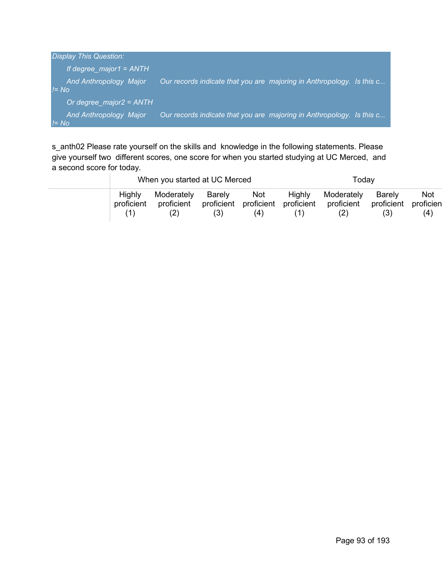| <b>Display This Question:</b>             |                                                                       |  |
|-------------------------------------------|-----------------------------------------------------------------------|--|
| If degree_major1 = ANTH                   |                                                                       |  |
| <b>And Anthropology Major</b><br>$I = No$ | Our records indicate that you are majoring in Anthropology. Is this c |  |
| Or degree_major2 = ANTH                   |                                                                       |  |
| <b>And Anthropology Major</b><br>$I = No$ | Our records indicate that you are majoring in Anthropology. Is this c |  |

s\_anth02 Please rate yourself on the skills and knowledge in the following statements. Please give yourself two different scores, one score for when you started studying at UC Merced, and a second score for today.

| When you started at UC Merced |                                        |     |            | Todav  |                                                                                       |        |                   |
|-------------------------------|----------------------------------------|-----|------------|--------|---------------------------------------------------------------------------------------|--------|-------------------|
| Highly<br>proficient          | Moderately Barely<br>proficient<br>(2) | (3) | Not<br>(4) | Highly | Moderately<br>proficient proficient proficient proficient proficient proficien<br>(2) | Barely | <b>Not</b><br>(4) |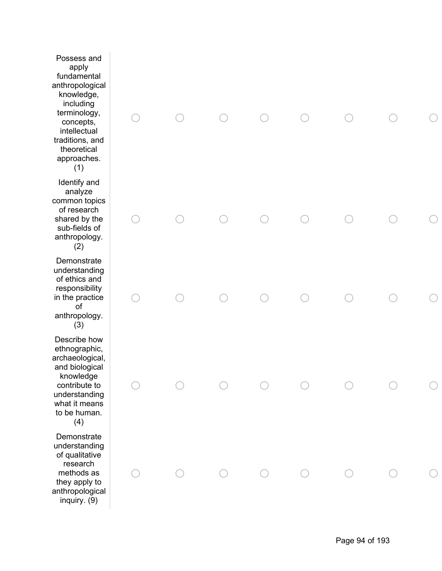Possess and apply fundamental anthropological knowledge, including terminology, concepts, intellectual traditions, and theoretical approaches. (1) Identify and analyze common topics of research shared by the sub -fields of anthropology. (2) **Demonstrate** understanding of ethics and responsibility in the practice of anthropology. (3) Describe how ethnographic, archaeological, and biological knowledge contribute to understanding what it means to be human. (4) **Demonstrate** understanding of qualitative research methods as

they apply to anthropological inquiry. (9)

|  | $\circ$ | $\bigcirc$ | $\circ$ |  |
|--|---------|------------|---------|--|
|  |         |            |         |  |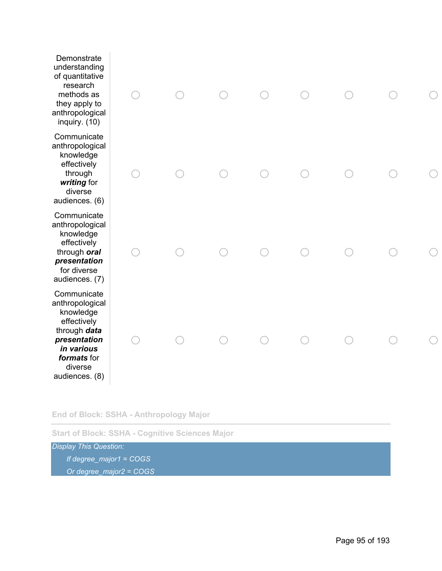| Demonstrate<br>understanding<br>of quantitative<br>research<br>methods as<br>they apply to<br>anthropological<br>inquiry. (10)                       |  |  |  |  |
|------------------------------------------------------------------------------------------------------------------------------------------------------|--|--|--|--|
| Communicate<br>anthropological<br>knowledge<br>effectively<br>through<br>writing for<br>diverse<br>audiences. (6)                                    |  |  |  |  |
| Communicate<br>anthropological<br>knowledge<br>effectively<br>through oral<br>presentation<br>for diverse<br>audiences. (7)                          |  |  |  |  |
| Communicate<br>anthropological<br>knowledge<br>effectively<br>through data<br>presentation<br>in various<br>formats for<br>diverse<br>audiences. (8) |  |  |  |  |

**End of Block: SSHA - Anthropology Major**

**Start of Block: SSHA - Cognitive Sciences Major**

*Display This Question: If degree\_major1 = COGS Or degree\_major2 = COGS*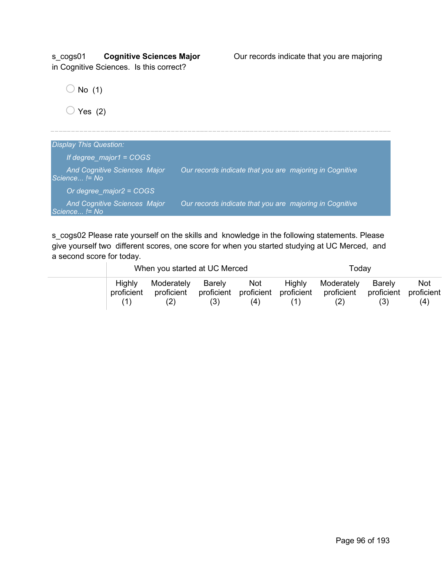# in Cognitive Sciences. Is this correct?

 $\bigcirc$  No (1)

 $\bigcirc$  Yes (2)

| <b>Display This Question:</b>                        |                                                         |
|------------------------------------------------------|---------------------------------------------------------|
| If degree_major1 = COGS                              |                                                         |
| <b>And Cognitive Sciences Major</b><br>Science!= No  | Our records indicate that you are majoring in Cognitive |
| Or degree_major2 = COGS                              |                                                         |
| <b>And Cognitive Sciences Major</b><br>Science! = No | Our records indicate that you are majoring in Cognitive |

s\_cogs02 Please rate yourself on the skills and knowledge in the following statements. Please give yourself two different scores, one score for when you started studying at UC Merced, and a second score for today.

|                      | When you started at UC Merced   |                      |            | Todav |                                                                         |                                        |            |
|----------------------|---------------------------------|----------------------|------------|-------|-------------------------------------------------------------------------|----------------------------------------|------------|
| Highly<br>proficient | Moderately<br>proficient<br>(2) | <b>Barely</b><br>(3) | Not<br>(4) |       | Highly Moderately<br>proficient proficient proficient proficient<br>(2) | Barely<br>proficient proficient<br>(3) | Not<br>(4) |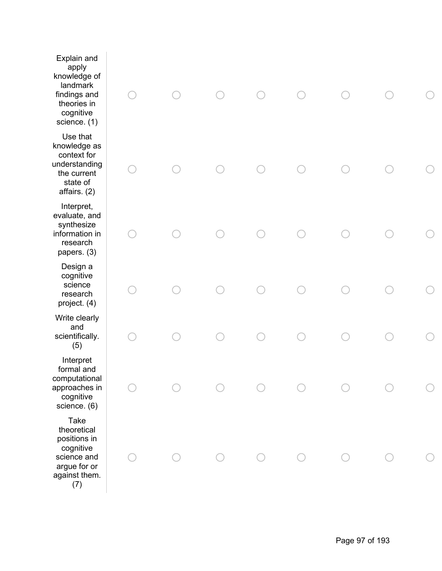| Explain and<br>apply<br>knowledge of<br>landmark<br>findings and<br>theories in<br>cognitive<br>science. (1) |  |  |  |  |
|--------------------------------------------------------------------------------------------------------------|--|--|--|--|
| Use that<br>knowledge as<br>context for<br>understanding<br>the current<br>state of<br>affairs. (2)          |  |  |  |  |
| Interpret,<br>evaluate, and<br>synthesize<br>information in<br>research<br>papers. (3)                       |  |  |  |  |
| Design a<br>cognitive<br>science<br>research<br>project. (4)                                                 |  |  |  |  |
| Write clearly<br>and<br>scientifically.<br>(5)                                                               |  |  |  |  |
| Interpret<br>formal and<br>computational<br>approaches in<br>cognitive<br>science. (6)                       |  |  |  |  |
| Take<br>theoretical<br>positions in<br>cognitive<br>science and<br>argue for or<br>against them.<br>(7)      |  |  |  |  |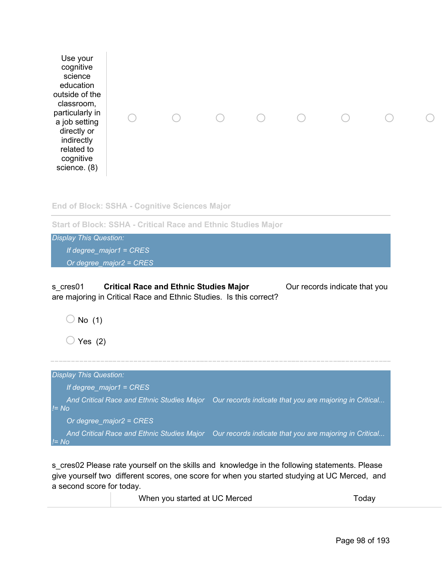| outside of the<br>classroom,<br>particularly in<br>a job setting<br>directly or<br>indirectly<br>related to<br>cognitive<br>science. (8) | Use your<br>cognitive<br>science<br>education |  |  |  |  |  |  |  |  |
|------------------------------------------------------------------------------------------------------------------------------------------|-----------------------------------------------|--|--|--|--|--|--|--|--|
|------------------------------------------------------------------------------------------------------------------------------------------|-----------------------------------------------|--|--|--|--|--|--|--|--|

**End of Block: SSHA - Cognitive Sciences Major**

**Start of Block: SSHA - Critical Race and Ethnic Studies Major**

*Display This Question: If degree\_major1 = CRES Or degree\_major2 = CRES* s cres01 **Critical Race and Ethnic Studies Major** Our records indicate that you are majoring in Critical Race and Ethnic Studies. Is this correct?  $\bigcirc$  No (1)  $\bigcirc$  Yes (2) *Display This Question: If degree\_major1 = CRES And Critical Race and Ethnic Studies Major Our records indicate that you are majoring in Critical... != No Or degree\_major2 = CRES And Critical Race and Ethnic Studies Major Our records indicate that you are majoring in Critical... != No*

s cres02 Please rate yourself on the skills and knowledge in the following statements. Please give yourself two different scores, one score for when you started studying at UC Merced, and a second score for today.

When you started at UC Merced Today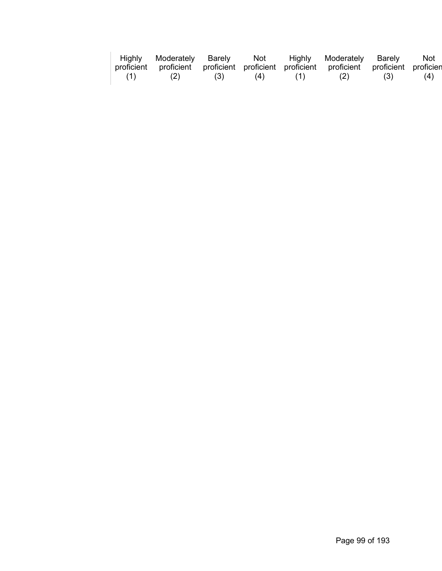|     |             |     |     | Highly Moderately Barely Not Highly Moderately Barely Not                              |             |     |
|-----|-------------|-----|-----|----------------------------------------------------------------------------------------|-------------|-----|
|     |             |     |     | proficient proficient proficient proficient proficient proficient proficient proficien |             |     |
| (1) | $(2)$ $(3)$ | (4) | (1) |                                                                                        | $(2)$ $(3)$ | (4) |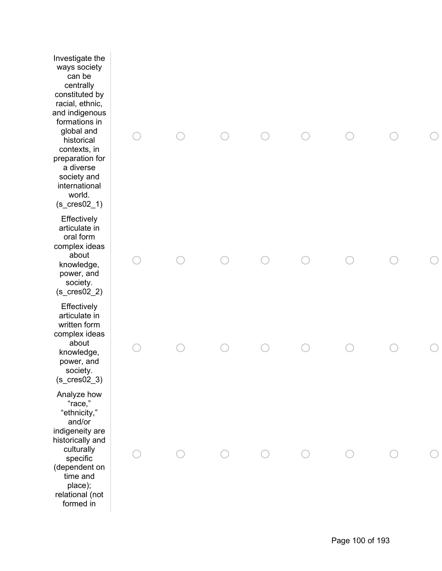Investigate the ways society can be centrally constituted by racial, ethnic, and indigenous formations in global and historical contexts, in preparation for a diverse society and international world. (s\_cres02\_1)

**Effectively** articulate in oral form complex ideas about knowledge, power, and society. (s\_cres02\_2)

**Effectively** articulate in written form complex ideas about knowledge, power, and society. (s\_cres02\_3)

Analyze how "race," "ethnicity," and/or indigeneity are historically and culturally specific (dependent on time and place); relational (not formed in

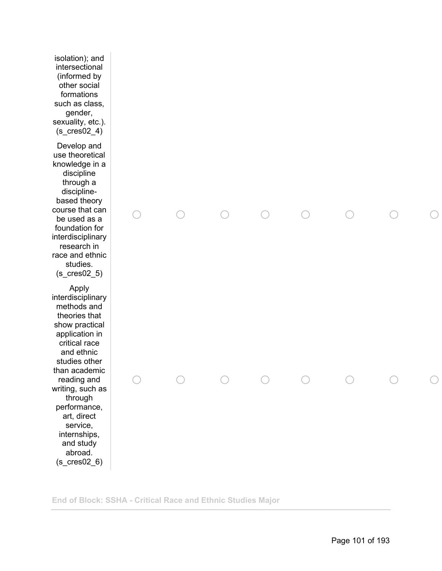isolation); and intersectional (informed by other social formations such as class, gender, sexuality, etc.). (s\_cres02\_4) Develop and use theoretical knowledge in a discipline through a disciplinebased theory course that can be used as a foundation for interdisciplinary research in race and ethnic studies. (s\_cres02\_5) Apply interdisciplinary methods and theories that show practical application in critical race and ethnic studies other than academic reading and writing, such as through performance, art, direct service, internships, and study abroad. (s\_cres02\_6)

**End of Block: SSHA - Critical Race and Ethnic Studies Major**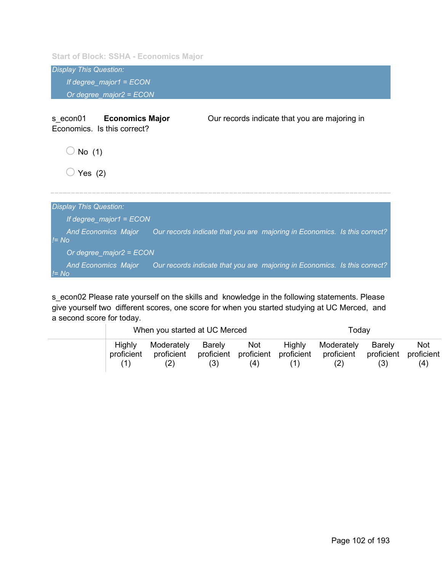**Start of Block: SSHA - Economics Major**

| <u>UMIL VI DIVUN. UUIIM - LUUIIVIIIIUJ MAJUI</u>                  |                                                                                                |
|-------------------------------------------------------------------|------------------------------------------------------------------------------------------------|
| <b>Display This Question:</b>                                     |                                                                                                |
| If degree_major1 = $ECON$                                         |                                                                                                |
| Or degree_major2 = $ECON$                                         |                                                                                                |
| s econ01<br><b>Economics Major</b><br>Economics. Is this correct? | Our records indicate that you are majoring in                                                  |
| No $(1)$                                                          |                                                                                                |
| Yes $(2)$                                                         |                                                                                                |
|                                                                   |                                                                                                |
| <b>Display This Question:</b>                                     |                                                                                                |
| If degree_major1 = $ECON$                                         |                                                                                                |
| $!=$ No                                                           | And Economics Major  Our records indicate that you are majoring in Economics. Is this correct? |
| Or degree_major2 = ECON                                           |                                                                                                |
| <b>And Economics Major</b><br>$I = No$                            | Our records indicate that you are majoring in Economics. Is this correct?                      |

s\_econ02 Please rate yourself on the skills and knowledge in the following statements. Please give yourself two different scores, one score for when you started studying at UC Merced, and a second score for today.

| When you started at UC Merced |                   |               |                   | Todav |                                                                                                                 |     |            |
|-------------------------------|-------------------|---------------|-------------------|-------|-----------------------------------------------------------------------------------------------------------------|-----|------------|
| Hiahlv<br>proficient          | Moderately<br>(2) | Barely<br>(3) | <b>Not</b><br>(4) |       | Highly Moderately Barely<br>proficient proficient proficient proficient proficient proficient proficient<br>(2) | (3) | Not<br>(4) |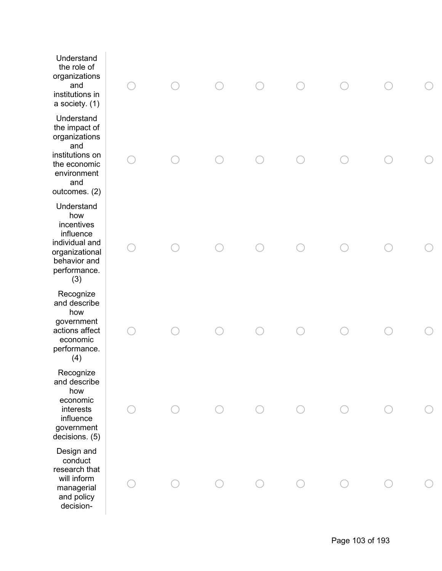**Understand** the role of organizations and institutions in a society. (1)  $\bigcap$  $\bigcirc$ o  $\bigcap$ o  $\bigcap$ o o Understand the impact of organizations and institutions on the economic environment and outcomes. (2)  $\bigcap$  $\bigcap$ o  $\bigcap$  $\bigcap$  $\bigcap$ o o Understand how incentives influence individual and organizational behavior and performance. (3)  $\bigcap$  $\bigcap$ o o o  $\bigcirc$ o o **Recognize** and describe how government actions affect economic performance. (4)  $\bigcap$  $\bigcap$ o  $\bigcap$ o o o o **Recognize** and describe how economic interests influence government decisions. (5)  $\bigcap$  $\bigcap$ o  $\bigcap$  $\bigcap$  $\bigcap$ o o Design and conduct research that will inform managerial and policy decision -  $\bigcirc$  $\bigcap$  $\bigcap$  $\bigcap$  $\bigcirc$  $\bigcap$ o o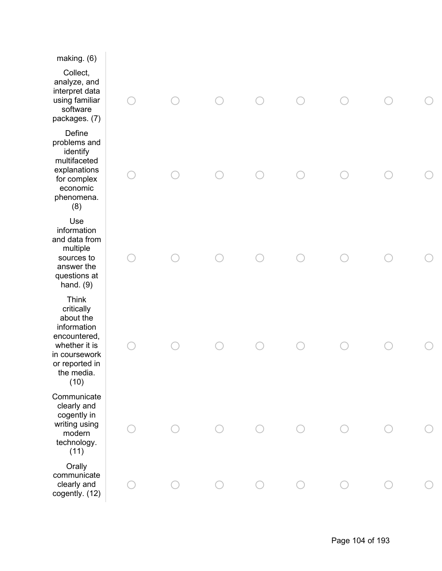making. (6) Collect, analyze, and interpret data using familiar software packages. (7)  $\bigcirc$  $\bigcap$ o  $\bigcap$ o o  $\bigcirc$ o Define problems and identify multifaceted explanations for complex economic phenomena. (8)  $\bigcirc$  $\bigcirc$ o  $\bigcirc$ o  $\bigcirc$ o o Use information and data from multiple sources to answer the questions at hand. (9)  $\bigcirc$ o o  $\bigcirc$ o  $\bigcirc$ o o Think critically about the information encountered, whether it is in coursework or reported in the media. (10)  $\bigcap$  $\bigcirc$  $\bigcirc$  $\bigcirc$ o  $\bigcap$  $\bigcap$ o **Communicate** clearly and cogently in writing using modern technology. (11)  $\bigcap$ o o  $\bigcap$  $\bigcap$ o o o **Orally** communicate clearly and cogently. (12)  $\bigcirc$  $\bigcirc$  $\bigcap$  $\bigcirc$  $\bigcirc$  $\bigcirc$  $\bigcap$ o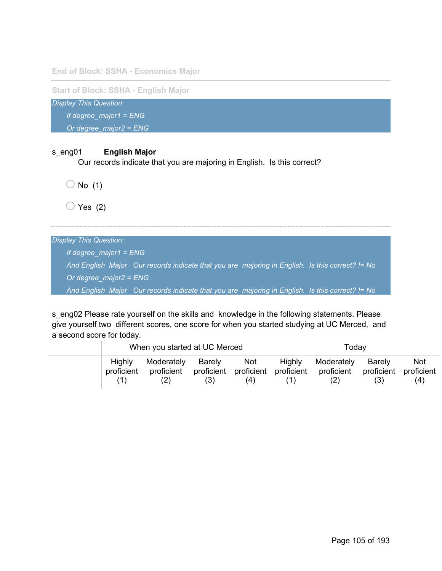**End of Block: SSHA - Economics Major**



*And English Major Our records indicate that you are majoring in English. Is this correct? != No*

s eng02 Please rate yourself on the skills and knowledge in the following statements. Please give yourself two different scores, one score for when you started studying at UC Merced, and a second score for today.

| When you started at UC Merced |                                 |               |                                                       | Todav         |                          |                      |                                 |
|-------------------------------|---------------------------------|---------------|-------------------------------------------------------|---------------|--------------------------|----------------------|---------------------------------|
| Highly<br>proficient          | Moderately<br>proficient<br>(2) | Barely<br>(3) | <b>Not</b><br>proficient proficient proficient<br>(4) | <b>Highly</b> | Moderately<br>proficient | Barely<br>proficient | <b>Not</b><br>proficient<br>(4) |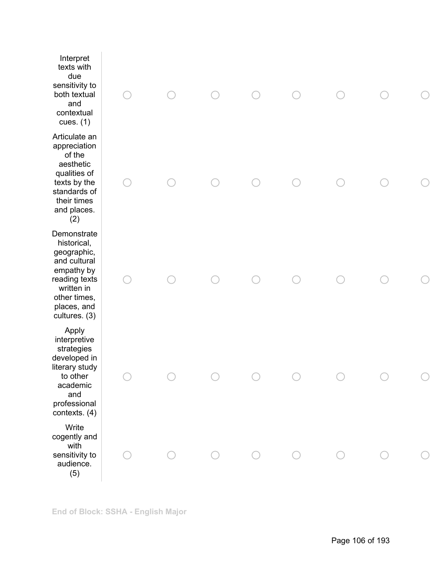Interpret texts with due sensitivity to both textual and contextual cues. (1) o o  $\bigcap$  $\bigcap$  $\bigcap$  $\bigcap$  $\bigcap$ o Articulate an appreciation of the aesthetic qualities of texts by the standards of their times and places. (2) o o  $\bigcap$ o  $\bigcap$ o o o **Demonstrate** historical, geographic, and cultural empathy by reading texts written in other times, places, and cultures. (3)  $\bigcirc$ o  $\bigcirc$ o  $\bigcirc$  $\left( \begin{array}{c} \end{array} \right)$  $\bigcirc$ o Apply interpretive strategies developed in literary study to other academic and professional contexts. (4) o  $\bigcap$  $\bigcap$  $\bigcirc$  $\bigcap$  $\bigcirc$  $\bigcap$ o **Write** cogently and with sensitivity to audience. (5) o o  $\bigcap$ o  $\bigcap$ o o o

**End of Block: SSHA - English Major**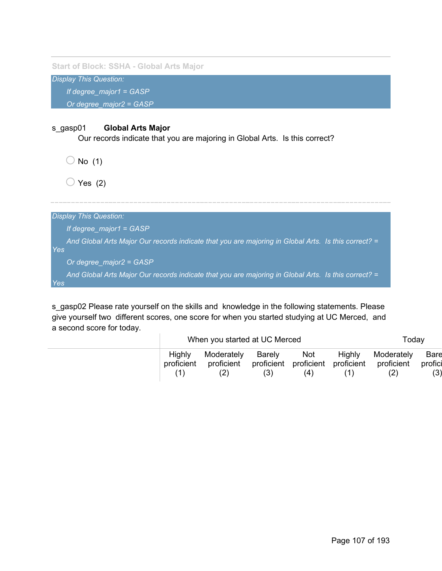**Start of Block: SSHA - Global Arts Major**

*Display This Question:*

*If degree\_major1 = GASP*

*Or degree\_major2 = GASP*

## s\_gasp01 **Global Arts Major**

Our records indicate that you are majoring in Global Arts. Is this correct?

 $\bigcirc$  No (1)

 $\bigcirc$  Yes (2)

|            | <b>Display This Question:</b>                                                                       |
|------------|-----------------------------------------------------------------------------------------------------|
|            | If degree_major1 = GASP                                                                             |
|            | And Global Arts Major Our records indicate that you are majoring in Global Arts. Is this correct? = |
| <b>Yes</b> |                                                                                                     |
|            | Or degree_major2 = GASP                                                                             |
|            | And Global Arts Major Our records indicate that you are majoring in Global Arts. Is this correct? = |
| Yes        |                                                                                                     |

s\_gasp02 Please rate yourself on the skills and knowledge in the following statements. Please give yourself two different scores, one score for when you started studying at UC Merced, and a second score for today.

| When you started at UC Merced |                          |               |            |                                            | Todav                    |                               |
|-------------------------------|--------------------------|---------------|------------|--------------------------------------------|--------------------------|-------------------------------|
| Highly<br>proficient          | Moderately<br>proficient | Barely<br>(3) | Not<br>(4) | Highly<br>proficient proficient proficient | Moderately<br>proficient | <b>Bare</b><br>profici<br>(3) |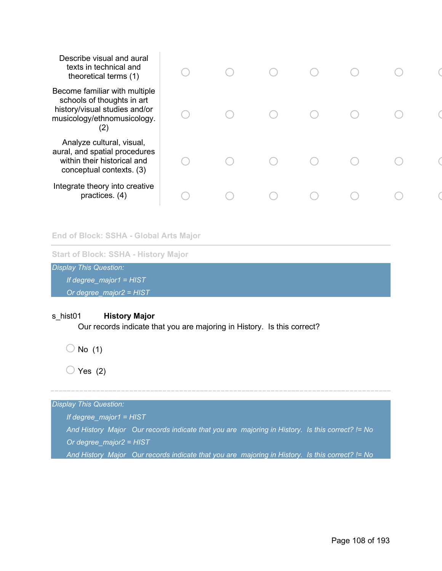| Describe visual and aural<br>texts in technical and<br>theoretical terms (1)                                                       |  |  |  |  |
|------------------------------------------------------------------------------------------------------------------------------------|--|--|--|--|
| Become familiar with multiple<br>schools of thoughts in art<br>history/visual studies and/or<br>musicology/ethnomusicology.<br>(2) |  |  |  |  |
| Analyze cultural, visual,<br>aural, and spatial procedures<br>within their historical and<br>conceptual contexts. (3)              |  |  |  |  |
| Integrate theory into creative<br>practices. (4)                                                                                   |  |  |  |  |

# **End of Block: SSHA - Global Arts Major**

**Start of Block: SSHA - History Major**

*Display This Question:*

*If degree\_major1 = HIST*

*Or degree\_major2 = HIST*

# s\_hist01 **History Major**

Our records indicate that you are majoring in History. Is this correct?

 $\bigcirc$  No (1)

 $\bigcirc$  Yes (2)

| <b>Display This Question:</b>          |                                                                                                 |  |
|----------------------------------------|-------------------------------------------------------------------------------------------------|--|
| If degree major1 = $HIST$ <sup>1</sup> |                                                                                                 |  |
|                                        | And History Major Our records indicate that you are majoring in History. Is this correct? != No |  |
| Or degree $major2 = HIST$              |                                                                                                 |  |
|                                        | And History Major Our records indicate that you are majoring in History. Is this correct? != No |  |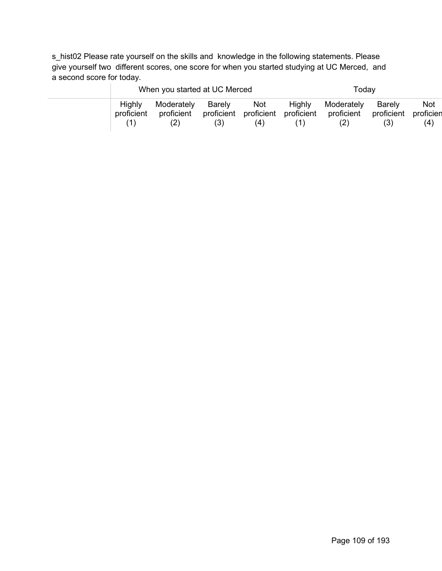s\_hist02 Please rate yourself on the skills and knowledge in the following statements. Please give yourself two different scores, one score for when you started studying at UC Merced, and a second score for today.

| When you started at UC Merced |            |               |            | Todav  |                                                                                                  |               |                   |
|-------------------------------|------------|---------------|------------|--------|--------------------------------------------------------------------------------------------------|---------------|-------------------|
| Highly<br>proficient          | Moderately | Barely<br>(3) | Not<br>(4) | Highly | Moderately<br>proficient proficient proficient proficient proficient proficient proficien<br>(2) | Barely<br>(3) | <b>Not</b><br>(4) |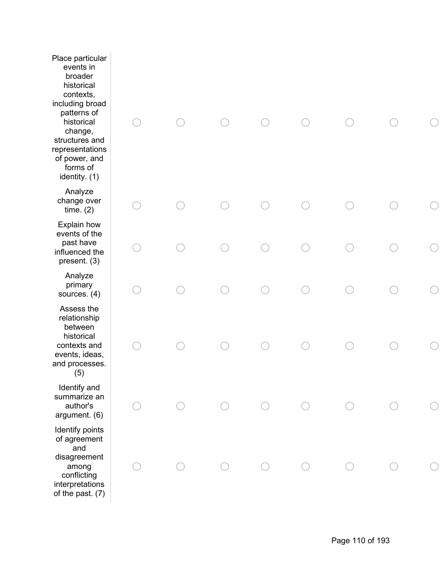Place particular events in broader historical contexts, including broad patterns of historical change, structures and representations of power, and forms of identity. (1) Analyze change over time. (2)

Explain how events of the past have influenced the present. (3)

Analyze primary sources. (4)

Assess the relationship between historical contexts and events, ideas, and processes. (5) Identify and summarize an

author's argument. (6) Identify points of agreement and disagreement among conflicting interpretations

of the past. (7)

| $\bigcirc$ |         |                                              | $\begin{array}{ccccccccccccccccc} \circ & \circ & \circ & \circ & \circ & \circ \end{array}$ | $\bigcirc$ | $\bigcirc$ |
|------------|---------|----------------------------------------------|----------------------------------------------------------------------------------------------|------------|------------|
|            | $\circ$ | $\begin{matrix} 0 & 0 \\ 0 & 0 \end{matrix}$ | $\circ$                                                                                      | $\bigcirc$ |            |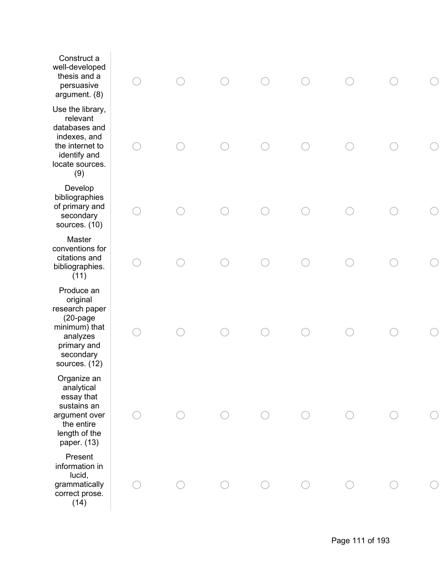Construct a well -developed thesis and a persuasive argument. (8) Use the library, relevant databases and indexes, and the internet to identify and locate sources. (9) Develop bibliographies of primary and secondary sources. (10) **Master** conventions for citations and bibliographies. (11) Produce an original research paper (20 -page minimum) that analyzes primary and secondary sources. (12) Organize an analytical essay that sustains an argument over the entire length of the paper. (13) Present information in

lucid, grammatically correct prose. (14)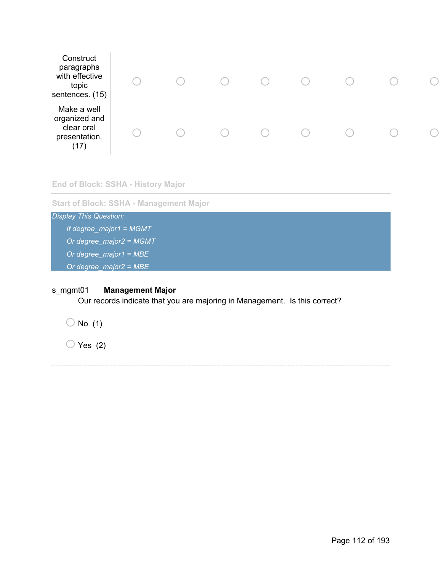| Construct<br>paragraphs<br>with effective<br>topic<br>sentences. (15) |  |  |  |  |
|-----------------------------------------------------------------------|--|--|--|--|
| Make a well<br>organized and<br>clear oral<br>presentation.<br>(17)   |  |  |  |  |

**End of Block: SSHA - History Major**

**Start of Block: SSHA - Management Major**

*Display This Question: If degree\_major1 = MGMT Or degree\_major2 = MGMT Or degree\_major1 = MBE Or degree\_major2 = MBE*

### s\_mgmt01 **Management Major**

Our records indicate that you are majoring in Management. Is this correct?

 $\bigcirc$  No (1)

 $\bigcirc$  Yes (2)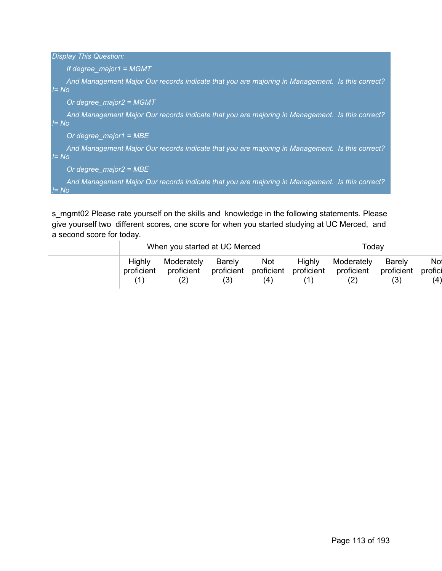| <b>Display This Question:</b>                                                                               |
|-------------------------------------------------------------------------------------------------------------|
| If degree $major1 = MGMT$                                                                                   |
| And Management Major Our records indicate that you are majoring in Management. Is this correct?<br>$I = No$ |
| Or degree $major2 = MGMT$                                                                                   |
| And Management Major Our records indicate that you are majoring in Management. Is this correct?<br>$I = No$ |
| Or degree $major1 = MBE$                                                                                    |
| And Management Major Our records indicate that you are majoring in Management. Is this correct?<br>$I = No$ |
| Or degree $major2 = MBE$                                                                                    |
| And Management Major Our records indicate that you are majoring in Management. Is this correct?<br>$!=$ No  |

s\_mgmt02 Please rate yourself on the skills and knowledge in the following statements. Please give yourself two different scores, one score for when you started studying at UC Merced, and a second score for today.

| When you started at UC Merced |                          |                             |                                 | Todav                       |                                 |                             |                      |
|-------------------------------|--------------------------|-----------------------------|---------------------------------|-----------------------------|---------------------------------|-----------------------------|----------------------|
| Highly<br>proficient          | Moderately<br>proficient | Barelv<br>proficient<br>(3) | <b>Not</b><br>proficient<br>(4) | <b>Highly</b><br>proficient | Moderately<br>proficient<br>(2) | Barely<br>proficient<br>(3) | No<br>profici<br>(4) |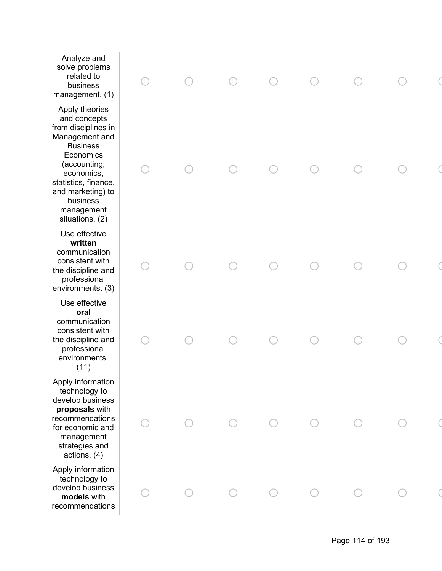| Analyze and<br>solve problems<br>related to<br>business<br>management. (1)                                                                                                                                                      |  |  |  |  |
|---------------------------------------------------------------------------------------------------------------------------------------------------------------------------------------------------------------------------------|--|--|--|--|
| Apply theories<br>and concepts<br>from disciplines in<br>Management and<br><b>Business</b><br>Economics<br>(accounting,<br>economics,<br>statistics, finance,<br>and marketing) to<br>business<br>management<br>situations. (2) |  |  |  |  |
| Use effective<br>written<br>communication<br>consistent with<br>the discipline and<br>professional<br>environments. (3)                                                                                                         |  |  |  |  |
| Use effective<br>oral<br>communication<br>consistent with<br>the discipline and<br>professional<br>environments.<br>(11)                                                                                                        |  |  |  |  |
| Apply information<br>technology to<br>develop business<br>proposals with<br>recommendations<br>for economic and<br>management<br>strategies and<br>actions. (4)                                                                 |  |  |  |  |
| Apply information<br>technology to<br>develop business<br>models with<br>recommendations                                                                                                                                        |  |  |  |  |

Page 114 of 193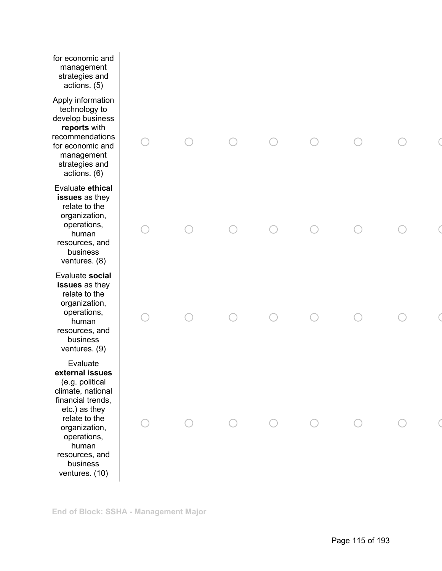for economic and management strategies and actions. (5)

Apply information technology to develop business **reports** with recommendations for economic and management strategies and actions. (6)

Evaluate **ethical issues** as they relate to the organization, operations, human resources, and business ventures. (8)

Evaluate **social issues** as they relate to the organization, operations, human resources, and business ventures. (9)

Evaluate **external issues** (e.g. political climate, national financial trends, etc.) as they relate to the organization, operations, human resources, and business ventures. (10)

**End of Block: SSHA - Management Major**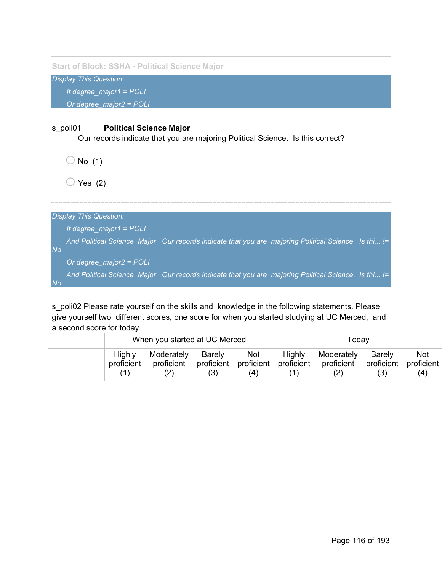**Start of Block: SSHA - Political Science Major**

*Display This Question:*

*If degree\_major1 = POLI*

*Or degree\_major2 = POLI*

#### s\_poli01 **Political Science Major**

Our records indicate that you are majoring Political Science. Is this correct?

 $\bigcirc$  No (1)

 $\bigcirc$  Yes (2)



s poli02 Please rate yourself on the skills and knowledge in the following statements. Please give yourself two different scores, one score for when you started studying at UC Merced, and a second score for today.

|                             | When you started at UC Merced |               |            |        | Todav                                                                |                                        |                   |  |
|-----------------------------|-------------------------------|---------------|------------|--------|----------------------------------------------------------------------|----------------------------------------|-------------------|--|
| <b>Highly</b><br>proficient | Moderately                    | Barely<br>(3) | Not<br>(4) | Highly | Moderately<br>proficient proficient proficient proficient proficient | Barely<br>proficient proficient<br>(3) | <b>Not</b><br>(4) |  |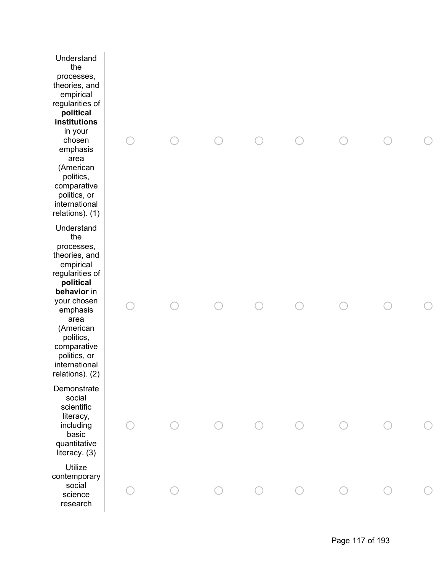Understand the processes, theories, and empirical regularities of **political institutions** in your chosen emphasis area (American politics, comparative politics, or international relations). (1) Understand the processes, theories, and empirical regularities of **political behavior** in your chosen emphasis area (American politics, comparative politics, or international relations). (2) Demonstrate social scientific literacy, including basic quantitative literacy. (3)

Utilize contemporary social science research

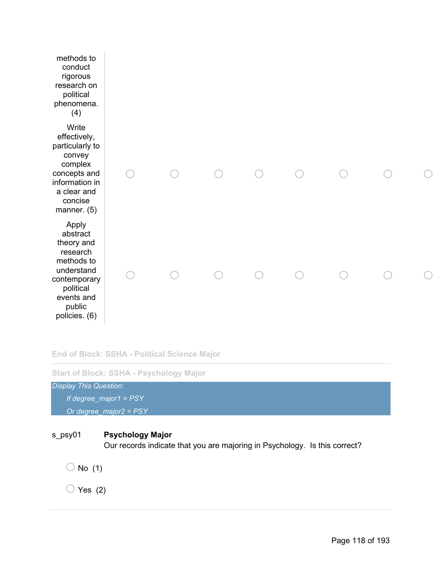| methods to<br>conduct<br>rigorous<br>research on<br>political<br>phenomena.<br>(4)                                                            |  |  |  |  |
|-----------------------------------------------------------------------------------------------------------------------------------------------|--|--|--|--|
| Write<br>effectively,<br>particularly to<br>convey<br>complex<br>concepts and<br>information in<br>a clear and<br>concise<br>manner. (5)      |  |  |  |  |
| Apply<br>abstract<br>theory and<br>research<br>methods to<br>understand<br>contemporary<br>political<br>events and<br>public<br>policies. (6) |  |  |  |  |

**End of Block: SSHA - Political Science Major**

**Start of Block: SSHA - Psychology Major**

*Display This Question: If degree\_major1 = PSY Or degree\_major2 = PSY*

# s\_psy01 **Psychology Major**

Our records indicate that you are majoring in Psychology. Is this correct?

 $\bigcirc$  No (1)

 $\bigcirc$  Yes (2)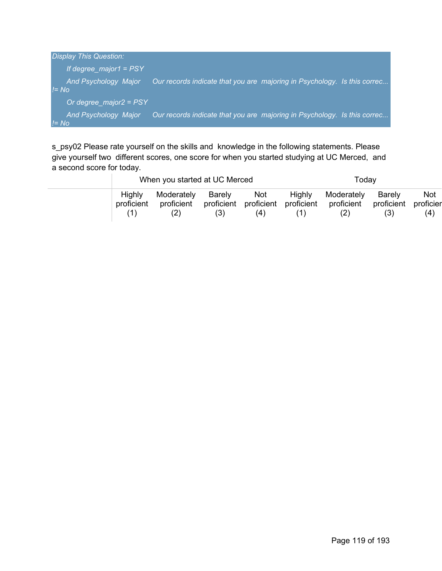| <b>Display This Question:</b>           |                                                                          |  |
|-----------------------------------------|--------------------------------------------------------------------------|--|
| If degree $major1 = PSY$                |                                                                          |  |
| <b>And Psychology Major</b><br>$I = No$ | Our records indicate that you are majoring in Psychology. Is this correc |  |
| Or degree_major2 = PSY                  |                                                                          |  |
| <b>And Psychology Major</b><br>$I = No$ | Our records indicate that you are majoring in Psychology. Is this correc |  |

s\_psy02 Please rate yourself on the skills and knowledge in the following statements. Please give yourself two different scores, one score for when you started studying at UC Merced, and a second score for today.

| When you started at UC Merced |                          |                      |            | Todav                                      |                                 |                             |                                |
|-------------------------------|--------------------------|----------------------|------------|--------------------------------------------|---------------------------------|-----------------------------|--------------------------------|
| <b>Highly</b><br>proficient   | Moderately<br>proficient | <b>Barely</b><br>(3) | Not<br>(4) | Highly<br>proficient proficient proficient | Moderately<br>proficient<br>(2) | Barelv<br>proficient<br>(3) | <b>Not</b><br>proficier<br>(4) |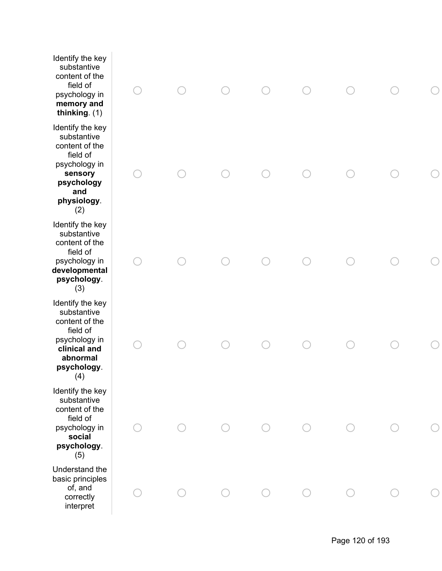Identify the key substantive content of the field of psychology in **memory and thinking**. (1) Identify the key substantive content of the field of psychology in **sensory psychology and physiology**. (2) Identify the key substantive content of the field of psychology in **developmental psychology**. (3) Identify the key substantive content of the field of psychology in **clinical and abnormal psychology**. (4) Identify the key substantive content of the field of psychology in **social psychology**. (5) Understand the basic principles of, and correctly

interpret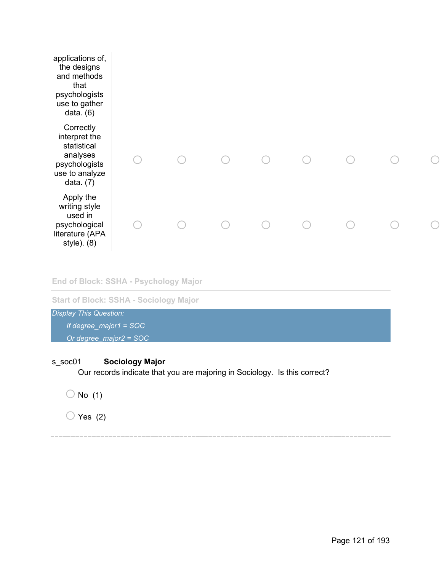| applications of,<br>the designs<br>and methods<br>that<br>psychologists<br>use to gather<br>data. $(6)$ |  |  |  |  |
|---------------------------------------------------------------------------------------------------------|--|--|--|--|
| Correctly<br>interpret the<br>statistical<br>analyses<br>psychologists<br>use to analyze<br>data. $(7)$ |  |  |  |  |
| Apply the<br>writing style<br>used in<br>psychological<br>literature (APA<br>style). (8)                |  |  |  |  |

**End of Block: SSHA - Psychology Major**

**Start of Block: SSHA - Sociology Major**

*Display This Question: If degree\_major1 = SOC Or degree\_major2 = SOC*

# s\_soc01 **Sociology Major**

Our records indicate that you are majoring in Sociology. Is this correct?

 $\bigcirc$  No (1)

 $\bigcirc$  Yes (2)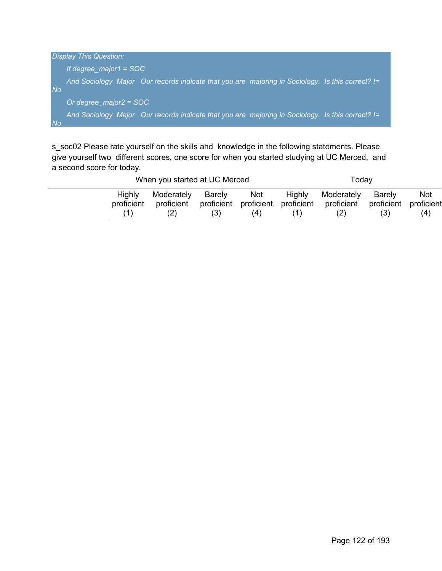|           | <b>Display This Question:</b>                                                                    |  |  |  |  |  |  |  |
|-----------|--------------------------------------------------------------------------------------------------|--|--|--|--|--|--|--|
|           | If degree_major1 = SOC                                                                           |  |  |  |  |  |  |  |
| <b>No</b> | And Sociology Major Our records indicate that you are majoring in Sociology. Is this correct? != |  |  |  |  |  |  |  |
|           | Or degree $major2 = SOC$                                                                         |  |  |  |  |  |  |  |
|           | And Sociology Major Our records indicate that you are majoring in Sociology. Is this correct? != |  |  |  |  |  |  |  |
| <b>No</b> |                                                                                                  |  |  |  |  |  |  |  |

s\_soc02 Please rate yourself on the skills and knowledge in the following statements. Please give yourself two different scores, one score for when you started studying at UC Merced, and a second score for today.

| When you started at UC Merced |                                 |                                    |                          | Todav                |                                 |                             |                                 |
|-------------------------------|---------------------------------|------------------------------------|--------------------------|----------------------|---------------------------------|-----------------------------|---------------------------------|
| Highly<br>proficient          | Moderately<br>proficient<br>(2) | <b>Barely</b><br>proficient<br>(3) | Not<br>proficient<br>(4) | Highly<br>proficient | Moderately<br>proficient<br>(2) | Barely<br>proficient<br>(3) | <b>Not</b><br>proficient<br>(4) |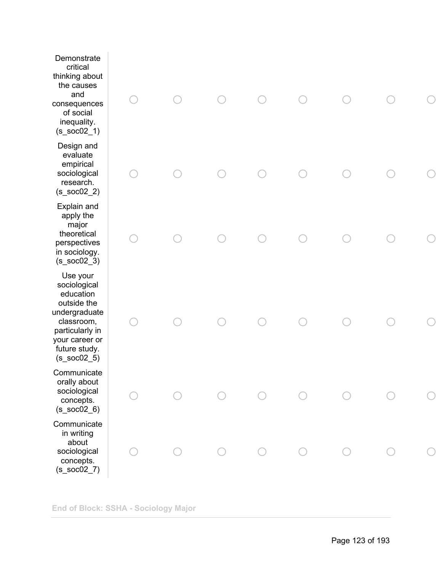| Demonstrate<br>critical<br>thinking about<br>the causes<br>and<br>consequences<br>of social<br>inequality.<br>$(s_soc02_1)$                                |  |  |  |  |
|------------------------------------------------------------------------------------------------------------------------------------------------------------|--|--|--|--|
| Design and<br>evaluate<br>empirical<br>sociological<br>research.<br>$(s_soc02_2)$                                                                          |  |  |  |  |
| Explain and<br>apply the<br>major<br>theoretical<br>perspectives<br>in sociology.<br>$(s_soc02_3)$                                                         |  |  |  |  |
| Use your<br>sociological<br>education<br>outside the<br>undergraduate<br>classroom,<br>particularly in<br>your career or<br>future study.<br>$(s_soc02_5)$ |  |  |  |  |
| Communicate<br>orally about<br>sociological<br>concepts.<br>$(s_soc02_6)$                                                                                  |  |  |  |  |
| Communicate<br>in writing<br>about<br>sociological<br>concepts.<br>$(s_soc027)$                                                                            |  |  |  |  |

**End of Block: SSHA - Sociology Major**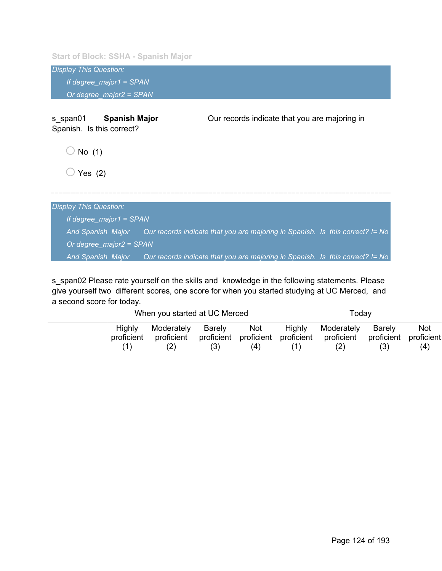**Start of Block: SSHA - Spanish Major**

*Display This Question: If degree\_major1 = SPAN Or degree\_major2 = SPAN* s\_span01 **Spanish Major Our records indicate that you are majoring in** Spanish. Is this correct?  $\bigcirc$  No (1)  $\bigcirc$  Yes (2) *Display This Question: If degree\_major1 = SPAN And Spanish Major Our records indicate that you are majoring in Spanish. Is this correct? != No Or degree\_major2 = SPAN And Spanish Major Our records indicate that you are majoring in Spanish. Is this correct? != No*

s span02 Please rate yourself on the skills and knowledge in the following statements. Please give yourself two different scores, one score for when you started studying at UC Merced, and a second score for today.

| When you started at UC Merced |                                 |                             |            | Todav                           |                          |                                        |                   |
|-------------------------------|---------------------------------|-----------------------------|------------|---------------------------------|--------------------------|----------------------------------------|-------------------|
| Highly<br>proficient          | Moderately<br>proficient<br>(2) | Barely<br>proficient<br>(3) | Not<br>(4) | Highly<br>proficient proficient | Moderately<br>proficient | Barely<br>proficient proficient<br>(3) | <b>Not</b><br>(4) |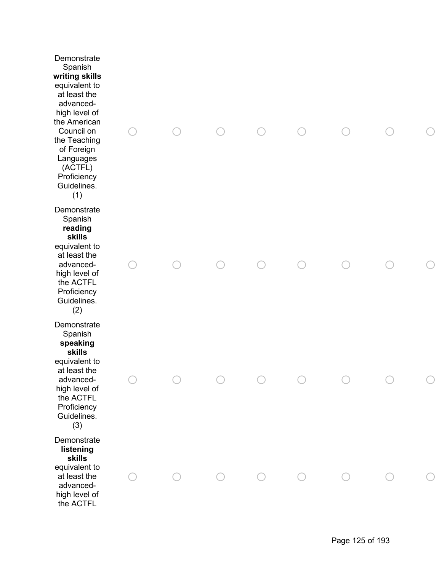**Demonstrate** Spanish **writing skills** equivalent to at least the advanced high level of the American Council on the Teaching of Foreign Languages (ACTFL) **Proficiency** Guidelines. (1) **Demonstrate** Spanish **reading skills** equivalent to at least the advanced high level of the ACTFL **Proficiency** Guidelines. (2) **Demonstrate** Spanish **speaking skills** equivalent to at least the advanced high level of the ACTFL **Proficiency** Guidelines. (3) **Demonstrate listening skills** equivalent to at least the

advanced high level of the ACTFL

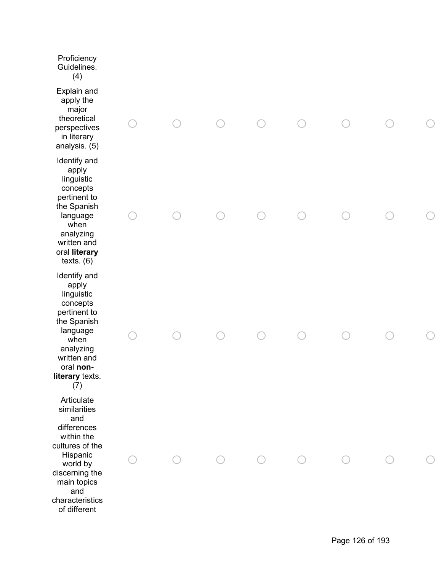**Proficiency** Guidelines. (4) Explain and apply the major theoretical perspectives in literary analysis. (5) Identify and apply linguistic concepts pertinent to the Spanish language when analyzing written and oral **literary** texts. (6) Identify and apply linguistic concepts pertinent to the Spanish language when analyzing written and oral **non literary** texts. (7) **Articulate** similarities and differences within the cultures of the Hispanic world by discerning the main topics and characteristics of different

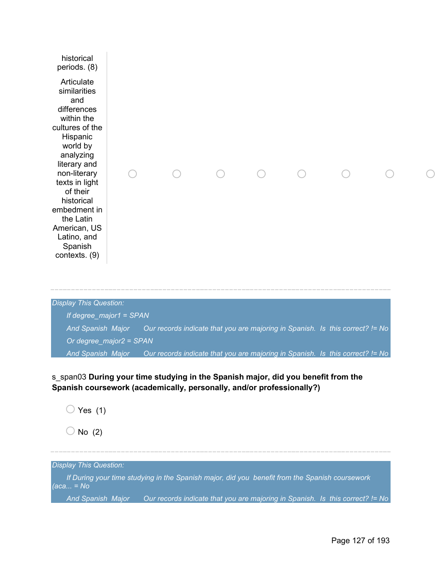

*Or degree\_major2 = SPAN*

*And Spanish Major Our records indicate that you are majoring in Spanish. Is this correct? != No*

s span03 During your time studying in the Spanish major, did you benefit from the **Spanish coursework (academically, personally, and/or professionally?)**

 $\bigcirc$  Yes (1)

 $\bigcirc$  No (2)

*Display This Question:*

*If During your time studying in the Spanish major, did you benefit from the Spanish coursework (aca... = No*

*And Spanish Major Our records indicate that you are majoring in Spanish. Is this correct? != No*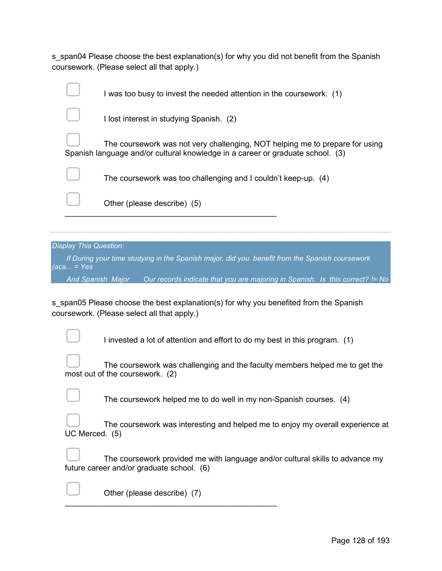s span04 Please choose the best explanation(s) for why you did not benefit from the Spanish coursework. (Please select all that apply.)

| I was too busy to invest the needed attention in the coursework. (1)                                                                                           |
|----------------------------------------------------------------------------------------------------------------------------------------------------------------|
| I lost interest in studying Spanish. (2)                                                                                                                       |
| The coursework was not very challenging, NOT helping me to prepare for using<br>Spanish language and/or cultural knowledge in a career or graduate school. (3) |
| The coursework was too challenging and I couldn't keep-up. (4)                                                                                                 |
| Other (please describe) (5)                                                                                                                                    |

*Display This Question: If During your time studying in the Spanish major, did you benefit from the Spanish coursework (aca... = Yes*

*And Spanish Major Our records indicate that you are majoring in Spanish. Is this correct? != No*

s span05 Please choose the best explanation(s) for why you benefited from the Spanish coursework. (Please select all that apply.)

I invested a lot of attention and effort to do my best in this program. (1)

|  | The coursework was challenging and the faculty members helped me to get the |
|--|-----------------------------------------------------------------------------|
|  | most out of the coursework. (2)                                             |

The coursework helped me to do well in my non-Spanish courses. (4)

| $\overline{\phantom{0}}$ | The coursework was interesting and helped me to enjoy my overall experience at |
|--------------------------|--------------------------------------------------------------------------------|
|                          |                                                                                |
|                          | UC Merced. (5)                                                                 |

| $\overline{\phantom{0}}$ | The coursework provided me with language and/or cultural skills to advance my |
|--------------------------|-------------------------------------------------------------------------------|
|                          | future career and/or graduate school. (6)                                     |



Other (please describe) (7)

 $\mathcal{L}_\text{max}$  , and the set of the set of the set of the set of the set of the set of the set of the set of the set of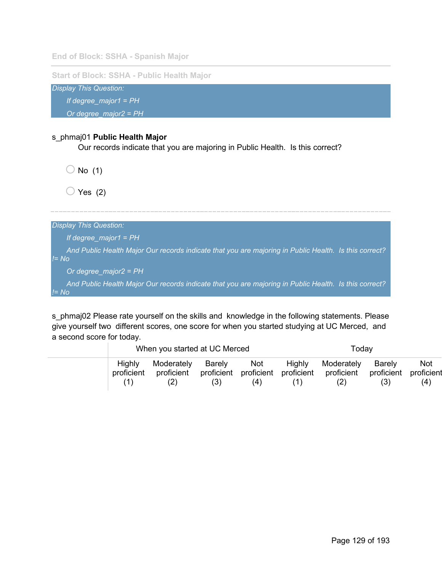**End of Block: SSHA - Spanish Major**

**Start of Block: SSHA - Public Health Major**

*Display This Question: If degree\_major1 = PH Or degree\_major2 = PH*

#### s\_phmaj01 **Public Health Major**

Our records indicate that you are majoring in Public Health. Is this correct?

 $\bigcirc$  No (1)  $\bigcirc$  Yes (2)

# *Display This Question: If degree\_major1 = PH And Public Health Major Our records indicate that you are majoring in Public Health. Is this correct? != No Or degree\_major2 = PH And Public Health Major Our records indicate that you are majoring in Public Health. Is this correct? != No*

s phmaj02 Please rate yourself on the skills and knowledge in the following statements. Please give yourself two different scores, one score for when you started studying at UC Merced, and a second score for today.

| When you started at UC Merced |                          |               |                                                | Todav  |                                 |                                        |                   |
|-------------------------------|--------------------------|---------------|------------------------------------------------|--------|---------------------------------|----------------------------------------|-------------------|
| Highly<br>proficient          | Moderately<br>proficient | Barelv<br>(3) | Not<br>proficient proficient proficient<br>(4) | Highly | Moderately<br>proficient<br>(2) | Barely<br>proficient proficient<br>(3) | <b>Not</b><br>(4) |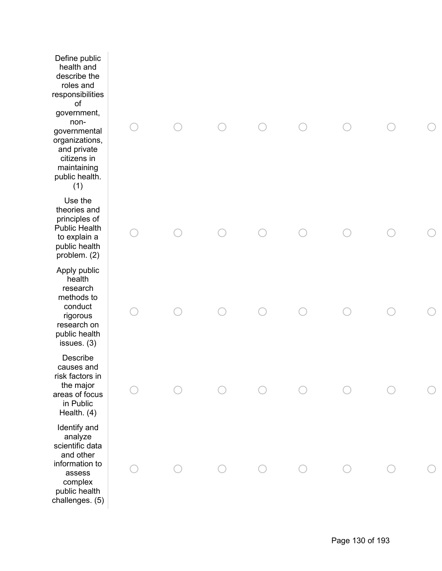Define public health and describe the roles and responsibilities of government, non governmental organizations, and private citizens in maintaining public health. (1) Use the theories and principles of Public Health

to explain a public health problem. (2) Apply public

health research methods to conduct rigorous research on public health issues. (3)

Describe causes and risk factors in the major areas of focus in Public Health. (4)

Identify and analyze scientific data and other information to assess complex public health challenges. (5)

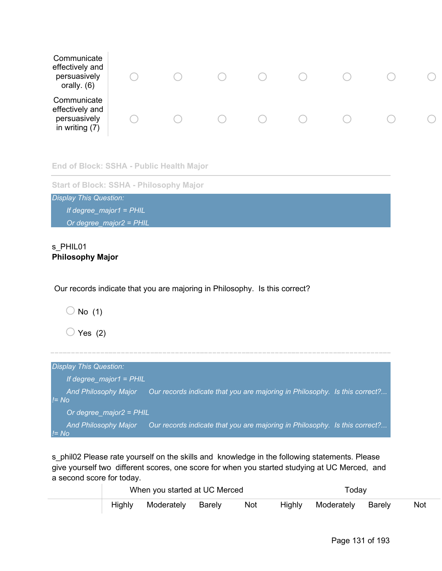| Communicate<br>effectively and<br>persuasively<br>orally. (6)    |  |  |  |  |
|------------------------------------------------------------------|--|--|--|--|
| Communicate<br>effectively and<br>persuasively<br>in writing (7) |  |  |  |  |

**End of Block: SSHA - Public Health Major**

**Start of Block: SSHA - Philosophy Major**

*Display This Question: If degree\_major1 = PHIL Or degree\_major2 = PHIL*

### s\_PHIL01 **Philosophy Major**

Our records indicate that you are majoring in Philosophy. Is this correct?

 $\bigcirc$  No (1)

 $\bigcirc$  Yes (2)



s phil02 Please rate yourself on the skills and knowledge in the following statements. Please give yourself two different scores, one score for when you started studying at UC Merced, and a second score for today.

|        | When you started at UC Merced |  | Todav                                                                                                          |  |                          |  |     |
|--------|-------------------------------|--|----------------------------------------------------------------------------------------------------------------|--|--------------------------|--|-----|
| Highly | Moderately Barely             |  | . Not the Note is a set of the Second Second Second Second Second Second Second Second Second Second Second Se |  | Highly Moderately Barely |  | Not |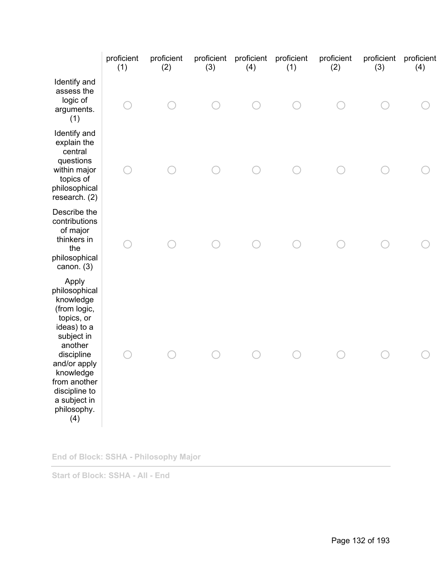|                                                                                                                                                                                                                             | proficient<br>(1) | proficient<br>(2) | proficient<br>(3) | proficient<br>(4) | proficient<br>(1) | proficient<br>(2) | proficient<br>(3) | proficient<br>(4) |
|-----------------------------------------------------------------------------------------------------------------------------------------------------------------------------------------------------------------------------|-------------------|-------------------|-------------------|-------------------|-------------------|-------------------|-------------------|-------------------|
| Identify and<br>assess the<br>logic of<br>arguments.<br>(1)                                                                                                                                                                 |                   |                   |                   |                   |                   |                   |                   |                   |
| Identify and<br>explain the<br>central<br>questions<br>within major<br>topics of<br>philosophical<br>research. (2)                                                                                                          |                   |                   |                   |                   |                   |                   |                   |                   |
| Describe the<br>contributions<br>of major<br>thinkers in<br>the<br>philosophical<br>canon. $(3)$                                                                                                                            |                   |                   |                   |                   |                   |                   |                   |                   |
| Apply<br>philosophical<br>knowledge<br>(from logic,<br>topics, or<br>ideas) to a<br>subject in<br>another<br>discipline<br>and/or apply<br>knowledge<br>from another<br>discipline to<br>a subject in<br>philosophy.<br>(4) |                   |                   |                   |                   |                   |                   |                   |                   |

**End of Block: SSHA - Philosophy Major**

**Start of Block: SSHA - All - End**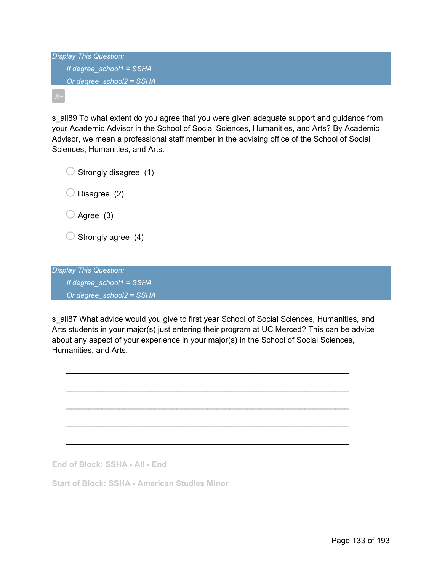```
Display This Question:
If degree_school1 = SSHA
Or degree_school2 = SSHA
```
s all89 To what extent do you agree that you were given adequate support and guidance from your Academic Advisor in the School of Social Sciences, Humanities, and Arts? By Academic Advisor, we mean a professional staff member in the advising office of the School of Social Sciences, Humanities, and Arts.

| $\bigcirc$ Strongly disagree (1) |
|----------------------------------|
| $\bigcirc$ Disagree (2)          |
| $\bigcirc$ Agree (3)             |
| $\bigcirc$ Strongly agree (4)    |
|                                  |

*Display This Question: If degree\_school1 = SSHA Or degree\_school2 = SSHA*

s all87 What advice would you give to first year School of Social Sciences, Humanities, and Arts students in your major(s) just entering their program at UC Merced? This can be advice about any aspect of your experience in your major(s) in the School of Social Sciences, Humanities, and Arts.



**Start of Block: SSHA - American Studies Minor**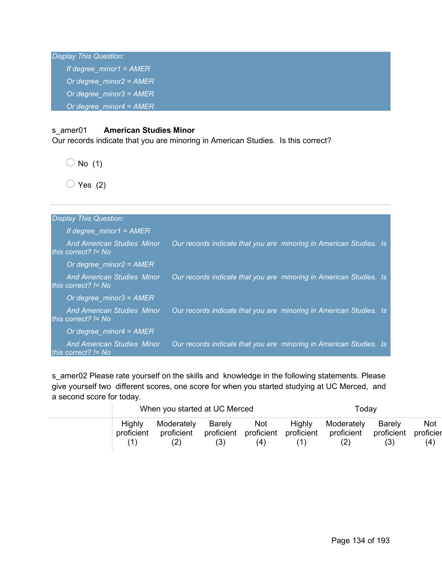| <b>Display This Question:</b> |
|-------------------------------|
| If degree $minor1 = AMER$     |
| Or degree minor2 = AMER       |
| Or degree_minor3 = $AMER$     |
| Or degree minor4 = AMER       |

#### s\_amer01 **American Studies Minor**

Our records indicate that you are minoring in American Studies. Is this correct?

 $\bigcirc$  No (1)

 $\bigcirc$  Yes (2)

| <b>Display This Question:</b>                              |                                                                    |
|------------------------------------------------------------|--------------------------------------------------------------------|
| If degree $minor1 = AMER$                                  |                                                                    |
| <b>And American Studies Minor</b><br>this correct? $!=$ No | Our records indicate that you are minoring in American Studies. Is |
| Or degree $minor2 = AMER$                                  |                                                                    |
| <b>And American Studies Minor</b><br>this correct? != No   | Our records indicate that you are minoring in American Studies. Is |
| Or degree $minor3 = AMER$                                  |                                                                    |
| <b>And American Studies Minor</b><br>this correct? $!=$ No | Our records indicate that you are minoring in American Studies. Is |
| Or degree $minor4 = AMER$                                  |                                                                    |
| <b>And American Studies Minor</b><br>this correct? $!=$ No | Our records indicate that you are minoring in American Studies. Is |

s\_amer02 Please rate yourself on the skills and knowledge in the following statements. Please give yourself two different scores, one score for when you started studying at UC Merced, and a second score for today.

| When you started at UC Merced |                                 |               |                                                | Todav  |                                 |                      |                                |
|-------------------------------|---------------------------------|---------------|------------------------------------------------|--------|---------------------------------|----------------------|--------------------------------|
| <b>Highly</b><br>proficient   | Moderately<br>proficient<br>(2) | Barely<br>(3) | Not<br>proficient proficient proficient<br>(4) | Highly | Moderately<br>proficient<br>(2) | Barelv<br>proficient | <b>Not</b><br>proficier<br>(4) |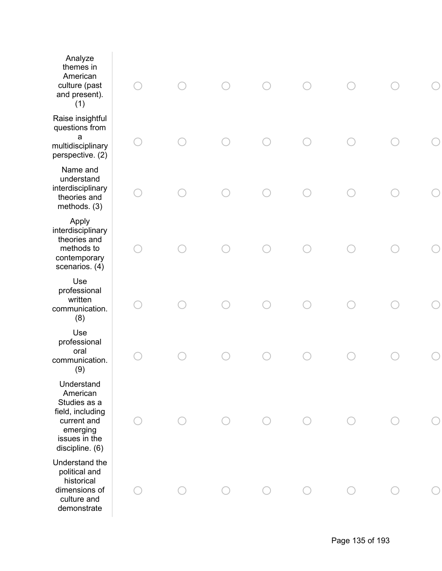| Analyze                                                                                                                   |  |  |  |  |
|---------------------------------------------------------------------------------------------------------------------------|--|--|--|--|
| themes in<br>American<br>culture (past<br>and present).<br>(1)                                                            |  |  |  |  |
| Raise insightful<br>questions from<br>a<br>multidisciplinary<br>perspective. (2)                                          |  |  |  |  |
| Name and<br>understand<br>interdisciplinary<br>theories and<br>methods. (3)                                               |  |  |  |  |
| Apply<br>interdisciplinary<br>theories and<br>methods to<br>contemporary<br>scenarios. (4)                                |  |  |  |  |
| Use<br>professional<br>written<br>communication.<br>(8)                                                                   |  |  |  |  |
| Use<br>professional<br>oral<br>communication.<br>(9)                                                                      |  |  |  |  |
| Understand<br>American<br>Studies as a<br>field, including<br>current and<br>emerging<br>issues in the<br>discipline. (6) |  |  |  |  |
| Understand the<br>political and<br>historical<br>dimensions of<br>culture and<br>demonstrate                              |  |  |  |  |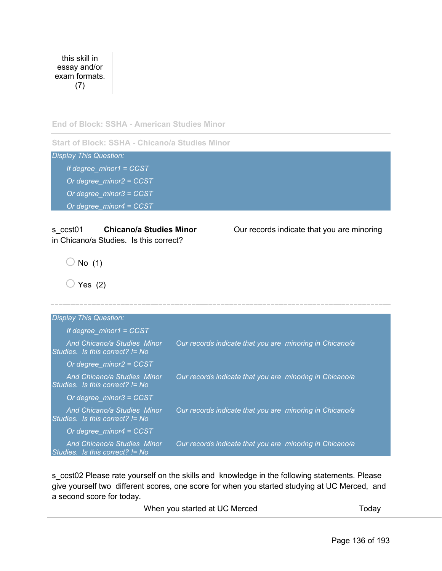this skill in essay and/or exam formats. (7)

**End of Block: SSHA - American Studies Minor**

**Start of Block: SSHA - Chicano/a Studies Minor**

*Display This Question: If degree\_minor1 = CCST Or degree\_minor2 = CCST Or degree\_minor3 = CCST Or degree\_minor4 = CCST*

#### s ccst01 **Chicano/a Studies Minor** Our records indicate that you are minoring in Chicano/a Studies. Is this correct?

 $\bigcirc$  No (1)

 $\bigcirc$  Yes (2)

# *Display This Question: If degree\_minor1 = CCST And Chicano/a Studies Minor Our records indicate that you are minoring in Chicano/a Studies. Is this correct? != No Or degree\_minor2 = CCST And Chicano/a Studies Minor Our records indicate that you are minoring in Chicano/a Studies. Is this correct? != No Or degree\_minor3 = CCST And Chicano/a Studies Minor Our records indicate that you are minoring in Chicano/a Studies. Is this correct? != No Or degree\_minor4 = CCST And Chicano/a Studies Minor Our records indicate that you are minoring in Chicano/a Studies. Is this correct? != No*

s\_ccst02 Please rate yourself on the skills and knowledge in the following statements. Please give yourself two different scores, one score for when you started studying at UC Merced, and a second score for today.

|  | When you started at UC Merced | Today |
|--|-------------------------------|-------|
|--|-------------------------------|-------|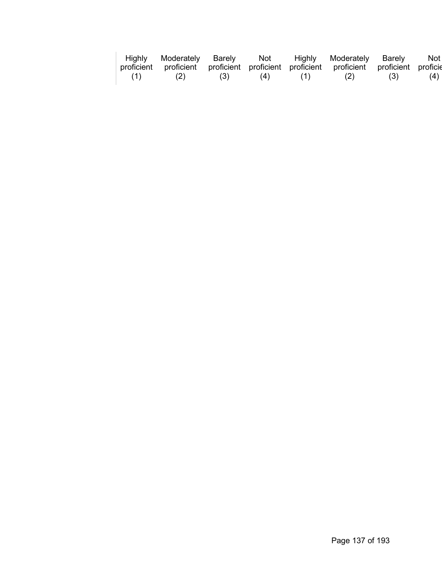| $\vert$ (1) | (2) | (3) | (4) | (1) | Highly Moderately Barely Not Highly Moderately Barely Not<br>proficient proficient proficient proficient proficient proficient proficient proficie<br>(2) | (3) | (4) |
|-------------|-----|-----|-----|-----|-----------------------------------------------------------------------------------------------------------------------------------------------------------|-----|-----|
|             |     |     |     |     |                                                                                                                                                           |     |     |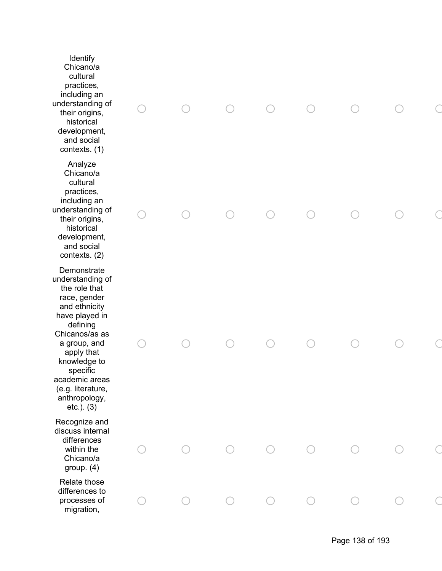Identify Chicano/a cultural practices, including an understanding of their origins, historical development, and social contexts. (1) Analyze

Chicano/a cultural practices, including an understanding of their origins, historical development, and social contexts. (2)

**Demonstrate** understanding of the role that race, gender and ethnicity have played in defining Chicanos/as as a group, and apply that knowledge to specific academic areas (e.g. literature, anthropology, etc.). (3)

Recognize and discuss internal differences within the Chicano/a group. (4)

Relate those differences to processes of migration,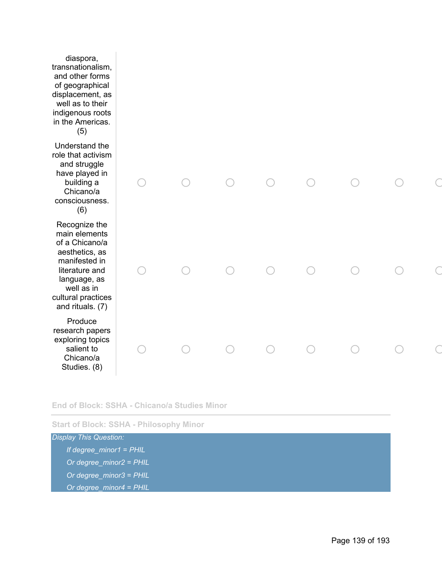| diaspora,<br>transnationalism,<br>and other forms<br>of geographical<br>displacement, as<br>well as to their<br>indigenous roots<br>in the Americas.<br>(5)                   |  |  |  |  |
|-------------------------------------------------------------------------------------------------------------------------------------------------------------------------------|--|--|--|--|
| Understand the<br>role that activism<br>and struggle<br>have played in<br>building a<br>Chicano/a<br>consciousness.<br>(6)                                                    |  |  |  |  |
| Recognize the<br>main elements<br>of a Chicano/a<br>aesthetics, as<br>manifested in<br>literature and<br>language, as<br>well as in<br>cultural practices<br>and rituals. (7) |  |  |  |  |
| Produce<br>research papers<br>exploring topics<br>salient to<br>Chicano/a<br>Studies. (8)                                                                                     |  |  |  |  |

# **End of Block: SSHA - Chicano/a Studies Minor**

| <b>Start of Block: SSHA - Philosophy Minor</b> |  |
|------------------------------------------------|--|
| <b>Display This Question:</b>                  |  |
| If degree $minor1 = PHIL$                      |  |
| Or degree $minor2 = PHIL$                      |  |
| Or degree $minor3 = PHIL$                      |  |
| Or degree $minor4 = PHIL$                      |  |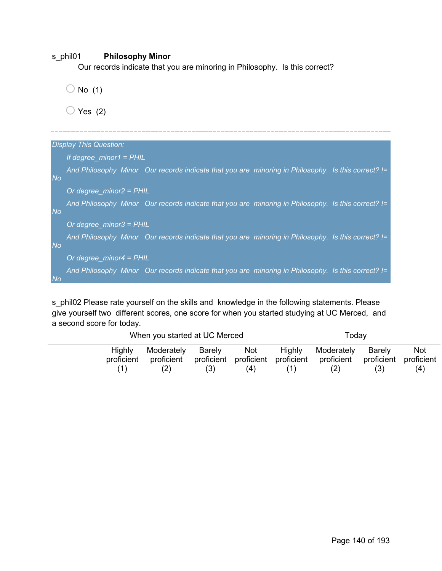# s\_phil01 **Philosophy Minor**

Our records indicate that you are minoring in Philosophy. Is this correct?

 $\bigcirc$  No (1)  $\bigcirc$  Yes (2)

|           | <b>Display This Question:</b> |                                                                                                    |  |
|-----------|-------------------------------|----------------------------------------------------------------------------------------------------|--|
|           | If degree $minor1 = PHIL$     |                                                                                                    |  |
|           |                               | And Philosophy Minor Our records indicate that you are minoring in Philosophy. Is this correct? != |  |
| <b>No</b> |                               |                                                                                                    |  |
|           | Or degree $minor2 = PHIL$     |                                                                                                    |  |
|           |                               | And Philosophy Minor Our records indicate that you are minoring in Philosophy. Is this correct? != |  |
| <b>No</b> |                               |                                                                                                    |  |
|           | Or degree $minor3 = PHIL$     |                                                                                                    |  |
|           |                               | And Philosophy Minor Our records indicate that you are minoring in Philosophy. Is this correct? != |  |
| <b>No</b> |                               |                                                                                                    |  |
|           | Or degree minor4 = PHIL       |                                                                                                    |  |
|           |                               | And Philosophy Minor Our records indicate that you are minoring in Philosophy. Is this correct? != |  |
| <b>No</b> |                               |                                                                                                    |  |

s\_phil02 Please rate yourself on the skills and knowledge in the following statements. Please give yourself two different scores, one score for when you started studying at UC Merced, and a second score for today.

|                      | When you started at UC Merced |                             |                                 | Todav                |                          |                      |                                 |
|----------------------|-------------------------------|-----------------------------|---------------------------------|----------------------|--------------------------|----------------------|---------------------------------|
| Highly<br>proficient | Moderately<br>proficient      | Barely<br>proficient<br>(3) | <b>Not</b><br>proficient<br>(4) | Highly<br>proficient | Moderately<br>proficient | Barely<br>proficient | <b>Not</b><br>proficient<br>(4) |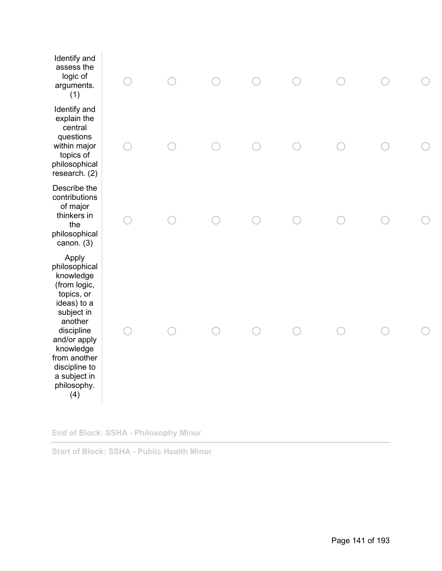

**End of Block: SSHA - Philosophy Minor**

**Start of Block: SSHA - Public Health Minor**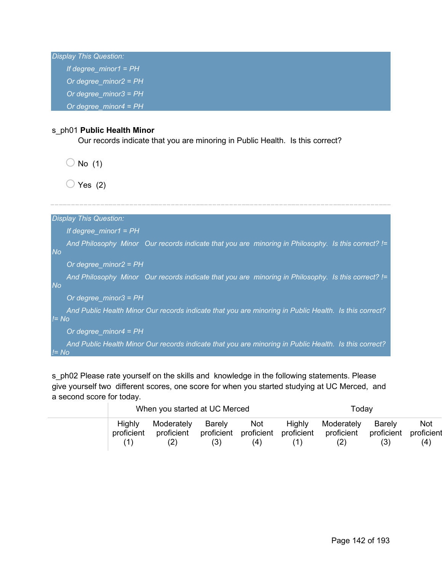| <b>Display This Question:</b> |  |  |
|-------------------------------|--|--|
| If degree $minor1 = PH$       |  |  |
| Or degree_minor2 = PH         |  |  |
| Or degree_minor3 = $PH'$      |  |  |
| Or degree $minor4 = PH$       |  |  |

### s\_ph01 **Public Health Minor**

Our records indicate that you are minoring in Public Health. Is this correct?

 $\bigcirc$  No (1)

 $\bigcirc$  Yes (2)

|           | <b>Display This Question:</b>                                                                         |
|-----------|-------------------------------------------------------------------------------------------------------|
|           | If degree $minor1 = PH$                                                                               |
|           | And Philosophy Minor Our records indicate that you are minoring in Philosophy. Is this correct? !=    |
| <b>No</b> |                                                                                                       |
|           | Or degree_minor $2 = PH$                                                                              |
| <b>No</b> | And Philosophy Minor Our records indicate that you are minoring in Philosophy. Is this correct? !=    |
|           |                                                                                                       |
|           | Or degree $minor3 = PH$                                                                               |
|           | And Public Health Minor Our records indicate that you are minoring in Public Health. Is this correct? |
| $I = No$  |                                                                                                       |
|           | Or degree $minor4 = PH$                                                                               |
| $!=$ No   | And Public Health Minor Our records indicate that you are minoring in Public Health. Is this correct? |

s\_ph02 Please rate yourself on the skills and knowledge in the following statements. Please give yourself two different scores, one score for when you started studying at UC Merced, and a second score for today.

|                      | When you started at UC Merced |               |            | Todav |                                                                         |                                        |                   |
|----------------------|-------------------------------|---------------|------------|-------|-------------------------------------------------------------------------|----------------------------------------|-------------------|
| Hiahlv<br>proficient | Moderately<br>proficient      | Barely<br>(3) | Not<br>(4) |       | Highly Moderately<br>proficient proficient proficient proficient<br>(2) | Barely<br>proficient proficient<br>(3) | <b>Not</b><br>(4) |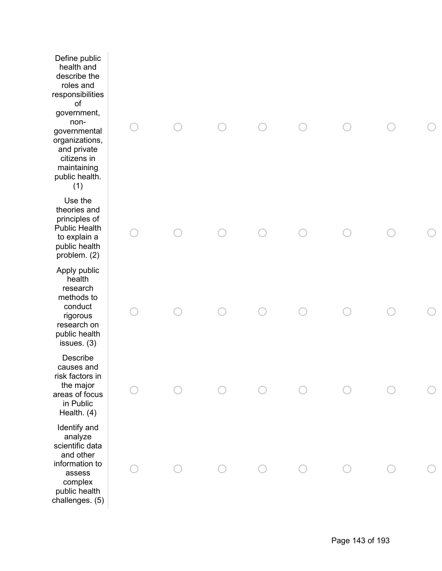Define public health and describe the roles and responsibilities of government, non governmental organizations, and private citizens in maintaining public health. (1) Use the theories and principles of Public Health

to explain a public health problem. (2) Apply public

health research methods to conduct rigorous research on public health issues. (3)

Describe causes and risk factors in the major areas of focus in Public Health. (4)

Identify and analyze scientific data and other information to assess complex public health challenges. (5)

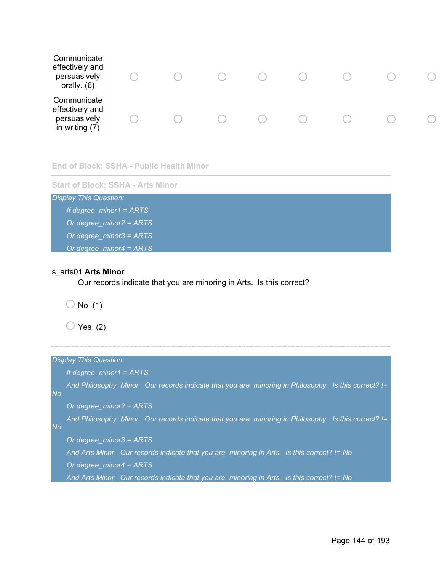| Communicate<br>effectively and<br>persuasively<br>orally. $(6)$  |  |  |  |  |
|------------------------------------------------------------------|--|--|--|--|
| Communicate<br>effectively and<br>persuasively<br>in writing (7) |  |  |  |  |

**End of Block: SSHA - Public Health Minor**

**Start of Block: SSHA - Arts Minor** *Display This Question: If degree\_minor1 = ARTS Or degree\_minor2 = ARTS Or degree\_minor3 = ARTS Or degree\_minor4 = ARTS*

#### s\_arts01 **Arts Minor**

Our records indicate that you are minoring in Arts. Is this correct?

 $\bigcirc$  No (1)

 $\bigcirc$  Yes (2)

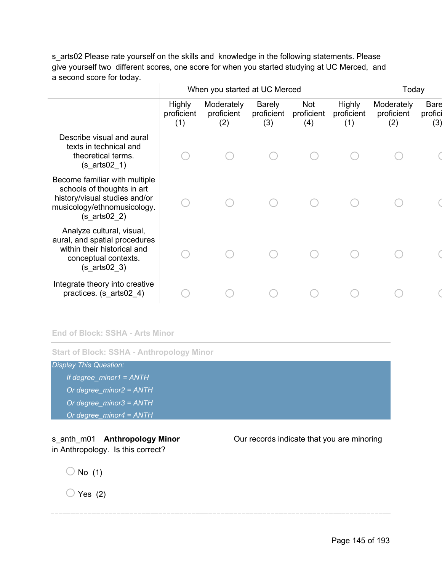s\_arts02 Please rate yourself on the skills and knowledge in the following statements. Please give yourself two different scores, one score for when you started studying at UC Merced, and a second score for today.

|                                                                                                                                             |                             | When you started at UC Merced   |                                    |                          |                                    | Today                           |                               |
|---------------------------------------------------------------------------------------------------------------------------------------------|-----------------------------|---------------------------------|------------------------------------|--------------------------|------------------------------------|---------------------------------|-------------------------------|
|                                                                                                                                             | Highly<br>proficient<br>(1) | Moderately<br>proficient<br>(2) | <b>Barely</b><br>proficient<br>(3) | Not<br>proficient<br>(4) | <b>Highly</b><br>proficient<br>(1) | Moderately<br>proficient<br>(2) | <b>Bare</b><br>profici<br>(3) |
| Describe visual and aural<br>texts in technical and<br>theoretical terms.<br>$(s \; arts02 \; 1)$                                           |                             |                                 |                                    |                          |                                    |                                 |                               |
| Become familiar with multiple<br>schools of thoughts in art<br>history/visual studies and/or<br>musicology/ethnomusicology.<br>(s arts02 2) |                             |                                 |                                    |                          |                                    |                                 |                               |
| Analyze cultural, visual,<br>aural, and spatial procedures<br>within their historical and<br>conceptual contexts.<br>(s arts02 3)           |                             |                                 |                                    |                          |                                    |                                 |                               |
| Integrate theory into creative<br>practices. (s_arts02_4)                                                                                   |                             |                                 |                                    |                          |                                    |                                 |                               |

### **End of Block: SSHA - Arts Minor**

| <b>Start of Block: SSHA - Anthropology Minor</b> |  |
|--------------------------------------------------|--|
| <b>Display This Question:</b>                    |  |
| If degree $minor1 = ANTH$                        |  |
| Or degree $minor2 = ANTH$                        |  |
| Or degree $minor3 = ANTH$                        |  |
| Or degree $minor4 = ANTH$                        |  |

## s\_anth\_m01 **Anthropology Minor Our records indicate that you are minoring** in Anthropology. Is this correct?

 $\bigcirc$  No (1)

 $\bigcirc$  Yes (2)

Page 145 of 193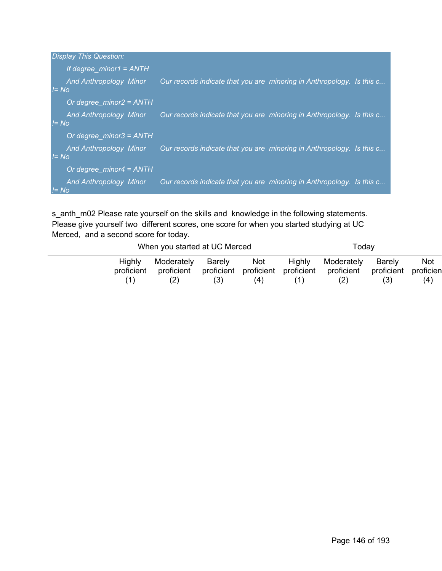| <b>Display This Question:</b>             |                                                                       |  |
|-------------------------------------------|-----------------------------------------------------------------------|--|
| If degree $minor1 = ANTH$                 |                                                                       |  |
| <b>And Anthropology Minor</b><br>$!=$ No  | Our records indicate that you are minoring in Anthropology. Is this c |  |
| Or degree minor2 = ANTH                   |                                                                       |  |
| <b>And Anthropology Minor</b><br>$I = No$ | Our records indicate that you are minoring in Anthropology. Is this c |  |
| Or degree $minor3 = ANTH$                 |                                                                       |  |
| <b>And Anthropology Minor</b><br>$I = No$ | Our records indicate that you are minoring in Anthropology. Is this c |  |
| Or degree $minor4 = ANTH$                 |                                                                       |  |
| <b>And Anthropology Minor</b><br>$!=$ No  | Our records indicate that you are minoring in Anthropology. Is this c |  |

s\_anth\_m02 Please rate yourself on the skills and knowledge in the following statements. Please give yourself two different scores, one score for when you started studying at UC Merced, and a second score for today.

|                      | When you started at UC Merced |               |                   |                                            | Todav                           |                      |                                |
|----------------------|-------------------------------|---------------|-------------------|--------------------------------------------|---------------------------------|----------------------|--------------------------------|
| Highly<br>proficient | Moderately<br>proficient      | Barely<br>(3) | <b>Not</b><br>(4) | Highly<br>proficient proficient proficient | Moderately<br>proficient<br>(2) | Barelv<br>proficient | <b>Not</b><br>proficien<br>(4) |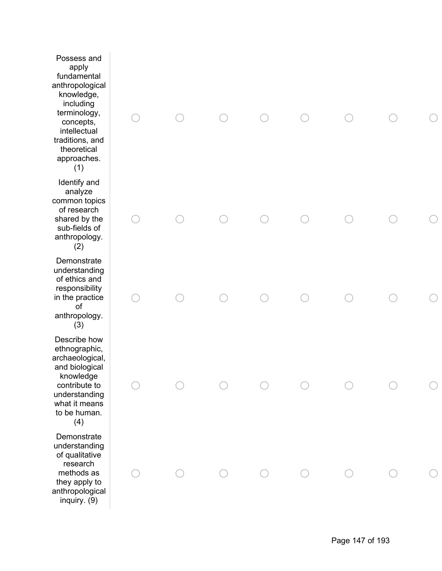Possess and apply fundamental anthropological knowledge, including terminology, concepts, intellectual traditions, and theoretical approaches. (1) Identify and analyze common topics of research shared by the sub -fields of anthropology. (2) **Demonstrate** understanding of ethics and responsibility in the practice of anthropology. (3) Describe how ethnographic, archaeological, and biological knowledge contribute to understanding what it means to be human. (4) **Demonstrate** understanding of qualitative research methods as

they apply to anthropological inquiry. (9)

|  | $\circ$ | $\circ$ | $\circ$ | $\begin{array}{ccc} & & \\ & \circ & \\ & & \end{array}$ |  |
|--|---------|---------|---------|----------------------------------------------------------|--|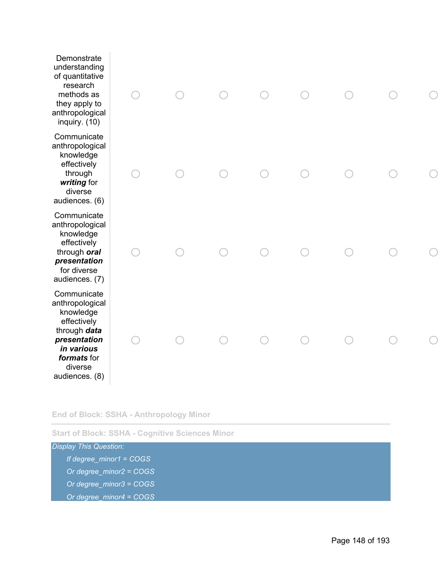| Demonstrate<br>understanding<br>of quantitative<br>research<br>methods as<br>they apply to<br>anthropological<br>inquiry. (10)                       |  |  |  |  |
|------------------------------------------------------------------------------------------------------------------------------------------------------|--|--|--|--|
| Communicate<br>anthropological<br>knowledge<br>effectively<br>through<br>writing for<br>diverse<br>audiences. (6)                                    |  |  |  |  |
| Communicate<br>anthropological<br>knowledge<br>effectively<br>through oral<br>presentation<br>for diverse<br>audiences. (7)                          |  |  |  |  |
| Communicate<br>anthropological<br>knowledge<br>effectively<br>through data<br>presentation<br>in various<br>formats for<br>diverse<br>audiences. (8) |  |  |  |  |

**End of Block: SSHA - Anthropology Minor**

**Start of Block: SSHA - Cognitive Sciences Minor**

| <b>Display This Question:</b> |  |  |
|-------------------------------|--|--|
| If degree $minor1 = COGS$     |  |  |
| Or degree $minor2 = COGS$     |  |  |
| Or degree $minor3 = COGS$     |  |  |
| Or degree $minor4 = COGS$     |  |  |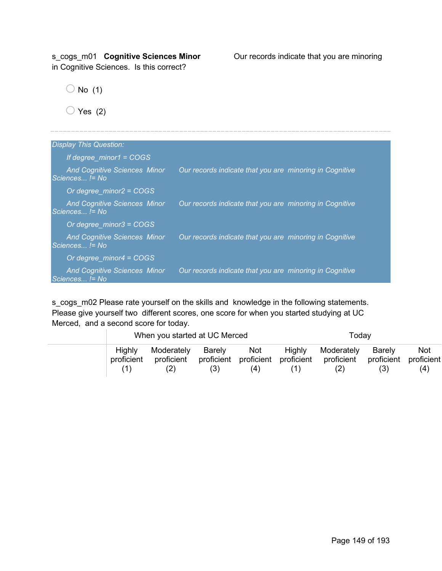in Cognitive Sciences. Is this correct?

 $\bigcirc$  No (1)

 $\bigcirc$  Yes (2)

| <b>Display This Question:</b>                         |                                                         |
|-------------------------------------------------------|---------------------------------------------------------|
| If degree $minor1 = COGS$                             |                                                         |
| <b>And Cognitive Sciences Minor</b><br>Sciences!= No  | Our records indicate that you are minoring in Cognitive |
| Or degree $minor2 = COGS$                             |                                                         |
| <b>And Cognitive Sciences Minor</b><br>Sciences!= No  | Our records indicate that you are minoring in Cognitive |
| Or degree $minor3 = COGS$                             |                                                         |
| <b>And Cognitive Sciences Minor</b><br>Sciences!= No  | Our records indicate that you are minoring in Cognitive |
| Or degree minor4 = COGS                               |                                                         |
| <b>And Cognitive Sciences Minor</b><br>Sciences != No | Our records indicate that you are minoring in Cognitive |

s\_cogs\_m02 Please rate yourself on the skills and knowledge in the following statements. Please give yourself two different scores, one score for when you started studying at UC Merced, and a second score for today.

|                      | When you started at UC Merced |                             |            |        | Todav                                                 |                                        |            |
|----------------------|-------------------------------|-----------------------------|------------|--------|-------------------------------------------------------|----------------------------------------|------------|
| Highly<br>proficient | Moderately<br>proficient      | Barely<br>proficient<br>(3) | Not<br>(4) | Highly | Moderately<br>proficient proficient proficient<br>(2) | Barely<br>proficient proficient<br>(3) | Not<br>(4) |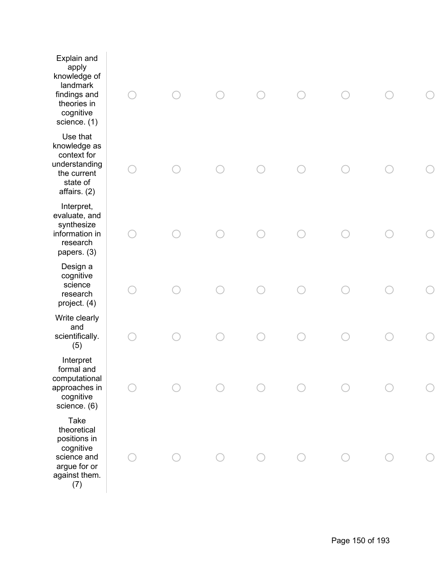| Explain and<br>apply<br>knowledge of<br>landmark<br>findings and<br>theories in<br>cognitive<br>science. (1) |  |  |  |  |
|--------------------------------------------------------------------------------------------------------------|--|--|--|--|
| Use that<br>knowledge as<br>context for<br>understanding<br>the current<br>state of<br>affairs. (2)          |  |  |  |  |
| Interpret,<br>evaluate, and<br>synthesize<br>information in<br>research<br>papers. (3)                       |  |  |  |  |
| Design a<br>cognitive<br>science<br>research<br>project. (4)                                                 |  |  |  |  |
| Write clearly<br>and<br>scientifically.<br>(5)                                                               |  |  |  |  |
| Interpret<br>formal and<br>computational<br>approaches in<br>cognitive<br>science. (6)                       |  |  |  |  |
| Take<br>theoretical<br>positions in<br>cognitive<br>science and<br>argue for or<br>against them.<br>(7)      |  |  |  |  |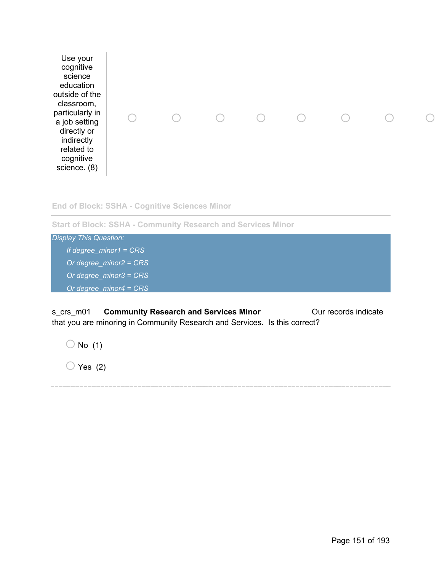| classroom,<br>particularly in<br>a job setting<br>directly or<br>indirectly<br>related to<br>cognitive<br>science. (8) |
|------------------------------------------------------------------------------------------------------------------------|
|------------------------------------------------------------------------------------------------------------------------|

**End of Block: SSHA - Cognitive Sciences Minor**

**Start of Block: SSHA - Community Research and Services Minor**

*Display This Question: If degree\_minor1 = CRS Or degree\_minor2 = CRS Or degree\_minor3 = CRS Or degree\_minor4 = CRS*

s\_crs\_m01 **Community Research and Services Minor Community Research and Services Minor** that you are minoring in Community Research and Services. Is this correct?

 $\bigcirc$  No (1)

 $\bigcirc$  Yes (2)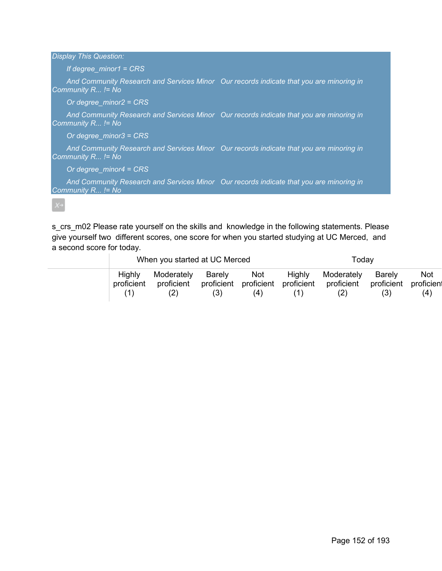*Display This Question:*

*If degree\_minor1 = CRS*

*And Community Research and Services Minor Our records indicate that you are minoring in Community R... != No*

*Or degree\_minor2 = CRS*

*And Community Research and Services Minor Our records indicate that you are minoring in Community R... != No*

*Or degree\_minor3 = CRS*

*And Community Research and Services Minor Our records indicate that you are minoring in Community R... != No*

*Or degree\_minor4 = CRS*

*And Community Research and Services Minor Our records indicate that you are minoring in Community R... != No*

s crs m02 Please rate yourself on the skills and knowledge in the following statements. Please give yourself two different scores, one score for when you started studying at UC Merced, and a second score for today.

|                      | When you started at UC Merced |               |            | Todav                                                                   |                                       |                   |
|----------------------|-------------------------------|---------------|------------|-------------------------------------------------------------------------|---------------------------------------|-------------------|
| Hiahly<br>proficient | Moderately<br>proficient      | Barely<br>(3) | Not<br>(4) | Highly Moderately<br>proficient proficient proficient proficient<br>(2) | Barely<br>proficient proficien<br>(3) | <b>Not</b><br>(4) |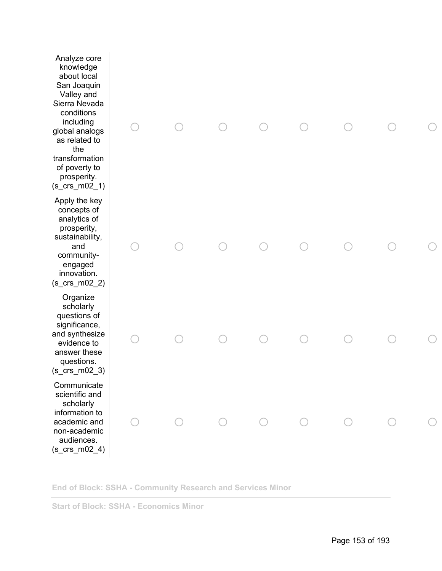Analyze core knowledge about local San J Valle Sierra cond incl global as rel  $t$ transfo of pov pros  $(s\_crs_$ Apply conce analy pros sustai a comm eng innov  $(s\_crs$ Org sch quest signif and sy evide answe ques  $(s\_crs$ Comm scient sch inform acade non-ac

| abuut luual<br>San Joaquin<br>Valley and<br>Sierra Nevada<br>conditions<br>including<br>global analogs<br>as related to<br>the<br>transformation<br>of poverty to<br>prosperity.<br>$(s_{crs_{m02}} - 1)$ |  |  |  |  |
|-----------------------------------------------------------------------------------------------------------------------------------------------------------------------------------------------------------|--|--|--|--|
| Apply the key<br>concepts of<br>analytics of<br>prosperity,<br>sustainability,<br>and<br>community-<br>engaged<br>innovation.<br>$(s_crs_m02_2)$                                                          |  |  |  |  |
| Organize<br>scholarly<br>questions of<br>significance,<br>and synthesize<br>evidence to<br>answer these<br>questions.<br>$(s_{crs_{m02}} - 3)$                                                            |  |  |  |  |
| Communicate<br>scientific and<br>scholarly<br>information to<br>academic and<br>non-academic<br>audiences.<br>$(s_{crs_m024})$                                                                            |  |  |  |  |

**End of Block: SSHA - Community Research and Services Minor**

**Start of Block: SSHA - Economics Minor**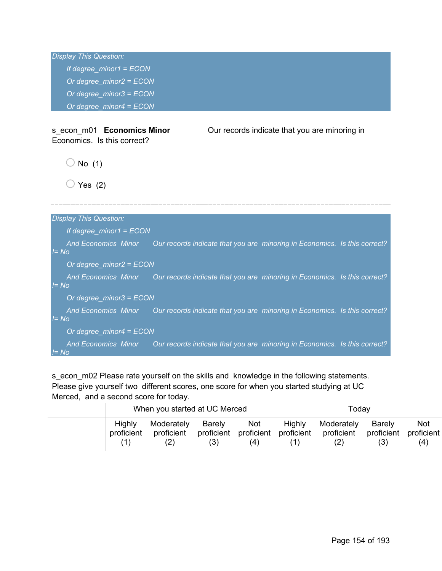| <b>Display This Question:</b> |
|-------------------------------|
| If degree minor1 = ECON       |
| Or degree_minor2 = $ECON$     |
| Or degree_minor3 = ECON       |
| Or degree_minor4 = ECON       |

Economics. Is this correct?

s\_econ\_m01 **Economics Minor** Our records indicate that you are minoring in

 $\bigcirc$  No (1)

 $\bigcirc$  Yes (2)

| <b>Display This Question:</b>          |                                                                                                |  |
|----------------------------------------|------------------------------------------------------------------------------------------------|--|
| If degree $minor1 = ECON$              |                                                                                                |  |
| <b>And Economics Minor</b><br>$!=$ No  | Our records indicate that you are minoring in Economics. Is this correct?                      |  |
| Or degree $minor2 = ECON$              |                                                                                                |  |
| <b>And Economics Minor</b><br>$I = No$ | Our records indicate that you are minoring in Economics. Is this correct?                      |  |
| Or degree $minor3 = ECON$              |                                                                                                |  |
| l!= No                                 | And Economics Minor  Our records indicate that you are minoring in Economics. Is this correct? |  |
| Or degree $minor4 = ECON$              |                                                                                                |  |
| <b>And Economics Minor</b><br>$I = No$ | Our records indicate that you are minoring in Economics. Is this correct?                      |  |

s\_econ\_m02 Please rate yourself on the skills and knowledge in the following statements. Please give yourself two different scores, one score for when you started studying at UC Merced, and a second score for today.

| When you started at UC Merced |                          |               |            | Todav  |                                                           |               |                                            |
|-------------------------------|--------------------------|---------------|------------|--------|-----------------------------------------------------------|---------------|--------------------------------------------|
| Hiahlv<br>proficient          | Moderately<br>proficient | Barely<br>(3) | Not<br>(4) | Highly | Moderately<br>proficient proficient proficient proficient | Barelv<br>(3) | <b>Not</b><br>proficient proficient<br>(4) |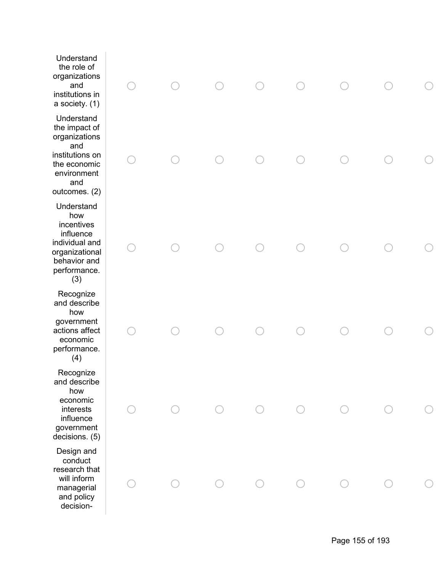**Understand** the role of organizations and institutions in a society. (1)  $\bigcap$  $\bigcirc$ o  $\bigcap$ o  $\bigcap$ o o Understand the impact of organizations and institutions on the economic environment and outcomes. (2)  $\bigcap$  $\bigcap$ o o  $\bigcap$  $\bigcap$ o o Understand how incentives influence individual and organizational behavior and performance. (3)  $\bigcap$  $\bigcap$ o o o  $\bigcirc$ o o **Recognize** and describe how government actions affect economic performance. (4)  $\bigcap$  $\bigcap$ o  $\bigcap$  $\bigcap$ o o o **Recognize** and describe how economic interests influence government decisions. (5)  $\bigcap$  $\bigcap$ o  $\bigcap$  $\bigcap$  $\bigcap$  $\bigcap$ o Design and conduct research that will inform managerial and policy decision -  $\bigcirc$  $\bigcirc$  $\bigcap$  $\bigcap$  $\bigcirc$  $\bigcap$ o o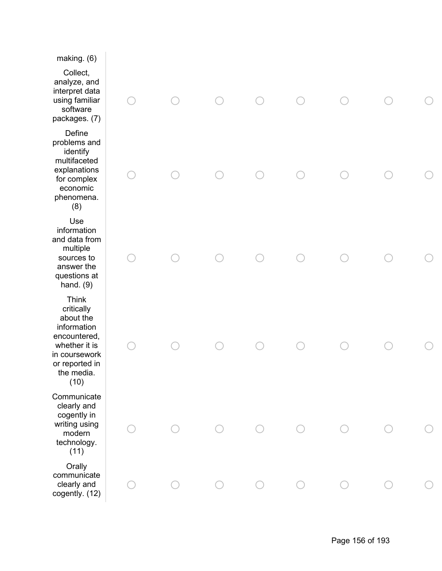making. (6) Collect, analyze, and interpret data using familiar software packages. (7)  $\bigcirc$  $\bigcap$ o  $\bigcap$ o o  $\bigcirc$ o Define problems and identify multifaceted explanations for complex economic phenomena. (8)  $\bigcirc$  $\bigcirc$ o  $\bigcirc$ o  $\bigcirc$ o o Use information and data from multiple sources to answer the questions at hand. (9)  $\bigcirc$ o o  $\bigcirc$ o o o o Think critically about the information encountered, whether it is in coursework or reported in the media. (10)  $\bigcirc$  $\bigcirc$  $\bigcirc$  $\bigcirc$  $\bigcirc$  $\bigcirc$  $\bigcap$ o **Communicate** clearly and cogently in writing using modern technology. (11)  $\bigcap$ o o  $\bigcap$  $\bigcap$ o o o **Orally** communicate clearly and cogently. (12)  $\bigcirc$  $\bigcirc$  $\bigcap$  $\bigcirc$  $\bigcirc$  $\bigcap$  $\bigcap$ o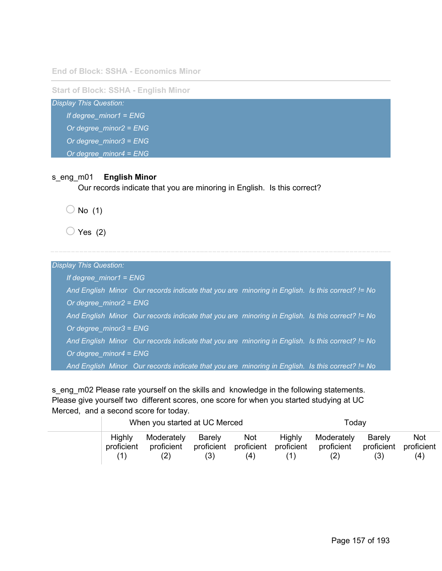**End of Block: SSHA - Economics Minor**

**Start of Block: SSHA - English Minor** *Display This Question: If degree\_minor1 = ENG Or degree\_minor2 = ENG Or degree\_minor3 = ENG Or degree\_minor4 = ENG*

### s\_eng\_m01 **English Minor**

Our records indicate that you are minoring in English. Is this correct?

 $\bigcirc$  No (1)

 $\bigcirc$  Yes (2)

| <b>Display This Question:</b>                                                                   |  |
|-------------------------------------------------------------------------------------------------|--|
| If degree $minor1 = ENG$                                                                        |  |
| And English Minor Our records indicate that you are minoring in English. Is this correct? != No |  |
| Or degree $minor2 = ENG$                                                                        |  |
| And English Minor Our records indicate that you are minoring in English. Is this correct? != No |  |
| Or degree $minor3 = ENG$                                                                        |  |
| And English Minor Our records indicate that you are minoring in English. Is this correct? != No |  |
| Or degree $minor4 = ENG$                                                                        |  |
| And English Minor Our records indicate that you are minoring in English. Is this correct? != No |  |

s\_eng\_m02 Please rate yourself on the skills and knowledge in the following statements. Please give yourself two different scores, one score for when you started studying at UC Merced, and a second score for today.

| When you started at UC Merced |                                 |               |            | Todav  |                                                                  |                             |                                 |
|-------------------------------|---------------------------------|---------------|------------|--------|------------------------------------------------------------------|-----------------------------|---------------------------------|
| Hiahlv<br>proficient          | Moderately<br>proficient<br>(2) | Barely<br>(3) | Not<br>(4) | Highly | Moderately<br>proficient proficient proficient proficient<br>(2) | Barely<br>proficient<br>(3) | <b>Not</b><br>proficient<br>(4) |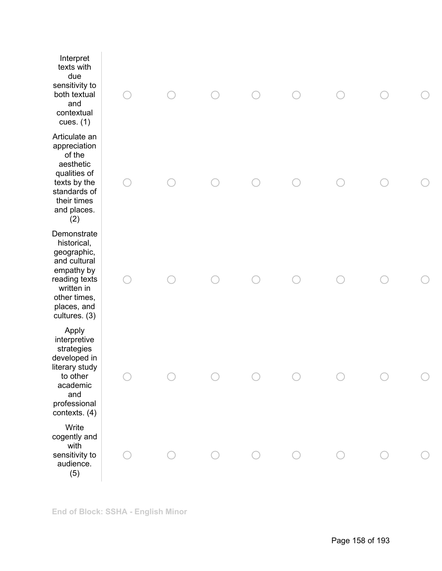Interpret texts with due sensitivity to both textual and contextual cues. (1) o o  $\bigcap$  $\bigcap$  $\bigcap$  $\bigcirc$  $\bigcap$ o Articulate an appreciation of the aesthetic qualities of texts by the standards of their times and places. (2) o o  $\bigcap$ o  $\bigcap$ o o o **Demonstrate** historical, geographic, and cultural empathy by reading texts written in other times, places, and cultures. (3)  $\bigcirc$ o  $\bigcirc$ o  $\bigcirc$  $\bigcirc$  $\bigcirc$ o Apply interpretive strategies developed in literary study to other academic and professional contexts. (4) o  $\bigcap$  $\bigcap$  $\bigcirc$  $\bigcap$  $\bigcirc$  $\bigcap$ o **Write** cogently and with sensitivity to audience. (5) o o  $\bigcap$ o  $\bigcap$ o o o

**End of Block: SSHA - English Minor**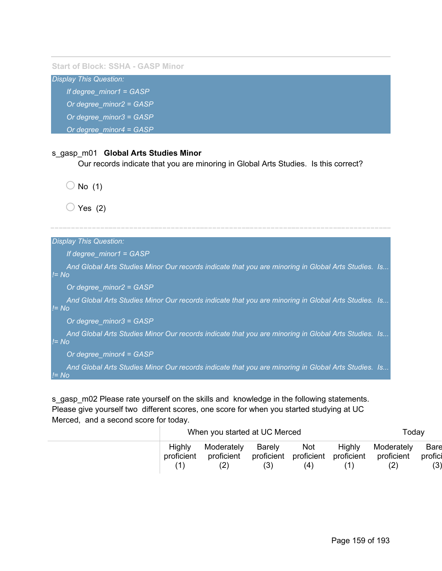**Start of Block: SSHA - GASP Minor**

| Display This Question:    |
|---------------------------|
| If degree_minor1 = GASP   |
| Or degree_minor2 = GASP   |
| Or degree_minor3 = GASP   |
| Or degree $minor4 = GASP$ |
|                           |

### s\_gasp\_m01 **Global Arts Studies Minor**

Our records indicate that you are minoring in Global Arts Studies. Is this correct?

 $\bigcirc$  No (1)

 $\bigcirc$  Yes (2)

*Display This Question:*

*If degree\_minor1 = GASP*

*And Global Arts Studies Minor Our records indicate that you are minoring in Global Arts Studies. Is... != No*

*Or degree\_minor2 = GASP*

*And Global Arts Studies Minor Our records indicate that you are minoring in Global Arts Studies. Is... != No*

*Or degree\_minor3 = GASP*

*And Global Arts Studies Minor Our records indicate that you are minoring in Global Arts Studies. Is... != No*

*Or degree\_minor4 = GASP*

*And Global Arts Studies Minor Our records indicate that you are minoring in Global Arts Studies. Is... != No*

s gasp m02 Please rate yourself on the skills and knowledge in the following statements. Please give yourself two different scores, one score for when you started studying at UC Merced, and a second score for today.

|                      | When you started at UC Merced |               |                                                |        |                          |                               |  |  |
|----------------------|-------------------------------|---------------|------------------------------------------------|--------|--------------------------|-------------------------------|--|--|
| Hiahly<br>proficient | Moderately<br>proficient      | Barely<br>(3) | Not<br>proficient proficient proficient<br>(4) | Highly | Moderately<br>proficient | <b>Bare</b><br>profici<br>(3) |  |  |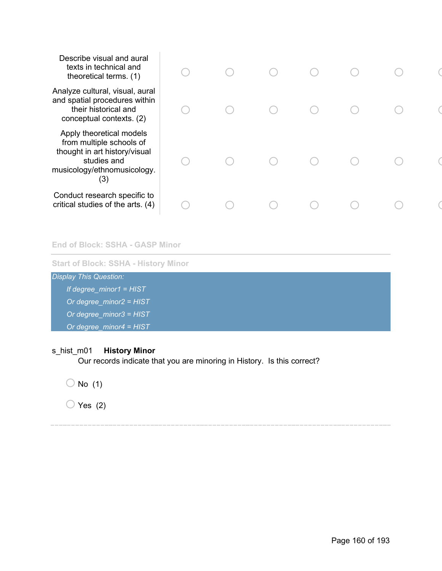| Describe visual and aural<br>texts in technical and<br>theoretical terms. (1)                                                              |  |  |  |  |
|--------------------------------------------------------------------------------------------------------------------------------------------|--|--|--|--|
| Analyze cultural, visual, aural<br>and spatial procedures within<br>their historical and<br>conceptual contexts. (2)                       |  |  |  |  |
| Apply theoretical models<br>from multiple schools of<br>thought in art history/visual<br>studies and<br>musicology/ethnomusicology.<br>(3) |  |  |  |  |
| Conduct research specific to<br>critical studies of the arts. (4)                                                                          |  |  |  |  |

### **End of Block: SSHA - GASP Minor**

**Start of Block: SSHA - History Minor**

| <b>Display This Question:</b> |  |  |
|-------------------------------|--|--|
| If degree_minor1 = $HIST$     |  |  |
| Or degree $minor2 = HIST$     |  |  |
| Or degree $minor3 = HIST$     |  |  |
| Or degree_minor4 = $HIST$     |  |  |

## s\_hist\_m01 **History Minor**

Our records indicate that you are minoring in History. Is this correct?

 $\bigcirc$  No (1)

 $\bigcirc$  Yes (2)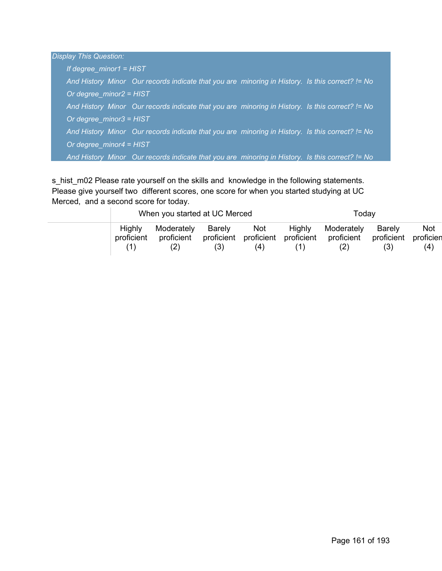*Display This Question:*

*If degree\_minor1 = HIST And History Minor Our records indicate that you are minoring in History. Is this correct? != No Or degree\_minor2 = HIST And History Minor Our records indicate that you are minoring in History. Is this correct? != No Or degree\_minor3 = HIST And History Minor Our records indicate that you are minoring in History. Is this correct? != No Or degree\_minor4 = HIST And History Minor Our records indicate that you are minoring in History. Is this correct? != No*

s hist m02 Please rate yourself on the skills and knowledge in the following statements. Please give yourself two different scores, one score for when you started studying at UC Merced, and a second score for today.

|                      | When you started at UC Merced |                             |            |                                 | Todav                           |                      |                                |
|----------------------|-------------------------------|-----------------------------|------------|---------------------------------|---------------------------------|----------------------|--------------------------------|
| Highly<br>proficient | Moderately<br>proficient      | Barely<br>proficient<br>(3) | Not<br>(4) | Highly<br>proficient proficient | Moderately<br>proficient<br>(2) | Barelv<br>proficient | <b>Not</b><br>proficien<br>(4) |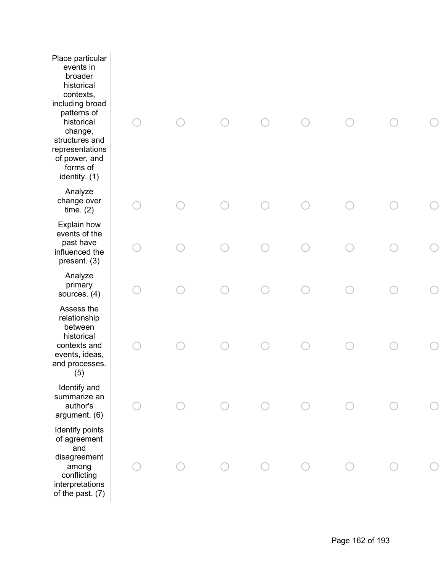Place particular events in broader historical contexts, including broad patterns of historical change, structures and representations of power, and forms of identity. (1) Analyze change over time. (2)

Explain how events of the past have influenced the present. (3)

Analyze primary sources. (4)

Assess the relationship between historical contexts and events, ideas, and processes. (5) Identify and summarize an author's

argument. (6) Identify points of agreement and disagreement among conflicting interpretations of the past. (7)

| $\circ$    |  |  |                                                                                                                                                     |         |            |
|------------|--|--|-----------------------------------------------------------------------------------------------------------------------------------------------------|---------|------------|
| $\circ$    |  |  |                                                                                                                                                     |         |            |
|            |  |  |                                                                                                                                                     |         |            |
| $\bigcirc$ |  |  | $\begin{matrix} \circ & \circ & \circ & \circ & \circ & \circ \end{matrix} \quad \begin{matrix} \circ & \circ & \circ & \circ & \circ \end{matrix}$ |         | $\bigcirc$ |
|            |  |  | $\begin{matrix} \circ & \circ & \circ & \circ & \circ \end{matrix}$                                                                                 | $\circ$ | $\bigcirc$ |
|            |  |  |                                                                                                                                                     |         |            |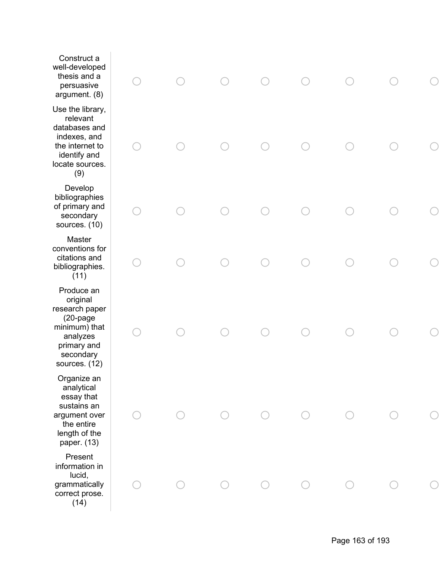Construct a well -developed thesis and a persuasive argument. (8) Use the library, relevant databases and indexes, and the internet to identify and locate sources. (9) Develop bibliographies of primary and secondary sources. (10) **Master** conventions for citations and bibliographies. (11) Produce an original research paper (20 -page minimum) that analyzes primary and secondary sources. (12) Organize an analytical essay that sustains an argument over the entire length of the paper. (13) Present information in

lucid, grammatically correct prose. (14)

|  |  | $\begin{matrix} \circ & \circ & \circ & \circ & \circ & \circ & \circ \end{matrix} \quad \begin{matrix} \circ & \circ & \circ & \circ & \circ & \circ \end{matrix}$ |  |
|--|--|---------------------------------------------------------------------------------------------------------------------------------------------------------------------|--|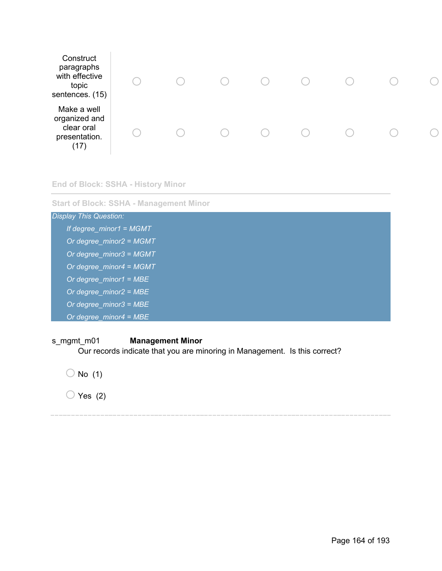| Construct<br>paragraphs<br>with effective<br>topic<br>sentences. (15) |  |  |  |  |
|-----------------------------------------------------------------------|--|--|--|--|
| Make a well<br>organized and<br>clear oral<br>presentation.<br>(17)   |  |  |  |  |

**End of Block: SSHA - History Minor**

**Start of Block: SSHA - Management Minor**

*Display This Question: If degree\_minor1 = MGMT Or degree\_minor2 = MGMT Or degree\_minor3 = MGMT Or degree\_minor4 = MGMT Or degree\_minor1 = MBE Or degree\_minor2 = MBE Or degree\_minor3 = MBE Or degree\_minor4 = MBE*

# s\_mgmt\_m01 **Management Minor**

Our records indicate that you are minoring in Management. Is this correct?

 $\bigcirc$  No (1)

 $\bigcirc$  Yes (2)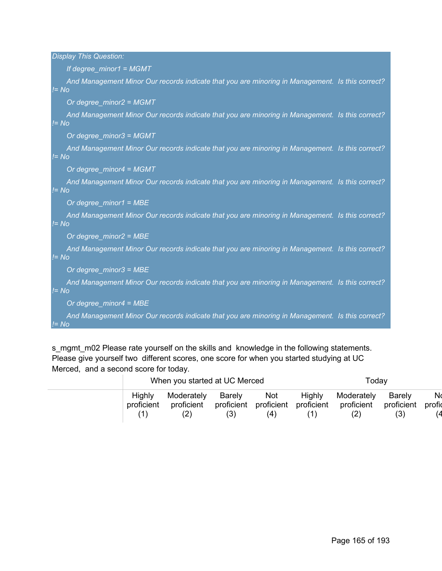*Display This Question:*

*If degree\_minor1 = MGMT*

*And Management Minor Our records indicate that you are minoring in Management. Is this correct? != No*

*Or degree\_minor2 = MGMT*

*And Management Minor Our records indicate that you are minoring in Management. Is this correct? != No*

*Or degree\_minor3 = MGMT*

*And Management Minor Our records indicate that you are minoring in Management. Is this correct? != No*

*Or degree\_minor4 = MGMT*

*And Management Minor Our records indicate that you are minoring in Management. Is this correct? != No*

*Or degree\_minor1 = MBE*

*And Management Minor Our records indicate that you are minoring in Management. Is this correct? != No*

*Or degree\_minor2 = MBE*

*And Management Minor Our records indicate that you are minoring in Management. Is this correct? != No*

*Or degree\_minor3 = MBE*

*And Management Minor Our records indicate that you are minoring in Management. Is this correct? != No*

*Or degree\_minor4 = MBE*

*And Management Minor Our records indicate that you are minoring in Management. Is this correct? != No*

s mgmt m02 Please rate yourself on the skills and knowledge in the following statements. Please give yourself two different scores, one score for when you started studying at UC Merced, and a second score for today.

|                             | When you started at UC Merced |                             |                                 |                             | Todav                    |                             |             |
|-----------------------------|-------------------------------|-----------------------------|---------------------------------|-----------------------------|--------------------------|-----------------------------|-------------|
| <b>Highly</b><br>proficient | Moderately<br>proficient      | Barely<br>proficient<br>(3) | <b>Not</b><br>proficient<br>(4) | <b>Highly</b><br>proficient | Moderately<br>proficient | Barelv<br>proficient<br>(3) | N<br>profic |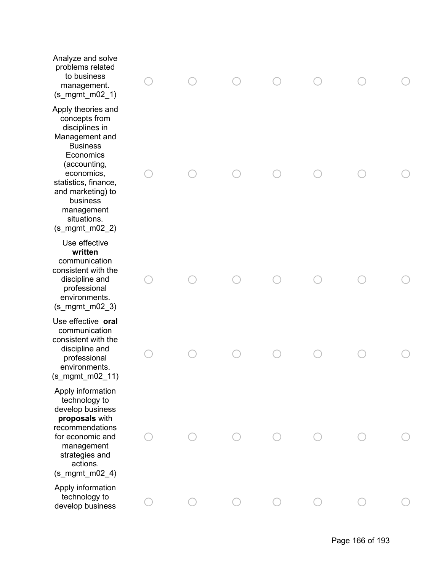Analyze and solve problems related to business management. (s\_mgmt\_m02\_1) Apply theories and concepts from disciplines in Management and Business **Economics** (accounting, economics, statistics, finance, and marketing) to business management situations. (s\_mgmt\_m02\_2) Use effective **written** communication consistent with the discipline and professional environments. (s\_mgmt\_m02\_3) Use effective **oral** communication consistent with the discipline and professional environments. (s\_mgmt\_m02\_11) Apply information technology to develop business **proposals** with recommendations for economic and management strategies and actions. (s mgmt  $m02$  4) Apply information

technology to develop business

| $\begin{matrix} \circ & \circ & \circ & \circ & \circ & \circ & \circ \end{matrix} \quad \begin{matrix} \circ & \circ & \circ & \circ & \circ & \circ \end{matrix}$ |  |  |  |
|---------------------------------------------------------------------------------------------------------------------------------------------------------------------|--|--|--|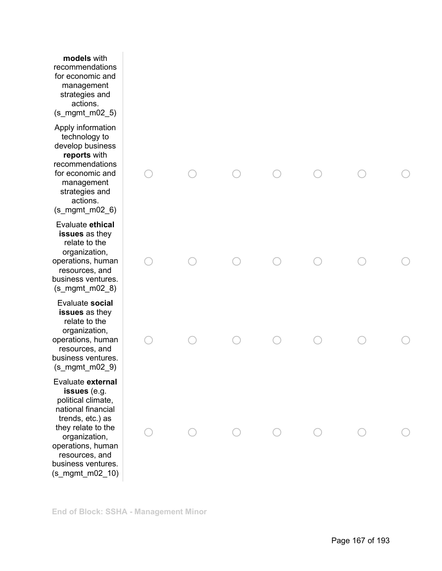**models** with recommendations for economic and management strategies and actions. (s mgmt  $m02<sub>5</sub>$ ) Apply information technology to develop business **reports** with recommendations for economic and management strategies and actions. (s\_mgmt\_m02\_6)

Evaluate **ethical issues** as they relate to the organization, operations, human resources, and business ventures. (s\_mgmt\_m02\_8)

Evaluate **social issues** as they relate to the organization, operations, human resources, and business ventures. (s\_mgmt\_m02\_9)

Evaluate **external issues** (e.g. political climate, national financial trends, etc.) as they relate to the organization, operations, human resources, and business ventures. (s\_mgmt\_m02\_10)

**End of Block: SSHA - Management Minor**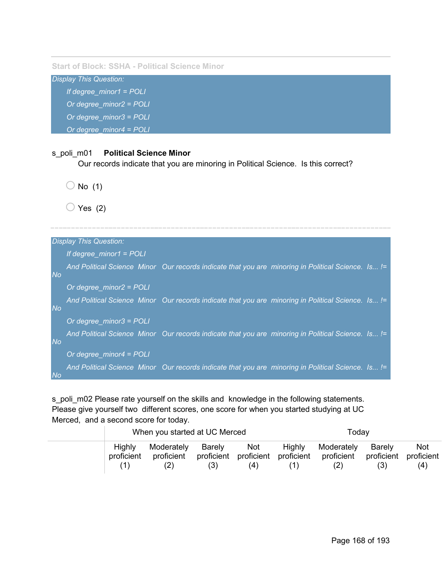**Start of Block: SSHA - Political Science Minor**

| Display This Question:  |
|-------------------------|
| If degree_minor1 = POLI |
| Or degree_minor2 = POLI |
| Or degree minor3 = POLI |
| Or degree minor4 = POLI |

### s\_poli\_m01 **Political Science Minor**

Our records indicate that you are minoring in Political Science. Is this correct?

 $\bigcirc$  No (1)

 $\bigcirc$  Yes (2)

|           | <b>Display This Question:</b> |                                                                                                    |  |
|-----------|-------------------------------|----------------------------------------------------------------------------------------------------|--|
|           | If degree $minor1 = POLI$     |                                                                                                    |  |
| <b>No</b> |                               | And Political Science Minor Our records indicate that you are minoring in Political Science. Is != |  |
|           | Or degree_minor2 = POLI       |                                                                                                    |  |
| <b>No</b> |                               | And Political Science Minor Our records indicate that you are minoring in Political Science. Is != |  |
|           | Or degree $minor3 = POLI$     |                                                                                                    |  |
| <b>No</b> |                               | And Political Science Minor Our records indicate that you are minoring in Political Science. Is!=  |  |
|           | Or degree minor4 = POLI       |                                                                                                    |  |
| <b>No</b> |                               | And Political Science Minor Our records indicate that you are minoring in Political Science. Is != |  |

s\_poli\_m02 Please rate yourself on the skills and knowledge in the following statements. Please give yourself two different scores, one score for when you started studying at UC Merced, and a second score for today.

| When you started at UC Merced |                          |                             |                          | Todav         |                                            |                             |                                 |
|-------------------------------|--------------------------|-----------------------------|--------------------------|---------------|--------------------------------------------|-----------------------------|---------------------------------|
| Highly<br>proficient          | Moderately<br>proficient | Barely<br>proficient<br>(3) | Not<br>proficient<br>(4) | <b>Highly</b> | Moderately<br>proficient proficient<br>(2) | Barely<br>proficient<br>(3) | <b>Not</b><br>proficient<br>(4) |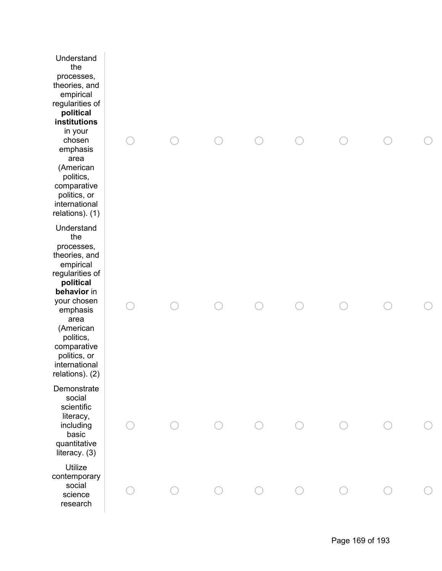Understand the processes, theories, and empirical regularities of **political institutions** in your chosen emphasis area (American politics, comparative politics, or international relations). (1) Understand the processes, theories, and empirical regularities of **political behavior** in your chosen emphasis area (American politics, comparative politics, or international relations). (2) Demonstrate social scientific literacy, including basic quantitative literacy. (3)

Utilize contemporary social science research

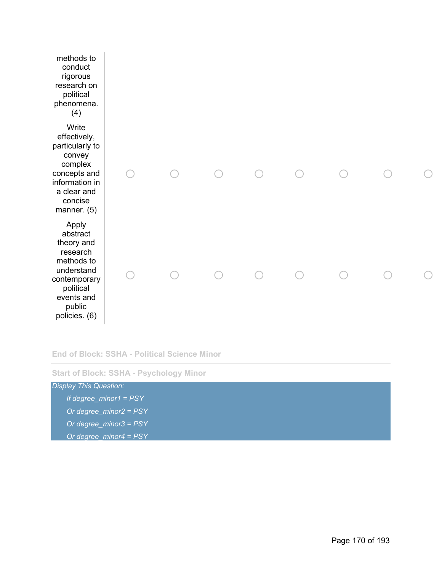| methods to<br>conduct<br>rigorous<br>research on<br>political<br>phenomena.<br>(4)                                                            |  |  |  |  |
|-----------------------------------------------------------------------------------------------------------------------------------------------|--|--|--|--|
| Write<br>effectively,<br>particularly to<br>convey<br>complex<br>concepts and<br>information in<br>a clear and<br>concise<br>manner. $(5)$    |  |  |  |  |
| Apply<br>abstract<br>theory and<br>research<br>methods to<br>understand<br>contemporary<br>political<br>events and<br>public<br>policies. (6) |  |  |  |  |

**End of Block: SSHA - Political Science Minor**

**Start of Block: SSHA - Psychology Minor**

| <b>Display This Question:</b> |  |  |
|-------------------------------|--|--|
| If degree_minor1 = $PSY$      |  |  |
| Or degree_minor2 = PSY        |  |  |
| Or degree $minor3 = PSY$      |  |  |
| Or degree_minor4 = PSY        |  |  |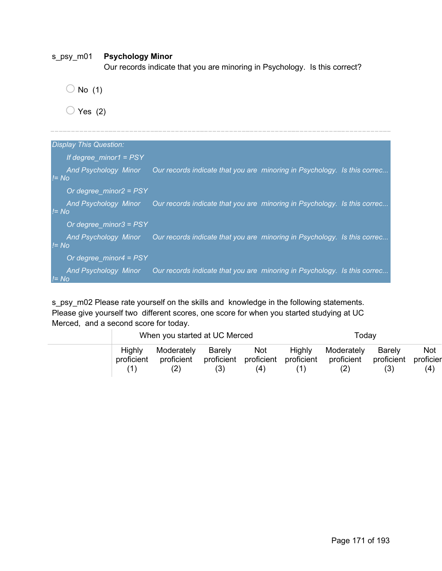## s\_psy\_m01 **Psychology Minor**

Our records indicate that you are minoring in Psychology. Is this correct?

 $\bigcirc$  No (1)

 $\bigcirc$  Yes (2)

| <b>Display This Question:</b>                    |                                                                                               |  |
|--------------------------------------------------|-----------------------------------------------------------------------------------------------|--|
| If degree $minor1 = PSY$                         |                                                                                               |  |
| <b>And Psychology Minor</b><br>$!=\overline{No}$ | Our records indicate that you are minoring in Psychology. Is this correc                      |  |
| Or degree $minor2 = PSY$                         |                                                                                               |  |
| $I = No$                                         | And Psychology Minor Our records indicate that you are minoring in Psychology. Is this correc |  |
| Or degree $minor3 = PSY$                         |                                                                                               |  |
| $!=$ No                                          | And Psychology Minor Our records indicate that you are minoring in Psychology. Is this correc |  |
| Or degree $minor4 = PSY$                         |                                                                                               |  |
| <b>And Psychology Minor</b><br>$!=$ No           | Our records indicate that you are minoring in Psychology. Is this correc                      |  |

s\_psy\_m02 Please rate yourself on the skills and knowledge in the following statements. Please give yourself two different scores, one score for when you started studying at UC Merced, and a second score for today.

| When you started at UC Merced |                          |                             |            | Todav  |                                                       |                             |                         |
|-------------------------------|--------------------------|-----------------------------|------------|--------|-------------------------------------------------------|-----------------------------|-------------------------|
| Hiahlv<br>proficient          | Moderately<br>proficient | Barely<br>proficient<br>(3) | Not<br>(4) | Highly | Moderately<br>proficient proficient proficient<br>(2) | Barely<br>proficient<br>(3) | Not<br>proficier<br>(4) |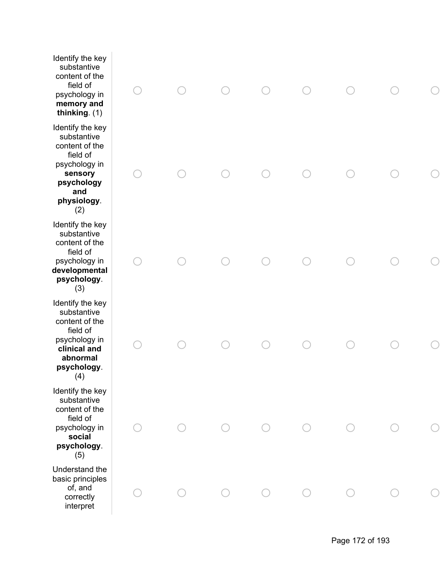Identify the key substantive content of the field of psychology in **memory and thinking**. (1) Identify the key substantive content of the field of psychology in **sensory psychology and physiology**. (2) Identify the key substantive content of the field of psychology in **developmental psychology**. (3) Identify the key substantive content of the field of psychology in **clinical and abnormal psychology**. (4) Identify the key substantive content of the field of psychology in **social psychology**. (5) Understand the basic principles of, and correctly

interpret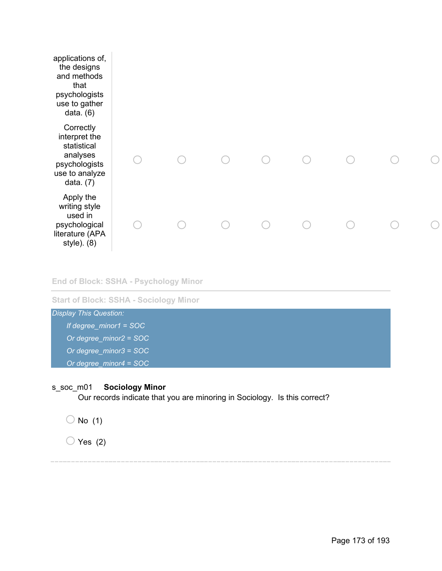| applications of,<br>the designs<br>and methods<br>that<br>psychologists<br>use to gather<br>data. $(6)$ |  |  |  |  |
|---------------------------------------------------------------------------------------------------------|--|--|--|--|
| Correctly<br>interpret the<br>statistical<br>analyses<br>psychologists<br>use to analyze<br>data. $(7)$ |  |  |  |  |
| Apply the<br>writing style<br>used in<br>psychological<br>literature (APA<br>style). (8)                |  |  |  |  |

**End of Block: SSHA - Psychology Minor**

**Start of Block: SSHA - Sociology Minor**

*Display This Question: If degree\_minor1 = SOC Or degree\_minor2 = SOC Or degree\_minor3 = SOC Or degree\_minor4 = SOC*

## s\_soc\_m01 **Sociology Minor**

Our records indicate that you are minoring in Sociology. Is this correct?

 $\bigcirc$  No (1)

 $\bigcirc$  Yes (2)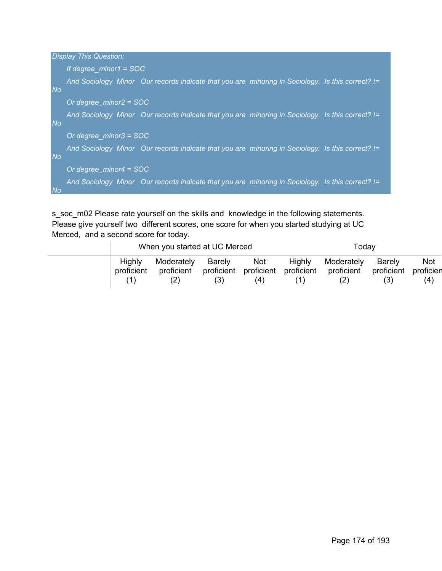|           | <b>Display This Question:</b>                                                                    |
|-----------|--------------------------------------------------------------------------------------------------|
|           | If degree $minor1 = SOC$                                                                         |
| <b>No</b> | And Sociology Minor Our records indicate that you are minoring in Sociology. Is this correct? != |
|           | Or degree $minor2 = SOC$                                                                         |
| <b>No</b> | And Sociology Minor Our records indicate that you are minoring in Sociology. Is this correct? != |
|           | Or degree $minor3 = SOC$                                                                         |
| <b>No</b> | And Sociology Minor Our records indicate that you are minoring in Sociology. Is this correct? != |
|           | Or degree $minor4 = SOC$                                                                         |
| <b>No</b> | And Sociology Minor Our records indicate that you are minoring in Sociology. Is this correct? != |

s\_soc\_m02 Please rate yourself on the skills and knowledge in the following statements. Please give yourself two different scores, one score for when you started studying at UC Merced, and a second score for today.

| When you started at UC Merced |                                 |               |            | Todav  |                                                                  |                                |                   |
|-------------------------------|---------------------------------|---------------|------------|--------|------------------------------------------------------------------|--------------------------------|-------------------|
| <b>Highly</b><br>proficient   | Moderately<br>proficient<br>(2) | Barely<br>(3) | Not<br>(4) | Highly | Moderately<br>proficient proficient proficient proficient<br>(2) | Barelv<br>proficient proficien | <b>Not</b><br>(4) |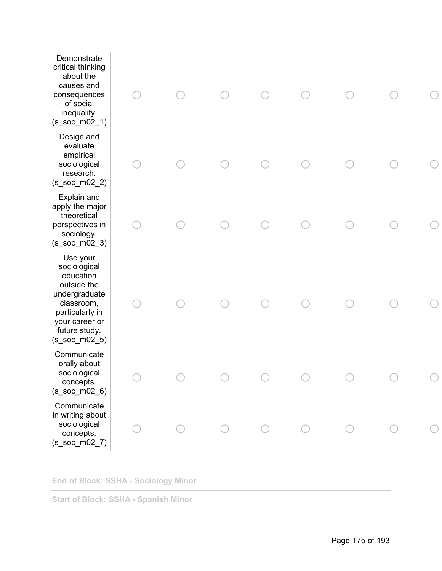| Demonstrate<br>critical thinking<br>about the<br>causes and<br>consequences<br>of social<br>inequality.<br>$(s\_soc_m02_1)$                                          |  |  |  |  |
|----------------------------------------------------------------------------------------------------------------------------------------------------------------------|--|--|--|--|
| Design and<br>evaluate<br>empirical<br>sociological<br>research.<br>$(s_soc_m02_2)$                                                                                  |  |  |  |  |
| Explain and<br>apply the major<br>theoretical<br>perspectives in<br>sociology.<br>$(s_soc_m02_3)$                                                                    |  |  |  |  |
| Use your<br>sociological<br>education<br>outside the<br>undergraduate<br>classroom,<br>particularly in<br>your career or<br>future study.<br>$(s_{s} \cdot m02_{5})$ |  |  |  |  |
| Communicate<br>orally about<br>sociological<br>concepts.<br>$(s_soc_m02_6)$                                                                                          |  |  |  |  |
| Communicate<br>in writing about<br>sociological<br>concepts.<br>$(s_soc_m027)$                                                                                       |  |  |  |  |
|                                                                                                                                                                      |  |  |  |  |

**End of Block: SSHA - Sociology Minor**

**Start of Block: SSHA - Spanish Minor**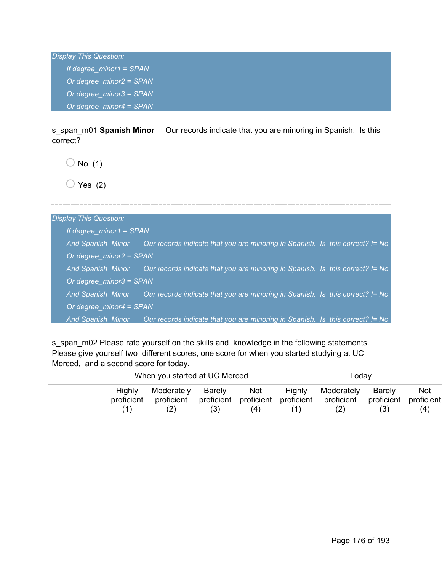| <b>Display This Question:</b> |  |  |
|-------------------------------|--|--|
| If degree $minor1 = SPAN$     |  |  |
| Or degree minor2 = SPAN       |  |  |
| Or degree $minor3 = SPAN$     |  |  |
| Or degree $minor4 = SPAN$     |  |  |

s\_span\_m01 **Spanish Minor** Our records indicate that you are minoring in Spanish. Is this correct?

 $\bigcirc$  No (1)

 $\bigcirc$  Yes (2)

| <b>Display This Question:</b> |                                                                                                 |
|-------------------------------|-------------------------------------------------------------------------------------------------|
| If degree minor1 = SPAN       |                                                                                                 |
| <b>And Spanish Minor</b>      | Our records indicate that you are minoring in Spanish. Is this correct? != No                   |
| Or degree minor2 = SPAN       |                                                                                                 |
|                               | And Spanish Minor Our records indicate that you are minoring in Spanish. Is this correct? != No |
| Or degree minor3 = SPAN       |                                                                                                 |
| <b>And Spanish Minor</b>      | Our records indicate that you are minoring in Spanish. Is this correct? != No                   |
| Or degree minor4 = SPAN       |                                                                                                 |
| <b>And Spanish Minor</b>      | Our records indicate that you are minoring in Spanish. Is this correct? != No                   |

s\_span\_m02 Please rate yourself on the skills and knowledge in the following statements. Please give yourself two different scores, one score for when you started studying at UC Merced, and a second score for today.

|                      | When you started at UC Merced |        |            | Todav  |                                                           |                                        |            |
|----------------------|-------------------------------|--------|------------|--------|-----------------------------------------------------------|----------------------------------------|------------|
| Hiahly<br>proficient | Moderately<br>proficient      | Barely | Not<br>(4) | Highly | Moderately<br>proficient proficient proficient proficient | Barely<br>proficient proficient<br>(3) | Not<br>(4) |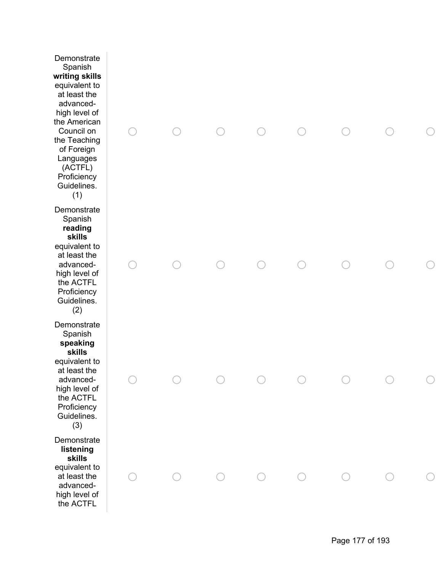**Demonstrate** Spanish **writing skills** equivalent to at least the advanced high level of the American Council on the Teaching of Foreign Languages (ACTFL) **Proficiency** Guidelines. (1) **Demonstrate** Spanish **reading skills** equivalent to at least the advanced high level of the ACTFL **Proficiency** Guidelines. (2) **Demonstrate** Spanish **speaking skills** equivalent to at least the advanced high level of the ACTFL **Proficiency** Guidelines. (3) **Demonstrate listening skills** equivalent to at least the

advanced high level of the ACTFL

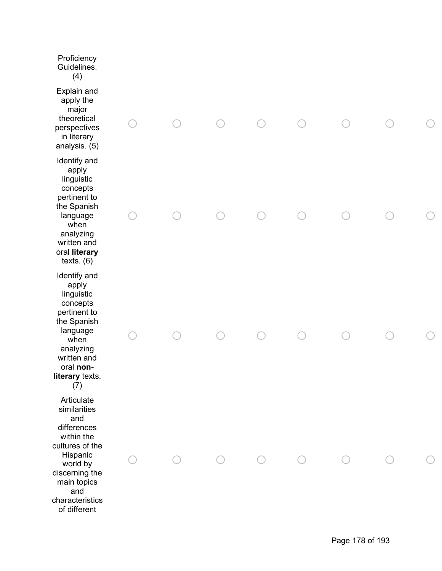**Proficiency** Guidelines. (4) Explain and apply the major theoretical perspectives in literary analysis. (5) Identify and apply linguistic concepts pertinent to the Spanish language when analyzing written and oral **literary** texts. (6) Identify and apply linguistic concepts pertinent to the Spanish language when analyzing written and oral **non literary** texts. (7) **Articulate** similarities and differences within the cultures of the Hispanic world by discerning the main topics and characteristics of different

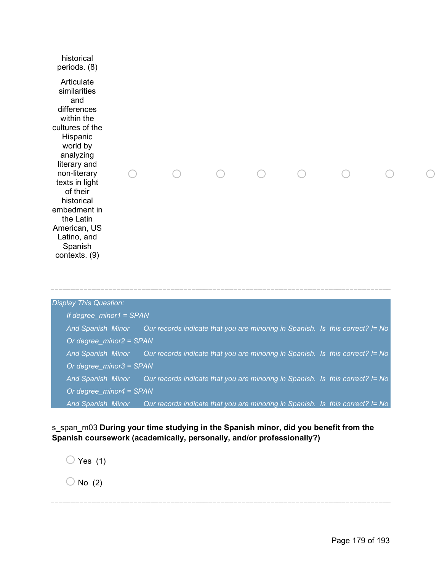

*Or degree\_minor4 = SPAN*

*And Spanish Minor Our records indicate that you are minoring in Spanish. Is this correct? != No*

s span m03 During your time studying in the Spanish minor, did you benefit from the **Spanish coursework (academically, personally, and/or professionally?)**

 $\bigcirc$  Yes (1)  $\bigcirc$  No (2)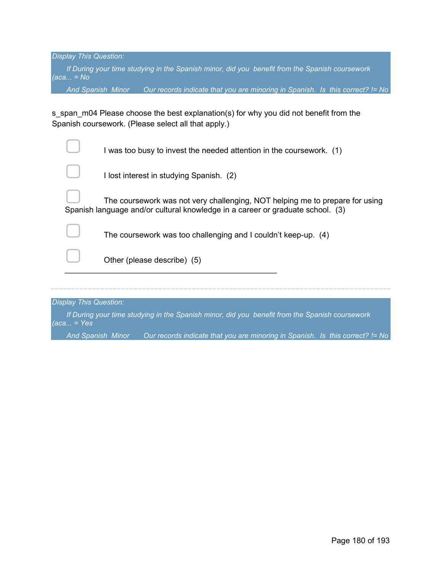*Display This Question:*

*If During your time studying in the Spanish minor, did you benefit from the Spanish coursework (aca... = No*

*And Spanish Minor Our records indicate that you are minoring in Spanish. Is this correct? != No*

s\_span\_m04 Please choose the best explanation(s) for why you did not benefit from the Spanish coursework. (Please select all that apply.)

| I was too busy to invest the needed attention in the coursework. (1)                                                                                           |
|----------------------------------------------------------------------------------------------------------------------------------------------------------------|
| I lost interest in studying Spanish. (2)                                                                                                                       |
| The coursework was not very challenging, NOT helping me to prepare for using<br>Spanish language and/or cultural knowledge in a career or graduate school. (3) |
| The coursework was too challenging and I couldn't keep-up. (4)                                                                                                 |
| Other (please describe) (5)                                                                                                                                    |
|                                                                                                                                                                |

| <b>Display This Question:</b> |                                                                                                |
|-------------------------------|------------------------------------------------------------------------------------------------|
| $ aca  = Yes$                 | If During your time studying in the Spanish minor, did you benefit from the Spanish coursework |
| <b>And Spanish Minor</b>      | Our records indicate that you are minoring in Spanish. Is this correct? != No                  |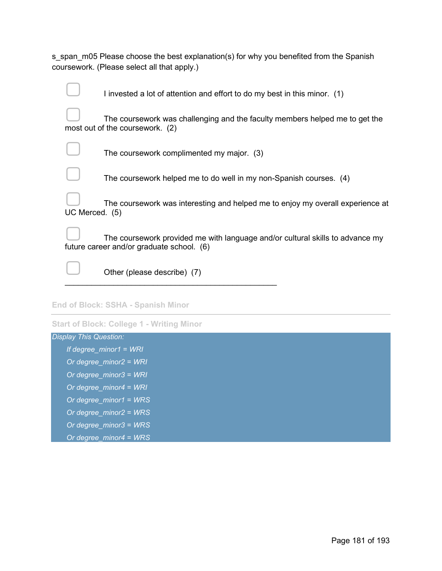s\_span\_m05 Please choose the best explanation(s) for why you benefited from the Spanish coursework. (Please select all that apply.)

|                | I invested a lot of attention and effort to do my best in this minor. (1)                                                  |
|----------------|----------------------------------------------------------------------------------------------------------------------------|
|                | The coursework was challenging and the faculty members helped me to get the<br>most out of the coursework. (2)             |
|                | The coursework complimented my major. (3)                                                                                  |
|                | The coursework helped me to do well in my non-Spanish courses. (4)                                                         |
| UC Merced. (5) | The coursework was interesting and helped me to enjoy my overall experience at                                             |
|                | The coursework provided me with language and/or cultural skills to advance my<br>future career and/or graduate school. (6) |
|                | Other (please describe) (7)                                                                                                |

## **End of Block: SSHA - Spanish Minor**

**Start of Block: College 1 - Writing Minor**

| <b>Display This Question:</b> |  |
|-------------------------------|--|
| If degree_minor1 = $WRI$      |  |
| Or degree $minor2 = WRI$      |  |
| Or degree_minor $3 = WRI$     |  |
| Or degree $minor4 = WRI$      |  |
| Or degree $minor1 = WRS$      |  |
| Or degree $minor2 = WRS$      |  |
| Or degree $minor3 = WRS$      |  |
| Or degree $minor4 = WRS$      |  |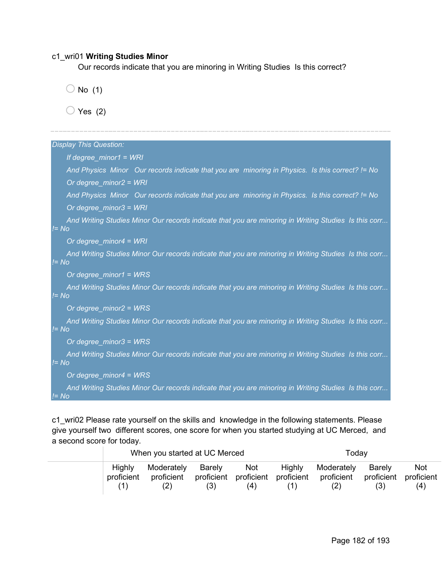## c1\_wri01 **Writing Studies Minor**

Our records indicate that you are minoring in Writing Studies Is this correct?

 $\bigcirc$  No (1)

 $\bigcirc$  Yes (2)

*Display This Question: If degree\_minor1 = WRI And Physics Minor Our records indicate that you are minoring in Physics. Is this correct? != No Or degree\_minor2 = WRI And Physics Minor Our records indicate that you are minoring in Physics. Is this correct? != No Or degree\_minor3 = WRI And Writing Studies Minor Our records indicate that you are minoring in Writing Studies Is this corr... != No Or degree\_minor4 = WRI And Writing Studies Minor Our records indicate that you are minoring in Writing Studies Is this corr... != No Or degree\_minor1 = WRS And Writing Studies Minor Our records indicate that you are minoring in Writing Studies Is this corr... != No Or degree\_minor2 = WRS And Writing Studies Minor Our records indicate that you are minoring in Writing Studies Is this corr... != No Or degree\_minor3 = WRS And Writing Studies Minor Our records indicate that you are minoring in Writing Studies Is this corr... != No Or degree\_minor4 = WRS*

*And Writing Studies Minor Our records indicate that you are minoring in Writing Studies Is this corr... != No*

c1 wri02 Please rate yourself on the skills and knowledge in the following statements. Please give yourself two different scores, one score for when you started studying at UC Merced, and a second score for today.

| When you started at UC Merced |                          |               | Todav      |        |                                                                                 |               |             |
|-------------------------------|--------------------------|---------------|------------|--------|---------------------------------------------------------------------------------|---------------|-------------|
| <b>Highly</b><br>proficient   | Moderately<br>proficient | Barely<br>(3) | Not<br>(4) | Highly | Moderately<br>proficient proficient proficient proficient proficient proficient | Barely<br>(3) | Not.<br>(4) |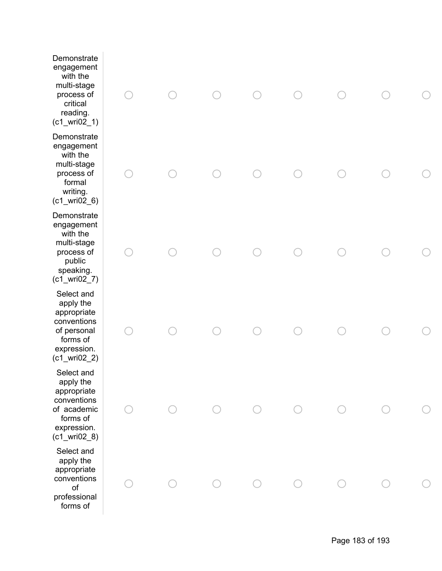| Demonstrate<br>engagement<br>with the<br>multi-stage<br>process of<br>critical<br>reading.<br>$(c1_{wri02_1})$      |  |  |  |  |
|---------------------------------------------------------------------------------------------------------------------|--|--|--|--|
| Demonstrate<br>engagement<br>with the<br>multi-stage<br>process of<br>formal<br>writing.<br>$(c1_{wri02_6})$        |  |  |  |  |
| Demonstrate<br>engagement<br>with the<br>multi-stage<br>process of<br>public<br>speaking.<br>$(c1_{wri027})$        |  |  |  |  |
| Select and<br>apply the<br>appropriate<br>conventions<br>of personal<br>forms of<br>expression.<br>$(c1_{wri02_2})$ |  |  |  |  |
| Select and<br>apply the<br>appropriate<br>conventions<br>of academic<br>forms of<br>expression.<br>$(c1_{wri02_8})$ |  |  |  |  |
| Select and<br>apply the<br>appropriate<br>conventions<br>of<br>professional<br>forms of                             |  |  |  |  |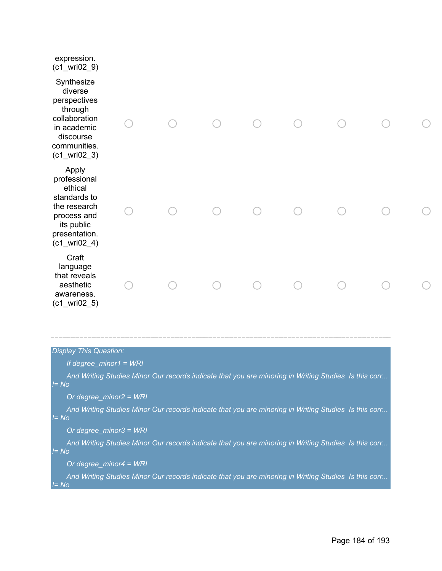

```
Display This Question:
```

```
If degree_minor1 = WRI
```
*And Writing Studies Minor Our records indicate that you are minoring in Writing Studies Is this corr... != No*

*Or degree\_minor2 = WRI*

*And Writing Studies Minor Our records indicate that you are minoring in Writing Studies Is this corr... != No*

*Or degree\_minor3 = WRI*

*And Writing Studies Minor Our records indicate that you are minoring in Writing Studies Is this corr... != No*

*Or degree\_minor4 = WRI*

*And Writing Studies Minor Our records indicate that you are minoring in Writing Studies Is this corr... != No*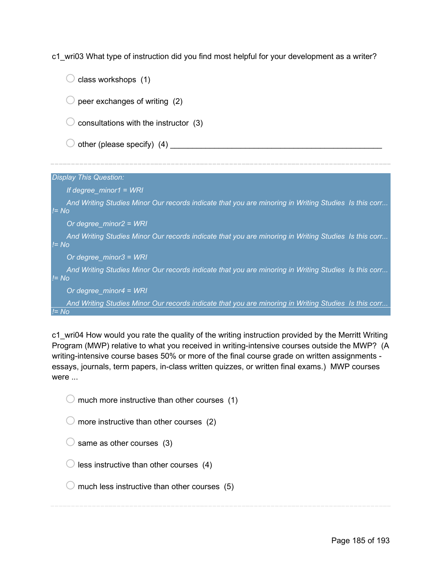c1 wri03 What type of instruction did you find most helpful for your development as a writer?

 $\bigcirc$  class workshops (1)  $\bigcirc$  peer exchanges of writing (2)  $\bigcirc$  consultations with the instructor (3)  $\bigcirc$  other (please specify) (4) *Display This Question: If degree\_minor1 = WRI And Writing Studies Minor Our records indicate that you are minoring in Writing Studies Is this corr... != No Or degree\_minor2 = WRI And Writing Studies Minor Our records indicate that you are minoring in Writing Studies Is this corr... != No Or degree\_minor3 = WRI And Writing Studies Minor Our records indicate that you are minoring in Writing Studies Is this corr... != No Or degree\_minor4 = WRI And Writing Studies Minor Our records indicate that you are minoring in Writing Studies Is this corr... != No*

c1 wri04 How would you rate the quality of the writing instruction provided by the Merritt Writing Program (MWP) relative to what you received in writing-intensive courses outside the MWP? (A writing-intensive course bases 50% or more of the final course grade on written assignments essays, journals, term papers, in-class written quizzes, or written final exams.) MWP courses were ...

 $\bigcirc$  much more instructive than other courses (1)

 $\bigcirc$  more instructive than other courses (2)

```
\bigcirc same as other courses (3)
```

```
\bigcirc less instructive than other courses (4)
```
 $\bigcirc$  much less instructive than other courses (5)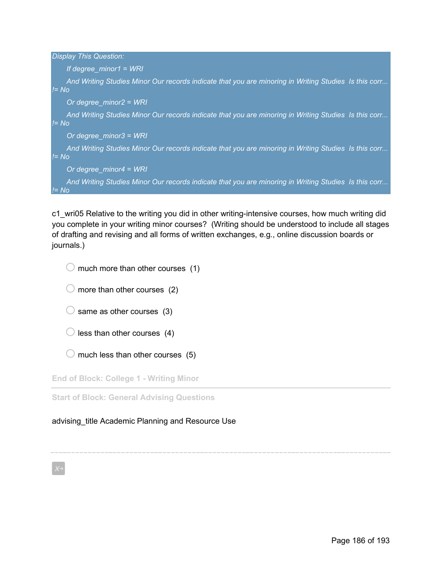```
Display This Question:
    If degree_minor1 = WRI
    And Writing Studies Minor Our records indicate that you are minoring in Writing Studies Is this corr... 
!= No
    Or degree_minor2 = WRI
    And Writing Studies Minor Our records indicate that you are minoring in Writing Studies Is this corr... 
!= No
    Or degree_minor3 = WRI
    And Writing Studies Minor Our records indicate that you are minoring in Writing Studies Is this corr... 
!= No
    Or degree_minor4 = WRI
    And Writing Studies Minor Our records indicate that you are minoring in Writing Studies Is this corr... 
!= No
```
c1\_wri05 Relative to the writing you did in other writing-intensive courses, how much writing did you complete in your writing minor courses? (Writing should be understood to include all stages of drafting and revising and all forms of written exchanges, e.g., online discussion boards or journals.)

| $\bigcirc$ much more than other courses (1)       |
|---------------------------------------------------|
| $\cup$ more than other courses (2)                |
| $\bigcirc$ same as other courses (3)              |
| $\cup$ less than other courses (4)                |
| $\bigcirc$ much less than other courses (5)       |
| <b>End of Block: College 1 - Writing Minor</b>    |
| <b>Start of Block: General Advising Questions</b> |

advising title Academic Planning and Resource Use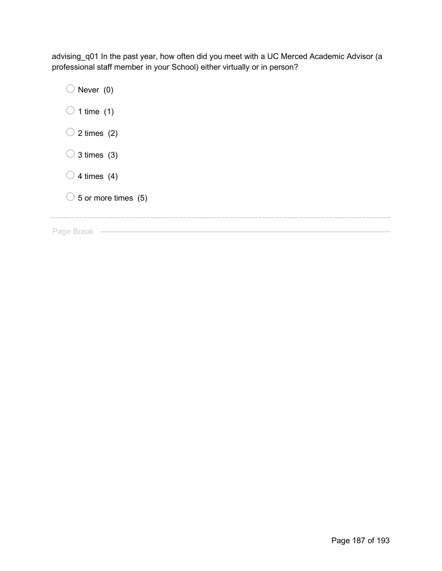advising\_q01 In the past year, how often did you meet with a UC Merced Academic Advisor (a professional staff member in your School) either virtually or in person?

 $\bigcirc$  Never (0)  $\bigcirc$  1 time (1)  $\bigcirc$  2 times (2)  $\bigcirc$  3 times (3)  $\bigcirc$  4 times (4)  $\bigcirc$  5 or more times (5)

Page Break –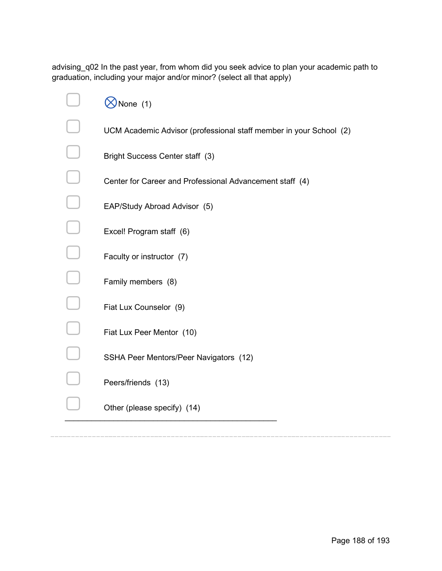advising\_q02 In the past year, from whom did you seek advice to plan your academic path to graduation, including your major and/or minor? (select all that apply)

| $\sqrt{\frac{1}{1}}$ None (1)                                      |
|--------------------------------------------------------------------|
| UCM Academic Advisor (professional staff member in your School (2) |
| Bright Success Center staff (3)                                    |
| Center for Career and Professional Advancement staff (4)           |
| EAP/Study Abroad Advisor (5)                                       |
| Excel! Program staff (6)                                           |
| Faculty or instructor (7)                                          |
| Family members (8)                                                 |
| Fiat Lux Counselor (9)                                             |
| Fiat Lux Peer Mentor (10)                                          |
| SSHA Peer Mentors/Peer Navigators (12)                             |
| Peers/friends (13)                                                 |
| Other (please specify) (14)                                        |
|                                                                    |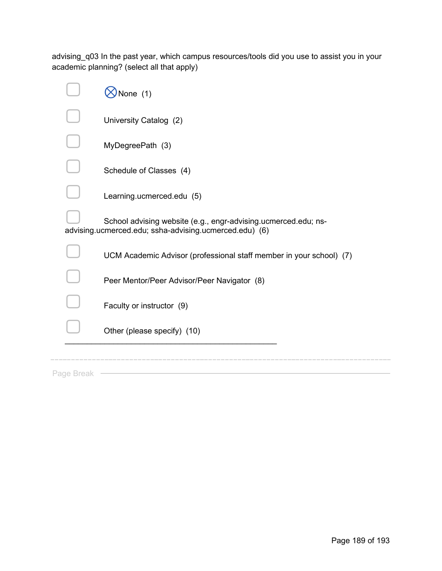advising\_q03 In the past year, which campus resources/tools did you use to assist you in your academic planning? (select all that apply)

|            | None (1)                                                                                                                 |
|------------|--------------------------------------------------------------------------------------------------------------------------|
|            | University Catalog (2)                                                                                                   |
|            | MyDegreePath (3)                                                                                                         |
|            | Schedule of Classes (4)                                                                                                  |
|            | Learning.ucmerced.edu (5)                                                                                                |
|            | School advising website (e.g., engr-advising ucmerced edu; ns-<br>advising.ucmerced.edu; ssha-advising.ucmerced.edu) (6) |
|            | UCM Academic Advisor (professional staff member in your school) (7)                                                      |
|            | Peer Mentor/Peer Advisor/Peer Navigator (8)                                                                              |
|            | Faculty or instructor (9)                                                                                                |
|            | Other (please specify) (10)                                                                                              |
|            |                                                                                                                          |
| Page Break |                                                                                                                          |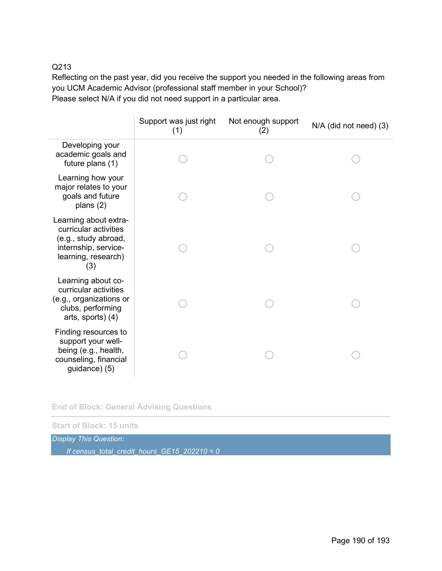Q213

Reflecting on the past year, did you receive the support you needed in the following areas from you UCM Academic Advisor (professional staff member in your School)? Please select N/A if you did not need support in a particular area.

|                                                                                                                              | Support was just right<br>(1) | Not enough support<br>(2) | $N/A$ (did not need) $(3)$ |
|------------------------------------------------------------------------------------------------------------------------------|-------------------------------|---------------------------|----------------------------|
| Developing your<br>academic goals and<br>future plans (1)                                                                    |                               |                           |                            |
| Learning how your<br>major relates to your<br>goals and future<br>plans $(2)$                                                |                               |                           |                            |
| Learning about extra-<br>curricular activities<br>(e.g., study abroad,<br>internship, service-<br>learning, research)<br>(3) |                               |                           |                            |
| Learning about co-<br>curricular activities<br>(e.g., organizations or<br>clubs, performing<br>arts, sports) (4)             |                               |                           |                            |
| Finding resources to<br>support your well-<br>being (e.g., health,<br>counseling, financial<br>guidance) (5)                 |                               |                           |                            |

**End of Block: General Advising Questions**

**Start of Block: 15 units**

*Display This Question:*

*If census\_total\_credit\_hours\_GE15\_202210 = 0*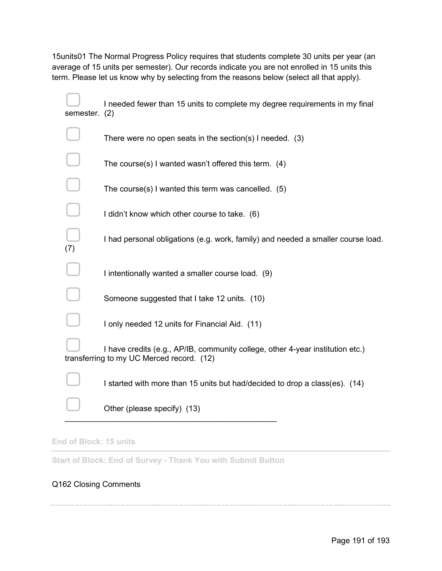15units01 The Normal Progress Policy requires that students complete 30 units per year (an average of 15 units per semester). Our records indicate you are not enrolled in 15 units this term. Please let us know why by selecting from the reasons below (select all that apply).

| semester. | I needed fewer than 15 units to complete my degree requirements in my final<br>(2)                                          |
|-----------|-----------------------------------------------------------------------------------------------------------------------------|
|           | There were no open seats in the section(s) I needed. $(3)$                                                                  |
|           | The course(s) I wanted wasn't offered this term. $(4)$                                                                      |
|           | The course(s) I wanted this term was cancelled. $(5)$                                                                       |
|           | I didn't know which other course to take. (6)                                                                               |
| (7)       | I had personal obligations (e.g. work, family) and needed a smaller course load.                                            |
|           | I intentionally wanted a smaller course load. (9)                                                                           |
|           | Someone suggested that I take 12 units. (10)                                                                                |
|           | I only needed 12 units for Financial Aid. (11)                                                                              |
|           | I have credits (e.g., AP/IB, community college, other 4-year institution etc.)<br>transferring to my UC Merced record. (12) |
|           | I started with more than 15 units but had/decided to drop a class(es). (14)                                                 |
|           | Other (please specify) (13)                                                                                                 |

## **End of Block: 15 units**

**Start of Block: End of Survey - Thank You with Submit Button**

## Q162 Closing Comments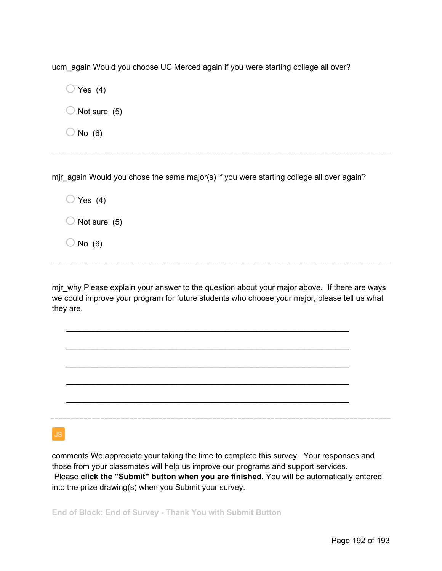ucm\_again Would you choose UC Merced again if you were starting college all over?

| $\bigcirc$ Yes (4)      |  |  |  |
|-------------------------|--|--|--|
| $\bigcirc$ Not sure (5) |  |  |  |
| $\bigcirc$ No (6)       |  |  |  |
|                         |  |  |  |

mjr again Would you chose the same major(s) if you were starting college all over again?

 $\bigcirc$  Yes (4)  $\bigcirc$  Not sure (5)  $\bigcirc$  No (6)

mjr why Please explain your answer to the question about your major above. If there are ways we could improve your program for future students who choose your major, please tell us what they are.



comments We appreciate your taking the time to complete this survey. Your responses and those from your classmates will help us improve our programs and support services. Please **click the "Submit" button when you are finished**. You will be automatically entered into the prize drawing(s) when you Submit your survey.

**End of Block: End of Survey - Thank You with Submit Button**